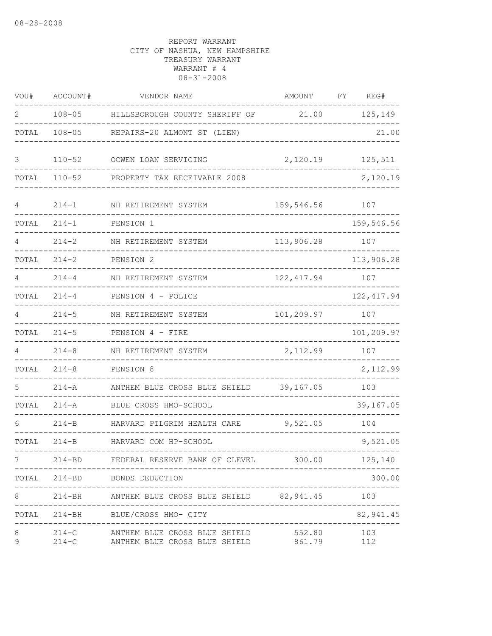| VOU#   | ACCOUNT#   | VENDOR NAME                                                                                  | <b>AMOUNT</b>                      | FY | REG#                    |
|--------|------------|----------------------------------------------------------------------------------------------|------------------------------------|----|-------------------------|
| 2      | $108 - 05$ | HILLSBOROUGH COUNTY SHERIFF OF                                                               | 21.00                              |    | 125,149                 |
| TOTAL  | $108 - 05$ | REPAIRS-20 ALMONT ST (LIEN)                                                                  |                                    |    | 21.00                   |
| 3      | $110 - 52$ | OCWEN LOAN SERVICING                                                                         | 2,120.19                           |    | 125,511                 |
| TOTAL  | $110 - 52$ | PROPERTY TAX RECEIVABLE 2008                                                                 |                                    |    | 2,120.19                |
| 4      | $214 - 1$  | NH RETIREMENT SYSTEM                                                                         | 159,546.56                         |    | 107                     |
| TOTAL  | $214 - 1$  | PENSION 1                                                                                    |                                    |    | 159,546.56              |
|        | $214 - 2$  | NH RETIREMENT SYSTEM                                                                         | 113,906.28                         |    | 107                     |
| TOTAL  | $214 - 2$  | PENSION <sub>2</sub>                                                                         |                                    |    | 113,906.28              |
| 4      | $214 - 4$  | NH RETIREMENT SYSTEM                                                                         | 122, 417.94                        |    | 107                     |
| TOTAL  | $214 - 4$  | PENSION 4 - POLICE                                                                           |                                    |    | 122, 417.94             |
| 4      | $214 - 5$  | NH RETIREMENT SYSTEM                                                                         | 101,209.97                         |    | 107                     |
| TOTAL  | $214 - 5$  | PENSION 4 - FIRE                                                                             |                                    |    | 101,209.97              |
| 4      | $214 - 8$  | NH RETIREMENT SYSTEM                                                                         | 2,112.99                           |    | 107                     |
| TOTAL  | $214 - 8$  | PENSION 8                                                                                    |                                    |    | 2,112.99                |
|        | $214 - A$  | ANTHEM BLUE CROSS BLUE SHIELD                                                                | 39,167.05                          |    | 103                     |
| TOTAL  | $214 - A$  | BLUE CROSS HMO-SCHOOL                                                                        |                                    |    | 39,167.05               |
| 6      | $214-B$    | HARVARD PILGRIM HEALTH CARE                                                                  | 9,521.05                           |    | 104                     |
| TOTAL  | $214 - B$  | HARVARD COM HP-SCHOOL                                                                        |                                    |    | 9,521.05                |
| 7      |            | 214-BD FEDERAL RESERVE BANK OF CLEVEL 300.00 125,140                                         | --------------------------------   |    |                         |
|        |            | TOTAL 214-BD BONDS DEDUCTION                                                                 |                                    |    | 300.00                  |
| 8      |            | 214-BH ANTHEM BLUE CROSS BLUE SHIELD 82,941.45 103                                           |                                    |    | . _ _ _ _ _ _ _ _ _ _ . |
|        |            | TOTAL 214-BH BLUE/CROSS HMO- CITY                                                            | ---------------------------------- |    | 82,941.45               |
| 8<br>9 |            | 214-C ANTHEM BLUE CROSS BLUE SHIELD 552.80<br>214-C ANTHEM BLUE CROSS BLUE SHIELD 861.79 112 |                                    |    | 103                     |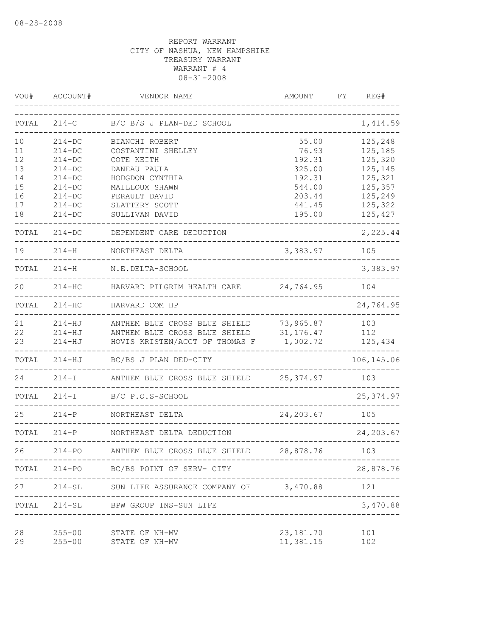| VOU#                                         | ACCOUNT#                                                                                               | VENDOR NAME                                                                                                                                | AMOUNT                                                                     | REG#<br>FY                                                                           |
|----------------------------------------------|--------------------------------------------------------------------------------------------------------|--------------------------------------------------------------------------------------------------------------------------------------------|----------------------------------------------------------------------------|--------------------------------------------------------------------------------------|
| TOTAL                                        | $214-C$                                                                                                | B/C B/S J PLAN-DED SCHOOL                                                                                                                  |                                                                            | 1,414.59                                                                             |
| 10<br>11<br>12<br>13<br>14<br>15<br>16<br>17 | $214 - DC$<br>$214-DC$<br>$214 - DC$<br>$214-DC$<br>$214-DC$<br>$214 - DC$<br>$214 - DC$<br>$214 - DC$ | BIANCHI ROBERT<br>COSTANTINI SHELLEY<br>COTE KEITH<br>DANEAU PAULA<br>HODGDON CYNTHIA<br>MAILLOUX SHAWN<br>PERAULT DAVID<br>SLATTERY SCOTT | 55.00<br>76.93<br>192.31<br>325.00<br>192.31<br>544.00<br>203.44<br>441.45 | 125,248<br>125,185<br>125,320<br>125,145<br>125,321<br>125,357<br>125,249<br>125,322 |
| 18<br>TOTAL                                  | $214 - DC$<br>$214 - DC$                                                                               | SULLIVAN DAVID<br>DEPENDENT CARE DEDUCTION                                                                                                 | 195.00                                                                     | 125,427<br>2,225.44                                                                  |
| 19                                           | $214 - H$                                                                                              | NORTHEAST DELTA                                                                                                                            | 3,383.97                                                                   | 105                                                                                  |
| TOTAL                                        | $214 - H$                                                                                              | N.E.DELTA-SCHOOL                                                                                                                           |                                                                            | 3,383.97                                                                             |
| 20                                           | $214 - HC$                                                                                             | HARVARD PILGRIM HEALTH CARE                                                                                                                | 24,764.95                                                                  | 104                                                                                  |
| TOTAL                                        | $214-HC$                                                                                               | HARVARD COM HP                                                                                                                             |                                                                            | 24,764.95                                                                            |
| 21<br>22<br>23                               | $214 - HJ$<br>$214 - HJ$<br>$214 - HJ$                                                                 | ANTHEM BLUE CROSS BLUE SHIELD<br>ANTHEM BLUE CROSS BLUE SHIELD<br>HOVIS KRISTEN/ACCT OF THOMAS F                                           | 73,965.87<br>31, 176. 47<br>1,002.72                                       | 103<br>112<br>125,434                                                                |
| TOTAL                                        | $214 - HJ$                                                                                             | BC/BS J PLAN DED-CITY                                                                                                                      |                                                                            | 106,145.06                                                                           |
| 24                                           | $214 - I$                                                                                              | ANTHEM BLUE CROSS BLUE SHIELD                                                                                                              | 25,374.97                                                                  | 103                                                                                  |
| TOTAL                                        | $214 - I$                                                                                              | B/C P.O.S-SCHOOL                                                                                                                           |                                                                            | 25, 374.97                                                                           |
| 25                                           | $214-P$                                                                                                | NORTHEAST DELTA                                                                                                                            | 24, 203.67                                                                 | 105                                                                                  |
| TOTAL                                        | $214-P$                                                                                                | NORTHEAST DELTA DEDUCTION                                                                                                                  |                                                                            | 24, 203.67                                                                           |
|                                              | $214 - PO$                                                                                             | ANTHEM BLUE CROSS BLUE SHIELD                                                                                                              | 28,878.76                                                                  | 103                                                                                  |
| TOTAL                                        |                                                                                                        | 214-PO BC/BS POINT OF SERV- CITY                                                                                                           |                                                                            | 28,878.76                                                                            |
| 27                                           |                                                                                                        | 214-SL SUN LIFE ASSURANCE COMPANY OF 3,470.88                                                                                              |                                                                            | 121                                                                                  |
| TOTAL                                        | 214-SL                                                                                                 | BPW GROUP INS-SUN LIFE                                                                                                                     |                                                                            | 3,470.88                                                                             |
| 28<br>29                                     | $255 - 00$<br>$255 - 00$                                                                               | STATE OF NH-MV<br>STATE OF NH-MV                                                                                                           | 23, 181.70<br>11,381.15                                                    | 101<br>102                                                                           |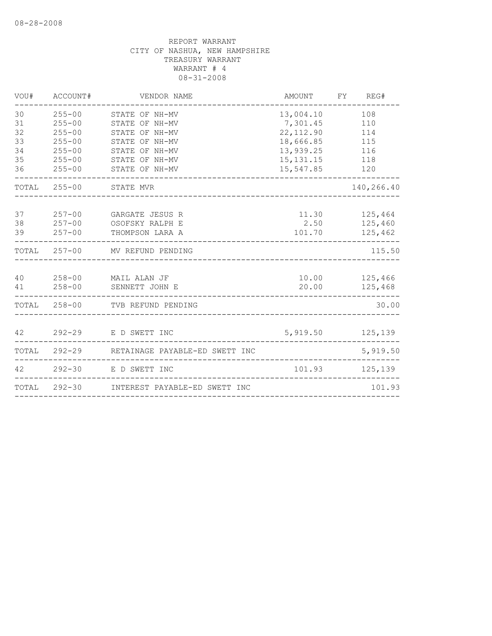| VOU#                                   | ACCOUNT#                                                                                       | VENDOR NAME                                                                                                                | AMOUNT                                                                                    | FY<br>REG#                                    |       |
|----------------------------------------|------------------------------------------------------------------------------------------------|----------------------------------------------------------------------------------------------------------------------------|-------------------------------------------------------------------------------------------|-----------------------------------------------|-------|
| 30<br>31<br>32<br>33<br>34<br>35<br>36 | $255 - 00$<br>$255 - 00$<br>$255 - 00$<br>$255 - 00$<br>$255 - 00$<br>$255 - 00$<br>$255 - 00$ | STATE OF NH-MV<br>STATE OF NH-MV<br>STATE OF NH-MV<br>STATE OF NH-MV<br>STATE OF NH-MV<br>STATE OF NH-MV<br>STATE OF NH-MV | 13,004.10<br>7,301.45<br>22, 112.90<br>18,666.85<br>13,939.25<br>15, 131. 15<br>15,547.85 | 108<br>110<br>114<br>115<br>116<br>118<br>120 |       |
|                                        | TOTAL 255-00                                                                                   | STATE MVR                                                                                                                  |                                                                                           | 140,266.40                                    |       |
| 37<br>38<br>39                         | $257 - 00$<br>$257 - 00$<br>$257 - 00$                                                         | GARGATE JESUS R<br>OSOFSKY RALPH E<br>THOMPSON LARA A                                                                      | 11.30<br>2.50<br>101.70                                                                   | 125,464<br>125,460<br>125,462                 |       |
|                                        |                                                                                                | TOTAL 257-00 MV REFUND PENDING                                                                                             |                                                                                           | 115.50                                        |       |
| 40<br>41                               | $258 - 00$<br>$258 - 00$                                                                       | MAIL ALAN JF<br>SENNETT JOHN E                                                                                             | 20.00                                                                                     | 10.00 125,466<br>125,468                      |       |
| TOTAL                                  | $258 - 00$                                                                                     | TVB REFUND PENDING                                                                                                         |                                                                                           |                                               | 30.00 |
| 42                                     | $292 - 29$                                                                                     | E D SWETT INC                                                                                                              |                                                                                           | 5,919.50 125,139                              |       |
| TOTAL                                  |                                                                                                | 292-29 RETAINAGE PAYABLE-ED SWETT INC                                                                                      |                                                                                           | 5,919.50                                      |       |
| 42                                     | $292 - 30$                                                                                     | E D SWETT INC                                                                                                              | 101.93                                                                                    | 125,139                                       |       |
| TOTAL                                  |                                                                                                | 292-30 INTEREST PAYABLE-ED SWETT INC                                                                                       |                                                                                           | 101.93                                        |       |
|                                        |                                                                                                |                                                                                                                            |                                                                                           |                                               |       |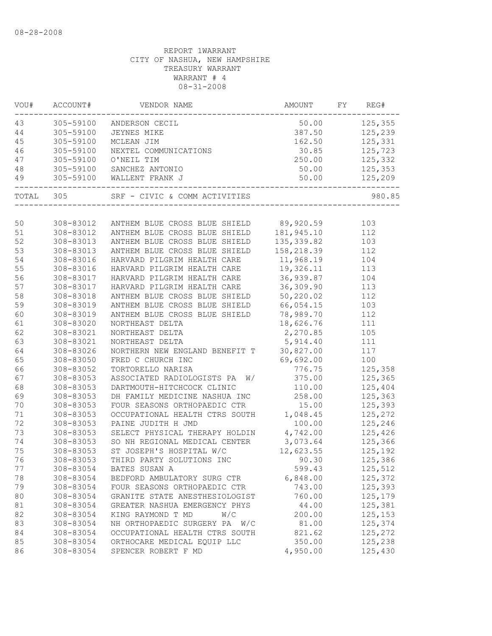| 50.00 125,355<br>43<br>305-59100<br>ANDERSON CECIL<br>JEYNES MIKE<br>MCLEAN JIM 1<br>NEXTEL COMMUNICATIONS<br>O'NEIL TIM 2<br>SANCHEZ ANTONIO<br>WALLENT FRANK J<br>44<br>305-59100<br>387.50 125,239<br>45<br>305-59100<br>162.50 125,331<br>46<br>305-59100<br>30.85<br>125,723<br>250.00<br>125,332<br>47<br>305-59100<br>48<br>305-59100 SANCHEZ ANTONIO<br>50.00<br>49<br>305-59100 WALLENT FRANK J<br>-------------------<br>TOTAL 305 SRF - CIVIC & COMM ACTIVITIES<br>980.85<br>ANTHEM BLUE CROSS BLUE SHIELD 89,920.59<br>50<br>308-83012<br>103<br>181, 945.10<br>112<br>51<br>308-83012<br>ANTHEM BLUE CROSS BLUE SHIELD<br>52<br>308-83013<br>ANTHEM BLUE CROSS BLUE SHIELD<br>135, 339.82<br>103<br>53<br>ANTHEM BLUE CROSS BLUE SHIELD<br>158,218.39<br>112<br>308-83013<br>11,968.19<br>54<br>HARVARD PILGRIM HEALTH CARE<br>308-83016<br>104<br>19,326.11<br>55<br>308-83016<br>HARVARD PILGRIM HEALTH CARE<br>113<br>36,939.87<br>56<br>308-83017<br>HARVARD PILGRIM HEALTH CARE<br>104<br>57<br>36,309.90<br>113<br>308-83017<br>HARVARD PILGRIM HEALTH CARE<br>50,220.02<br>58<br>308-83018<br>ANTHEM BLUE CROSS BLUE SHIELD<br>112<br>59<br>308-83019<br>ANTHEM BLUE CROSS BLUE SHIELD<br>66,054.15<br>103<br>112 |
|---------------------------------------------------------------------------------------------------------------------------------------------------------------------------------------------------------------------------------------------------------------------------------------------------------------------------------------------------------------------------------------------------------------------------------------------------------------------------------------------------------------------------------------------------------------------------------------------------------------------------------------------------------------------------------------------------------------------------------------------------------------------------------------------------------------------------------------------------------------------------------------------------------------------------------------------------------------------------------------------------------------------------------------------------------------------------------------------------------------------------------------------------------------------------------------------------------------------------------------|
|                                                                                                                                                                                                                                                                                                                                                                                                                                                                                                                                                                                                                                                                                                                                                                                                                                                                                                                                                                                                                                                                                                                                                                                                                                       |
|                                                                                                                                                                                                                                                                                                                                                                                                                                                                                                                                                                                                                                                                                                                                                                                                                                                                                                                                                                                                                                                                                                                                                                                                                                       |
|                                                                                                                                                                                                                                                                                                                                                                                                                                                                                                                                                                                                                                                                                                                                                                                                                                                                                                                                                                                                                                                                                                                                                                                                                                       |
|                                                                                                                                                                                                                                                                                                                                                                                                                                                                                                                                                                                                                                                                                                                                                                                                                                                                                                                                                                                                                                                                                                                                                                                                                                       |
|                                                                                                                                                                                                                                                                                                                                                                                                                                                                                                                                                                                                                                                                                                                                                                                                                                                                                                                                                                                                                                                                                                                                                                                                                                       |
|                                                                                                                                                                                                                                                                                                                                                                                                                                                                                                                                                                                                                                                                                                                                                                                                                                                                                                                                                                                                                                                                                                                                                                                                                                       |
|                                                                                                                                                                                                                                                                                                                                                                                                                                                                                                                                                                                                                                                                                                                                                                                                                                                                                                                                                                                                                                                                                                                                                                                                                                       |
|                                                                                                                                                                                                                                                                                                                                                                                                                                                                                                                                                                                                                                                                                                                                                                                                                                                                                                                                                                                                                                                                                                                                                                                                                                       |
|                                                                                                                                                                                                                                                                                                                                                                                                                                                                                                                                                                                                                                                                                                                                                                                                                                                                                                                                                                                                                                                                                                                                                                                                                                       |
|                                                                                                                                                                                                                                                                                                                                                                                                                                                                                                                                                                                                                                                                                                                                                                                                                                                                                                                                                                                                                                                                                                                                                                                                                                       |
|                                                                                                                                                                                                                                                                                                                                                                                                                                                                                                                                                                                                                                                                                                                                                                                                                                                                                                                                                                                                                                                                                                                                                                                                                                       |
|                                                                                                                                                                                                                                                                                                                                                                                                                                                                                                                                                                                                                                                                                                                                                                                                                                                                                                                                                                                                                                                                                                                                                                                                                                       |
|                                                                                                                                                                                                                                                                                                                                                                                                                                                                                                                                                                                                                                                                                                                                                                                                                                                                                                                                                                                                                                                                                                                                                                                                                                       |
|                                                                                                                                                                                                                                                                                                                                                                                                                                                                                                                                                                                                                                                                                                                                                                                                                                                                                                                                                                                                                                                                                                                                                                                                                                       |
|                                                                                                                                                                                                                                                                                                                                                                                                                                                                                                                                                                                                                                                                                                                                                                                                                                                                                                                                                                                                                                                                                                                                                                                                                                       |
|                                                                                                                                                                                                                                                                                                                                                                                                                                                                                                                                                                                                                                                                                                                                                                                                                                                                                                                                                                                                                                                                                                                                                                                                                                       |
|                                                                                                                                                                                                                                                                                                                                                                                                                                                                                                                                                                                                                                                                                                                                                                                                                                                                                                                                                                                                                                                                                                                                                                                                                                       |
|                                                                                                                                                                                                                                                                                                                                                                                                                                                                                                                                                                                                                                                                                                                                                                                                                                                                                                                                                                                                                                                                                                                                                                                                                                       |
|                                                                                                                                                                                                                                                                                                                                                                                                                                                                                                                                                                                                                                                                                                                                                                                                                                                                                                                                                                                                                                                                                                                                                                                                                                       |
| 60<br>308-83019<br>ANTHEM BLUE CROSS BLUE SHIELD<br>78,989.70                                                                                                                                                                                                                                                                                                                                                                                                                                                                                                                                                                                                                                                                                                                                                                                                                                                                                                                                                                                                                                                                                                                                                                         |
| 61<br>18,626.76<br>111<br>308-83020<br>NORTHEAST DELTA                                                                                                                                                                                                                                                                                                                                                                                                                                                                                                                                                                                                                                                                                                                                                                                                                                                                                                                                                                                                                                                                                                                                                                                |
| 62<br>2,270.85<br>105<br>308-83021<br>NORTHEAST DELTA                                                                                                                                                                                                                                                                                                                                                                                                                                                                                                                                                                                                                                                                                                                                                                                                                                                                                                                                                                                                                                                                                                                                                                                 |
| 63<br>5,914.40<br>308-83021<br>NORTHEAST DELTA<br>111                                                                                                                                                                                                                                                                                                                                                                                                                                                                                                                                                                                                                                                                                                                                                                                                                                                                                                                                                                                                                                                                                                                                                                                 |
| NORTHERN NEW ENGLAND BENEFIT T 30,827.00<br>64<br>308-83026<br>117                                                                                                                                                                                                                                                                                                                                                                                                                                                                                                                                                                                                                                                                                                                                                                                                                                                                                                                                                                                                                                                                                                                                                                    |
| 65<br>100<br>308-83050<br>FRED C CHURCH INC<br>69,692.00                                                                                                                                                                                                                                                                                                                                                                                                                                                                                                                                                                                                                                                                                                                                                                                                                                                                                                                                                                                                                                                                                                                                                                              |
| 66<br>776.75<br>125,358<br>308-83052<br>TORTORELLO NARISA                                                                                                                                                                                                                                                                                                                                                                                                                                                                                                                                                                                                                                                                                                                                                                                                                                                                                                                                                                                                                                                                                                                                                                             |
| 67<br>W/ 375.00<br>308-83053<br>ASSOCIATED RADIOLOGISTS PA<br>125,365                                                                                                                                                                                                                                                                                                                                                                                                                                                                                                                                                                                                                                                                                                                                                                                                                                                                                                                                                                                                                                                                                                                                                                 |
| 68<br>308-83053<br>DARTMOUTH-HITCHCOCK CLINIC<br>110.00<br>125,404                                                                                                                                                                                                                                                                                                                                                                                                                                                                                                                                                                                                                                                                                                                                                                                                                                                                                                                                                                                                                                                                                                                                                                    |
| DH FAMILY MEDICINE NASHUA INC<br>258.00<br>69<br>308-83053<br>125,363                                                                                                                                                                                                                                                                                                                                                                                                                                                                                                                                                                                                                                                                                                                                                                                                                                                                                                                                                                                                                                                                                                                                                                 |
| 70<br>308-83053<br>15.00<br>125,393<br>FOUR SEASONS ORTHOPAEDIC CTR                                                                                                                                                                                                                                                                                                                                                                                                                                                                                                                                                                                                                                                                                                                                                                                                                                                                                                                                                                                                                                                                                                                                                                   |
| OCCUPATIONAL HEALTH CTRS SOUTH 1,048.45<br>125,272<br>71<br>308-83053                                                                                                                                                                                                                                                                                                                                                                                                                                                                                                                                                                                                                                                                                                                                                                                                                                                                                                                                                                                                                                                                                                                                                                 |
| 72<br>100.00<br>125,246<br>308-83053<br>PAINE JUDITH H JMD                                                                                                                                                                                                                                                                                                                                                                                                                                                                                                                                                                                                                                                                                                                                                                                                                                                                                                                                                                                                                                                                                                                                                                            |
| 125,426<br>73<br>SELECT PHYSICAL THERAPY HOLDIN 4,742.00<br>308-83053                                                                                                                                                                                                                                                                                                                                                                                                                                                                                                                                                                                                                                                                                                                                                                                                                                                                                                                                                                                                                                                                                                                                                                 |
| SO NH REGIONAL MEDICAL CENTER 3,073.64<br>125,366<br>74<br>308-83053                                                                                                                                                                                                                                                                                                                                                                                                                                                                                                                                                                                                                                                                                                                                                                                                                                                                                                                                                                                                                                                                                                                                                                  |
| 12,623.55 125,192<br>75<br>308-83053<br>ST JOSEPH'S HOSPITAL W/C                                                                                                                                                                                                                                                                                                                                                                                                                                                                                                                                                                                                                                                                                                                                                                                                                                                                                                                                                                                                                                                                                                                                                                      |
| THIRD PARTY SOLUTIONS INC 90.30<br>76<br>308-83053<br>125,386                                                                                                                                                                                                                                                                                                                                                                                                                                                                                                                                                                                                                                                                                                                                                                                                                                                                                                                                                                                                                                                                                                                                                                         |
| 308-83054<br>125,512<br>77<br>BATES SUSAN A<br>599.43                                                                                                                                                                                                                                                                                                                                                                                                                                                                                                                                                                                                                                                                                                                                                                                                                                                                                                                                                                                                                                                                                                                                                                                 |
| 78<br>308-83054<br>BEDFORD AMBULATORY SURG CTR<br>6,848.00<br>125,372                                                                                                                                                                                                                                                                                                                                                                                                                                                                                                                                                                                                                                                                                                                                                                                                                                                                                                                                                                                                                                                                                                                                                                 |
| 79<br>308-83054<br>743.00<br>125,393<br>FOUR SEASONS ORTHOPAEDIC CTR                                                                                                                                                                                                                                                                                                                                                                                                                                                                                                                                                                                                                                                                                                                                                                                                                                                                                                                                                                                                                                                                                                                                                                  |
| 80<br>308-83054<br>125,179<br>GRANITE STATE ANESTHESIOLOGIST<br>760.00                                                                                                                                                                                                                                                                                                                                                                                                                                                                                                                                                                                                                                                                                                                                                                                                                                                                                                                                                                                                                                                                                                                                                                |
| 125,381<br>81<br>308-83054<br>GREATER NASHUA EMERGENCY PHYS<br>44.00                                                                                                                                                                                                                                                                                                                                                                                                                                                                                                                                                                                                                                                                                                                                                                                                                                                                                                                                                                                                                                                                                                                                                                  |
| 125,153<br>82<br>308-83054<br>KING RAYMOND T MD<br>W/C<br>200.00                                                                                                                                                                                                                                                                                                                                                                                                                                                                                                                                                                                                                                                                                                                                                                                                                                                                                                                                                                                                                                                                                                                                                                      |
| 83<br>308-83054<br>NH ORTHOPAEDIC SURGERY PA W/C<br>81.00<br>125,374                                                                                                                                                                                                                                                                                                                                                                                                                                                                                                                                                                                                                                                                                                                                                                                                                                                                                                                                                                                                                                                                                                                                                                  |
| 308-83054<br>OCCUPATIONAL HEALTH CTRS SOUTH<br>821.62<br>125,272<br>84                                                                                                                                                                                                                                                                                                                                                                                                                                                                                                                                                                                                                                                                                                                                                                                                                                                                                                                                                                                                                                                                                                                                                                |
| 85<br>308-83054<br>ORTHOCARE MEDICAL EQUIP LLC<br>350.00<br>125,238                                                                                                                                                                                                                                                                                                                                                                                                                                                                                                                                                                                                                                                                                                                                                                                                                                                                                                                                                                                                                                                                                                                                                                   |
| 86<br>4,950.00<br>308-83054<br>SPENCER ROBERT F MD<br>125,430                                                                                                                                                                                                                                                                                                                                                                                                                                                                                                                                                                                                                                                                                                                                                                                                                                                                                                                                                                                                                                                                                                                                                                         |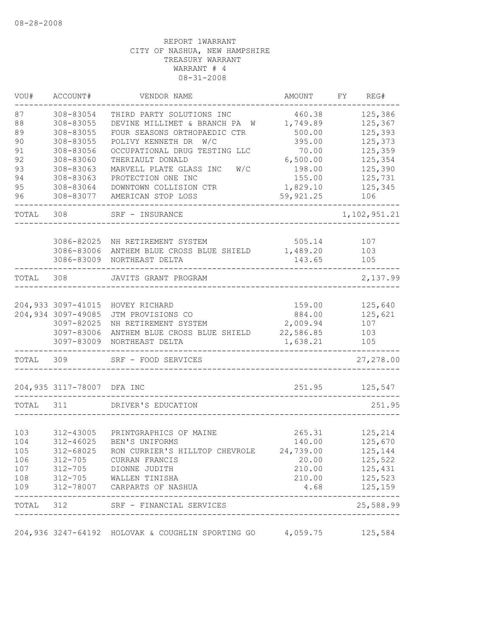| 87<br>460.38<br>308-83054<br>THIRD PARTY SOLUTIONS INC<br>88<br>308-83055<br>DEVINE MILLIMET & BRANCH PA W<br>1,749.89<br>89<br>308-83055<br>FOUR SEASONS ORTHOPAEDIC CTR<br>500.00<br>90<br>POLIVY KENNETH DR W/C<br>395.00<br>308-83055<br>91<br>OCCUPATIONAL DRUG TESTING LLC<br>70.00<br>308-83056<br>92<br>308-83060<br>THERIAULT DONALD<br>6,500.00<br>93<br>308-83063<br>MARVELL PLATE GLASS INC<br>W/C<br>198.00<br>94<br>308-83063<br>PROTECTION ONE INC<br>155.00<br>95<br>1,829.10<br>DOWNTOWN COLLISION CTR<br>308-83064<br>96<br>308-83077<br>59,921.25<br>AMERICAN STOP LOSS<br>TOTAL<br>308<br>SRF - INSURANCE<br>3086-82025<br>505.14<br>NH RETIREMENT SYSTEM<br>3086-83006<br>1,489.20<br>ANTHEM BLUE CROSS BLUE SHIELD<br>3086-83009<br>143.65<br>NORTHEAST DELTA<br>308<br>TOTAL<br>JAVITS GRANT PROGRAM<br>204,933 3097-41015<br>159.00<br>HOVEY RICHARD<br>204,934 3097-49085<br>884.00<br>JTM PROVISIONS CO<br>3097-82025<br>2,009.94<br>NH RETIREMENT SYSTEM<br>3097-83006<br>22,586.85<br>ANTHEM BLUE CROSS BLUE SHIELD<br>3097-83009<br>1,638.21<br>NORTHEAST DELTA<br>TOTAL<br>309<br>SRF - FOOD SERVICES | 125,386<br>125,367<br>125,393<br>125,373<br>125,359<br>125,354<br>125,390<br>125,731<br>125,345<br>106<br>107<br>103 |
|-------------------------------------------------------------------------------------------------------------------------------------------------------------------------------------------------------------------------------------------------------------------------------------------------------------------------------------------------------------------------------------------------------------------------------------------------------------------------------------------------------------------------------------------------------------------------------------------------------------------------------------------------------------------------------------------------------------------------------------------------------------------------------------------------------------------------------------------------------------------------------------------------------------------------------------------------------------------------------------------------------------------------------------------------------------------------------------------------------------------------------------|----------------------------------------------------------------------------------------------------------------------|
|                                                                                                                                                                                                                                                                                                                                                                                                                                                                                                                                                                                                                                                                                                                                                                                                                                                                                                                                                                                                                                                                                                                                     |                                                                                                                      |
|                                                                                                                                                                                                                                                                                                                                                                                                                                                                                                                                                                                                                                                                                                                                                                                                                                                                                                                                                                                                                                                                                                                                     |                                                                                                                      |
|                                                                                                                                                                                                                                                                                                                                                                                                                                                                                                                                                                                                                                                                                                                                                                                                                                                                                                                                                                                                                                                                                                                                     |                                                                                                                      |
|                                                                                                                                                                                                                                                                                                                                                                                                                                                                                                                                                                                                                                                                                                                                                                                                                                                                                                                                                                                                                                                                                                                                     | 1, 102, 951.21                                                                                                       |
|                                                                                                                                                                                                                                                                                                                                                                                                                                                                                                                                                                                                                                                                                                                                                                                                                                                                                                                                                                                                                                                                                                                                     |                                                                                                                      |
|                                                                                                                                                                                                                                                                                                                                                                                                                                                                                                                                                                                                                                                                                                                                                                                                                                                                                                                                                                                                                                                                                                                                     |                                                                                                                      |
|                                                                                                                                                                                                                                                                                                                                                                                                                                                                                                                                                                                                                                                                                                                                                                                                                                                                                                                                                                                                                                                                                                                                     |                                                                                                                      |
|                                                                                                                                                                                                                                                                                                                                                                                                                                                                                                                                                                                                                                                                                                                                                                                                                                                                                                                                                                                                                                                                                                                                     |                                                                                                                      |
|                                                                                                                                                                                                                                                                                                                                                                                                                                                                                                                                                                                                                                                                                                                                                                                                                                                                                                                                                                                                                                                                                                                                     |                                                                                                                      |
|                                                                                                                                                                                                                                                                                                                                                                                                                                                                                                                                                                                                                                                                                                                                                                                                                                                                                                                                                                                                                                                                                                                                     |                                                                                                                      |
|                                                                                                                                                                                                                                                                                                                                                                                                                                                                                                                                                                                                                                                                                                                                                                                                                                                                                                                                                                                                                                                                                                                                     |                                                                                                                      |
|                                                                                                                                                                                                                                                                                                                                                                                                                                                                                                                                                                                                                                                                                                                                                                                                                                                                                                                                                                                                                                                                                                                                     |                                                                                                                      |
|                                                                                                                                                                                                                                                                                                                                                                                                                                                                                                                                                                                                                                                                                                                                                                                                                                                                                                                                                                                                                                                                                                                                     |                                                                                                                      |
|                                                                                                                                                                                                                                                                                                                                                                                                                                                                                                                                                                                                                                                                                                                                                                                                                                                                                                                                                                                                                                                                                                                                     | 105                                                                                                                  |
|                                                                                                                                                                                                                                                                                                                                                                                                                                                                                                                                                                                                                                                                                                                                                                                                                                                                                                                                                                                                                                                                                                                                     |                                                                                                                      |
|                                                                                                                                                                                                                                                                                                                                                                                                                                                                                                                                                                                                                                                                                                                                                                                                                                                                                                                                                                                                                                                                                                                                     | 2,137.99                                                                                                             |
|                                                                                                                                                                                                                                                                                                                                                                                                                                                                                                                                                                                                                                                                                                                                                                                                                                                                                                                                                                                                                                                                                                                                     |                                                                                                                      |
|                                                                                                                                                                                                                                                                                                                                                                                                                                                                                                                                                                                                                                                                                                                                                                                                                                                                                                                                                                                                                                                                                                                                     | 125,640                                                                                                              |
|                                                                                                                                                                                                                                                                                                                                                                                                                                                                                                                                                                                                                                                                                                                                                                                                                                                                                                                                                                                                                                                                                                                                     | 125,621                                                                                                              |
|                                                                                                                                                                                                                                                                                                                                                                                                                                                                                                                                                                                                                                                                                                                                                                                                                                                                                                                                                                                                                                                                                                                                     | 107                                                                                                                  |
|                                                                                                                                                                                                                                                                                                                                                                                                                                                                                                                                                                                                                                                                                                                                                                                                                                                                                                                                                                                                                                                                                                                                     | 103                                                                                                                  |
|                                                                                                                                                                                                                                                                                                                                                                                                                                                                                                                                                                                                                                                                                                                                                                                                                                                                                                                                                                                                                                                                                                                                     | 105                                                                                                                  |
|                                                                                                                                                                                                                                                                                                                                                                                                                                                                                                                                                                                                                                                                                                                                                                                                                                                                                                                                                                                                                                                                                                                                     | 27,278.00                                                                                                            |
| 204,935 3117-78007<br>251.95<br>DFA INC                                                                                                                                                                                                                                                                                                                                                                                                                                                                                                                                                                                                                                                                                                                                                                                                                                                                                                                                                                                                                                                                                             | 125,547                                                                                                              |
| TOTAL<br>311<br>DRIVER'S EDUCATION                                                                                                                                                                                                                                                                                                                                                                                                                                                                                                                                                                                                                                                                                                                                                                                                                                                                                                                                                                                                                                                                                                  | 251.95                                                                                                               |
|                                                                                                                                                                                                                                                                                                                                                                                                                                                                                                                                                                                                                                                                                                                                                                                                                                                                                                                                                                                                                                                                                                                                     |                                                                                                                      |
| 103<br>312-43005<br>PRINTGRAPHICS OF MAINE<br>265.31                                                                                                                                                                                                                                                                                                                                                                                                                                                                                                                                                                                                                                                                                                                                                                                                                                                                                                                                                                                                                                                                                | 125,214                                                                                                              |
| 104<br>$312 - 46025$<br>BEN'S UNIFORMS<br>140.00                                                                                                                                                                                                                                                                                                                                                                                                                                                                                                                                                                                                                                                                                                                                                                                                                                                                                                                                                                                                                                                                                    | 125,670                                                                                                              |
| 105<br>312-68025<br>24,739.00<br>RON CURRIER'S HILLTOP CHEVROLE                                                                                                                                                                                                                                                                                                                                                                                                                                                                                                                                                                                                                                                                                                                                                                                                                                                                                                                                                                                                                                                                     | 125,144                                                                                                              |
| 312-705 CURRAN FRANCIS<br>106<br>20.00                                                                                                                                                                                                                                                                                                                                                                                                                                                                                                                                                                                                                                                                                                                                                                                                                                                                                                                                                                                                                                                                                              | 125,522                                                                                                              |
| 107<br>312-705 DIONNE JUDITH<br>210.00                                                                                                                                                                                                                                                                                                                                                                                                                                                                                                                                                                                                                                                                                                                                                                                                                                                                                                                                                                                                                                                                                              | 125,431                                                                                                              |
| 210.00<br>108<br>312-705 WALLEN TINISHA                                                                                                                                                                                                                                                                                                                                                                                                                                                                                                                                                                                                                                                                                                                                                                                                                                                                                                                                                                                                                                                                                             | 125,523                                                                                                              |
| 312-78007 CARPARTS OF NASHUA<br>109<br>4.68                                                                                                                                                                                                                                                                                                                                                                                                                                                                                                                                                                                                                                                                                                                                                                                                                                                                                                                                                                                                                                                                                         | 125,159                                                                                                              |
| TOTAL 312 SRF - FINANCIAL SERVICES<br>---------------------------                                                                                                                                                                                                                                                                                                                                                                                                                                                                                                                                                                                                                                                                                                                                                                                                                                                                                                                                                                                                                                                                   | -------<br>25,588.99                                                                                                 |
| 204,936 3247-64192 HOLOVAK & COUGHLIN SPORTING GO 4,059.75                                                                                                                                                                                                                                                                                                                                                                                                                                                                                                                                                                                                                                                                                                                                                                                                                                                                                                                                                                                                                                                                          | 125,584                                                                                                              |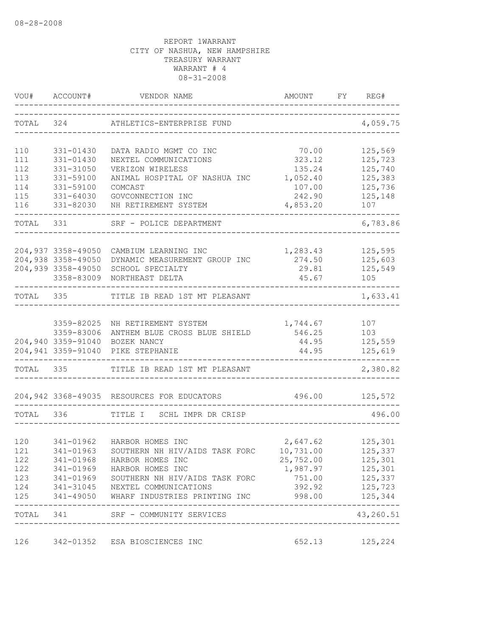| VOU#      | ACCOUNT#                | VENDOR NAME                                | AMOUNT                     | FY | REG#         |
|-----------|-------------------------|--------------------------------------------|----------------------------|----|--------------|
|           | TOTAL 324               | ATHLETICS-ENTERPRISE FUND                  |                            |    | 4,059.75     |
| 110       | 331-01430               | DATA RADIO MGMT CO INC                     | 70.00                      |    | 125,569      |
| 111       | 331-01430               | NEXTEL COMMUNICATIONS                      | 323.12                     |    | 125,723      |
| 112       | 331-31050               | VERIZON WIRELESS                           | 135.24                     |    | 125,740      |
| 113       | 331-59100               | ANIMAL HOSPITAL OF NASHUA INC              | 1,052.40                   |    | 125,383      |
| 114       | 331-59100               | COMCAST                                    | 107.00                     |    | 125,736      |
| 115       | 331-64030               | GOVCONNECTION INC                          | 242.90                     |    | 125,148      |
| 116       | 331-82030<br>---------- | NH RETIREMENT SYSTEM                       | 4,853.20<br>---------      |    | 107          |
| TOTAL     | 331                     | SRF - POLICE DEPARTMENT                    |                            |    | 6,783.86     |
|           | 204,937 3358-49050      | CAMBIUM LEARNING INC                       | 1,283.43                   |    | 125,595      |
|           | 204,938 3358-49050      | DYNAMIC MEASUREMENT GROUP INC              | 274.50                     |    | 125,603      |
|           | 204,939 3358-49050      | SCHOOL SPECIALTY                           | 29.81                      |    | 125,549      |
|           | 3358-83009              | NORTHEAST DELTA                            | 45.67                      |    | 105          |
| TOTAL 335 |                         | TITLE IB READ 1ST MT PLEASANT              |                            |    | 1,633.41     |
|           |                         |                                            |                            |    |              |
|           | 3359-82025              | NH RETIREMENT SYSTEM                       | 1,744.67                   |    | 107          |
|           | 3359-83006              | ANTHEM BLUE CROSS BLUE SHIELD              | 546.25                     |    | 103          |
|           |                         | 204,940 3359-91040 BOZEK NANCY             | 44.95                      |    | 125,559      |
|           |                         | 204,941 3359-91040 PIKE STEPHANIE          | 44.95                      |    | 125,619      |
| TOTAL 335 |                         | TITLE IB READ 1ST MT PLEASANT              |                            |    | 2,380.82     |
|           |                         | 204,942 3368-49035 RESOURCES FOR EDUCATORS | 496.00                     |    | 125,572      |
| TOTAL     | 336                     | TITLE I SCHL IMPR DR CRISP                 |                            |    | 496.00       |
|           |                         |                                            |                            |    |              |
| 120       | 341-01962               | HARBOR HOMES INC                           | 2,647.62                   |    | 125,301      |
| 121       | 341-01963               | SOUTHERN NH HIV/AIDS TASK FORC             | 10,731.00                  |    | 125,337      |
| 122       | 341-01968               | HARBOR HOMES INC                           | 25,752.00                  |    | 125,301      |
|           |                         | 122 341-01969 HARBOR HOMES INC             | 1,987.97                   |    | 125,301      |
| 123       |                         | 341-01969 SOUTHERN NH HIV/AIDS TASK FORC   | 751.00                     |    | 125,337      |
| 124       |                         | 341-31045 NEXTEL COMMUNICATIONS            | 392.92                     |    | 125,723      |
| 125       |                         | 341-49050 WHARF INDUSTRIES PRINTING INC    | 998.00                     |    | 125,344<br>. |
|           |                         | TOTAL 341 SRF - COMMUNITY SERVICES         | __________________________ |    | 43,260.51    |
| 126       |                         | 342-01352 ESA BIOSCIENCES INC              | 652.13 125,224             |    |              |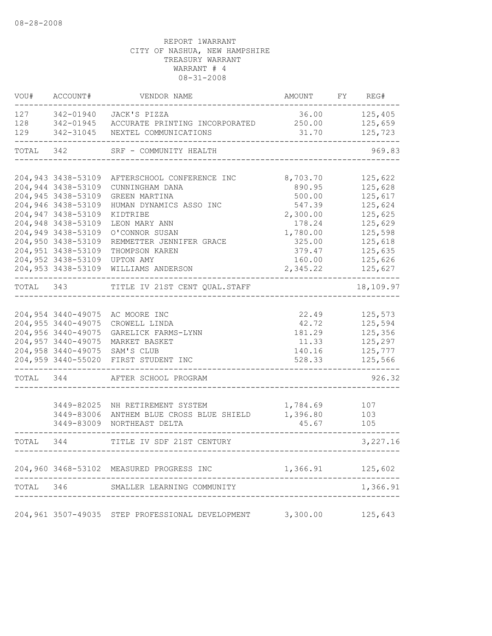| VOU#      | ACCOUNT#                     | VENDOR NAME                                                       | AMOUNT FY REG#   |           |
|-----------|------------------------------|-------------------------------------------------------------------|------------------|-----------|
| 127       |                              | 342-01940 JACK'S PIZZA                                            | 36.00            | 125,405   |
| 128       |                              | 342-01945 ACCURATE PRINTING INCORPORATED                          | 250.00           | 125,659   |
| 129       |                              | 342-31045 NEXTEL COMMUNICATIONS                                   | 31.70            | 125,723   |
|           | TOTAL 342                    | SRF - COMMUNITY HEALTH                                            |                  | 969.83    |
|           |                              | 204,943 3438-53109 AFTERSCHOOL CONFERENCE INC                     | 8,703.70         | 125,622   |
|           | 204,944 3438-53109           | CUNNINGHAM DANA                                                   | 890.95           | 125,628   |
|           | 204,945 3438-53109           | GREEN MARTINA                                                     | 500.00           | 125,617   |
|           | 204,946 3438-53109           | HUMAN DYNAMICS ASSO INC                                           | 547.39           | 125,624   |
|           | 204,947 3438-53109           | KIDTRIBE                                                          | 2,300.00         | 125,625   |
|           | 204,948 3438-53109           | LEON MARY ANN                                                     | 178.24           | 125,629   |
|           | 204,949 3438-53109           | O'CONNOR SUSAN                                                    | 1,780.00         | 125,598   |
|           | 204,950 3438-53109           | REMMETTER JENNIFER GRACE                                          | 325.00           | 125,618   |
|           | 204,951 3438-53109           | THOMPSON KAREN                                                    | 379.47           | 125,635   |
|           | 204,952 3438-53109 UPTON AMY |                                                                   | 160.00           | 125,626   |
|           |                              | 204,953 3438-53109 WILLIAMS ANDERSON                              | 2,345.22         | 125,627   |
| TOTAL 343 |                              | TITLE IV 21ST CENT QUAL.STAFF                                     |                  | 18,109.97 |
|           |                              |                                                                   |                  |           |
|           |                              | 204,954 3440-49075 AC MOORE INC                                   | 22.49            | 125,573   |
|           | 204,955 3440-49075           | CROWELL LINDA                                                     | 42.72            | 125,594   |
|           | 204,956 3440-49075           | GARELICK FARMS-LYNN                                               | 181.29           | 125,356   |
|           | 204,957 3440-49075           | MARKET BASKET                                                     | 11.33            | 125,297   |
|           |                              | 204,958 3440-49075 SAM'S CLUB                                     | 140.16           | 125,777   |
|           |                              | 204,959 3440-55020 FIRST STUDENT INC                              | 528.33           | 125,566   |
| TOTAL 344 |                              | AFTER SCHOOL PROGRAM                                              |                  | 926.32    |
|           |                              |                                                                   |                  |           |
|           |                              | 3449-82025 NH RETIREMENT SYSTEM                                   | 1,784.69         | 107       |
|           | 3449-83006                   | ANTHEM BLUE CROSS BLUE SHIELD                                     | 1,396.80         | 103       |
|           |                              | 3449-83009 NORTHEAST DELTA                                        | 45.67            | 105       |
| TOTAL 344 |                              | TITLE IV SDF 21ST CENTURY                                         |                  | 3, 227.16 |
|           |                              | 204,960 3468-53102 MEASURED PROGRESS INC                          | 1,366.91 125,602 |           |
|           |                              |                                                                   |                  |           |
|           | TOTAL 346                    | SMALLER LEARNING COMMUNITY                                        |                  | 1,366.91  |
|           |                              | 204,961 3507-49035 STEP PROFESSIONAL DEVELOPMENT 3,300.00 125,643 |                  |           |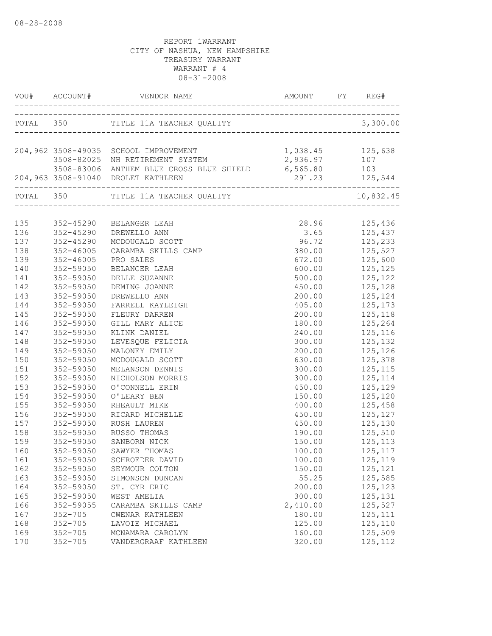|     |                                     | 204,962 3508-49035 SCHOOL IMPROVEMENT                 | 1,038.45 125,638 |                               |
|-----|-------------------------------------|-------------------------------------------------------|------------------|-------------------------------|
|     |                                     |                                                       | 2,936.97 107     |                               |
|     |                                     | 3508-83006 ANTHEM BLUE CROSS BLUE SHIELD 6,565.80 103 |                  |                               |
|     |                                     | 204,963 3508-91040 DROLET KATHLEEN                    |                  |                               |
|     |                                     |                                                       |                  | 10,832.45                     |
|     |                                     |                                                       |                  |                               |
| 135 |                                     | 352-45290 BELANGER LEAH                               |                  | 28.96 125,436                 |
| 136 | 352-45290                           | DREWELLO ANN                                          |                  | 3.65 125,437                  |
| 137 | 352-45290                           | MCDOUGALD SCOTT                                       | 96.72 125,233    |                               |
| 138 | $352 - 46005$                       | CARAMBA SKILLS CAMP                                   |                  | 380.00 125,527                |
| 139 | 352-46005                           | PRO SALES                                             | 672.00           | 125,600                       |
| 140 | 352-59050                           | BELANGER LEAH                                         | 600.00           | 125,125<br>125,122<br>125,128 |
| 141 | 352-59050                           | DELLE SUZANNE                                         | 500.00           |                               |
| 142 | 352-59050                           | DEMING JOANNE                                         | 450.00           |                               |
| 143 | 352-59050                           | DREWELLO ANN                                          | 200.00           | 125, 124                      |
| 144 | 352-59050                           | FARRELL KAYLEIGH                                      |                  | 405.00 125,173                |
| 145 | 352-59050                           | FLEURY DARREN                                         |                  | 200.00 125,118                |
| 146 | 352-59050                           | GILL MARY ALICE                                       |                  | 180.00 125,264                |
| 147 | 352-59050                           | KLINK DANIEL                                          |                  | 240.00 125,116                |
| 148 | 352-59050                           | LEVESQUE FELICIA                                      | 300.00           | 125, 132                      |
| 149 | 352-59050                           | MALONEY EMILY                                         | 200.00           | 125,126<br>125,378<br>125,115 |
| 150 | 352-59050                           | MCDOUGALD SCOTT                                       | 630.00           |                               |
| 151 | 352-59050                           | MELANSON DENNIS                                       | 300.00           |                               |
| 152 | 352-59050                           | NICHOLSON MORRIS                                      |                  | $300.00$ $125,114$            |
| 153 | 352-59050                           | O'CONNELL ERIN                                        |                  | 450.00 125,129                |
| 154 | 352-59050                           | O'LEARY BEN                                           |                  | 150.00 125,120                |
| 155 | 352-59050                           | RHEAULT MIKE                                          |                  | 400.00 125,458                |
| 156 | 352-59050                           | RICARD MICHELLE                                       |                  | 450.00 125,127                |
| 157 | 352-59050<br>352-59050<br>352-59050 | RUSH LAUREN                                           | 450.00           | 125,130                       |
| 158 |                                     | RUSSO THOMAS                                          | 190.00           |                               |
| 159 | 352-59050                           | SANBORN NICK                                          | 150.00           | 125,510<br>125,113            |
| 160 |                                     | 352-59050 SAWYER THOMAS                               | 100.00           | 125,117                       |
| 161 | 352-59050                           | SCHROEDER DAVID                                       | 100.00           | 125,119                       |
| 162 | 352-59050                           | SEYMOUR COLTON                                        | 150.00           | 125,121                       |
| 163 | 352-59050                           | SIMONSON DUNCAN                                       | 55.25            | 125,585                       |
| 164 | 352-59050                           | ST. CYR ERIC                                          | 200.00           | 125,123                       |
| 165 | 352-59050                           | WEST AMELIA                                           | 300.00           | 125,131                       |
| 166 | 352-59055                           | CARAMBA SKILLS CAMP                                   | 2,410.00         | 125,527                       |
| 167 | $352 - 705$                         | CWENAR KATHLEEN                                       | 180.00           | 125, 111                      |
| 168 | $352 - 705$                         | LAVOIE MICHAEL                                        | 125.00           | 125,110                       |
| 169 | $352 - 705$                         | MCNAMARA CAROLYN                                      | 160.00           | 125,509                       |
| 170 | $352 - 705$                         | VANDERGRAAF KATHLEEN                                  | 320.00           | 125, 112                      |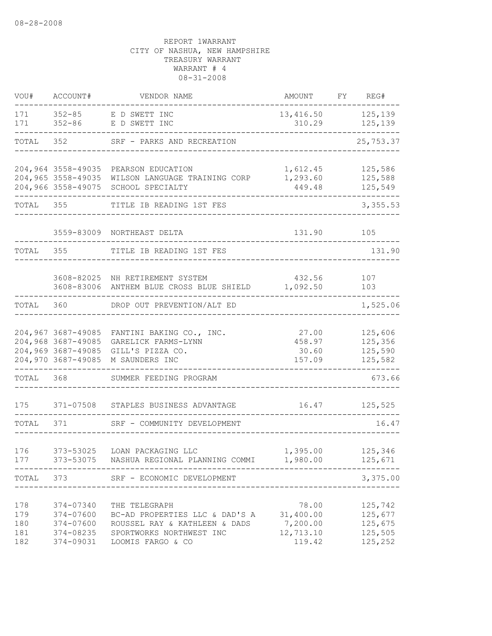| VOU#                            | ACCOUNT#                                                      | VENDOR NAME                                                                                                                       | AMOUNT                                                | FY | REG#                                                |
|---------------------------------|---------------------------------------------------------------|-----------------------------------------------------------------------------------------------------------------------------------|-------------------------------------------------------|----|-----------------------------------------------------|
| 171<br>171                      | $352 - 85$<br>$352 - 86$                                      | E D SWETT INC<br>E D SWETT INC                                                                                                    | 13,416.50<br>310.29                                   |    | 125,139<br>125,139                                  |
| TOTAL                           | 352                                                           | SRF - PARKS AND RECREATION                                                                                                        |                                                       |    | 25,753.37                                           |
|                                 | 204,966 3558-49075                                            | 204,964 3558-49035 PEARSON EDUCATION<br>204,965 3558-49035 WILSON LANGUAGE TRAINING CORP<br>SCHOOL SPECIALTY                      | 1,612.45<br>1,293.60<br>449.48                        |    | 125,586<br>125,588<br>125,549                       |
| TOTAL                           | 355                                                           | TITLE IB READING 1ST FES                                                                                                          |                                                       |    | 3,355.53                                            |
|                                 | 3559-83009                                                    | NORTHEAST DELTA                                                                                                                   | 131.90                                                |    | 105                                                 |
| TOTAL                           | 355                                                           | TITLE IB READING 1ST FES                                                                                                          |                                                       |    | 131.90                                              |
|                                 |                                                               | 3608-82025 NH RETIREMENT SYSTEM<br>3608-83006 ANTHEM BLUE CROSS BLUE SHIELD                                                       | 432.56<br>1,092.50                                    |    | 107<br>103                                          |
| TOTAL                           | 360                                                           | DROP OUT PREVENTION/ALT ED                                                                                                        |                                                       |    | 1,525.06                                            |
|                                 | 204,969 3687-49085<br>204,970 3687-49085                      | 204,967 3687-49085 FANTINI BAKING CO., INC.<br>204,968 3687-49085 GARELICK FARMS-LYNN<br>GILL'S PIZZA CO.<br>M SAUNDERS INC       | 27.00<br>458.97<br>30.60<br>157.09                    |    | 125,606<br>125,356<br>125,590<br>125,582            |
| TOTAL                           | 368                                                           | SUMMER FEEDING PROGRAM                                                                                                            |                                                       |    | 673.66                                              |
| 175                             | 371-07508                                                     | STAPLES BUSINESS ADVANTAGE                                                                                                        | 16.47                                                 |    | 125,525                                             |
| TOTAL                           | 371                                                           | SRF - COMMUNITY DEVELOPMENT                                                                                                       |                                                       |    | 16.47                                               |
| 176<br>177                      | 373-53025                                                     | LOAN PACKAGING LLC<br>373-53075 NASHUA REGIONAL PLANNING COMMI 1,980.00                                                           | 1,395.00                                              |    | 125,346<br>125,671<br>$- - - - -$                   |
| TOTAL                           | 373                                                           | SRF - ECONOMIC DEVELOPMENT                                                                                                        |                                                       |    | 3,375.00                                            |
| 178<br>179<br>180<br>181<br>182 | 374-07340<br>374-07600<br>374-07600<br>374-08235<br>374-09031 | THE TELEGRAPH<br>BC-AD PROPERTIES LLC & DAD'S A<br>ROUSSEL RAY & KATHLEEN & DADS<br>SPORTWORKS NORTHWEST INC<br>LOOMIS FARGO & CO | 78.00<br>31,400.00<br>7,200.00<br>12,713.10<br>119.42 |    | 125,742<br>125,677<br>125,675<br>125,505<br>125,252 |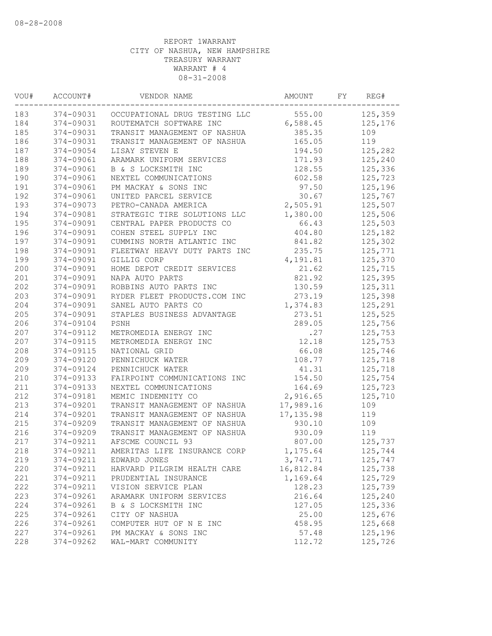| VOU# | ACCOUNT#  | VENDOR NAME                             | AMOUNT     | FY | REG#    |
|------|-----------|-----------------------------------------|------------|----|---------|
| 183  |           | 374-09031 OCCUPATIONAL DRUG TESTING LLC | 555.00     |    | 125,359 |
| 184  | 374-09031 | ROUTEMATCH SOFTWARE INC                 | 6,588.45   |    | 125,176 |
| 185  | 374-09031 | TRANSIT MANAGEMENT OF NASHUA            | 385.35     |    | 109     |
| 186  | 374-09031 | TRANSIT MANAGEMENT OF NASHUA            | 165.05     |    | 119     |
| 187  | 374-09054 | LISAY STEVEN E                          | 194.50     |    | 125,282 |
| 188  | 374-09061 | ARAMARK UNIFORM SERVICES                | 171.93     |    | 125,240 |
| 189  | 374-09061 | B & S LOCKSMITH INC                     | 128.55     |    | 125,336 |
| 190  | 374-09061 | NEXTEL COMMUNICATIONS                   | 602.58     |    | 125,723 |
| 191  | 374-09061 | PM MACKAY & SONS INC                    | 97.50      |    | 125,196 |
| 192  | 374-09061 | UNITED PARCEL SERVICE                   | 30.67      |    | 125,767 |
| 193  | 374-09073 | PETRO-CANADA AMERICA                    | 2,505.91   |    | 125,507 |
| 194  | 374-09081 | STRATEGIC TIRE SOLUTIONS LLC            | 1,380.00   |    | 125,506 |
| 195  | 374-09091 | CENTRAL PAPER PRODUCTS CO               | 66.43      |    | 125,503 |
| 196  | 374-09091 | COHEN STEEL SUPPLY INC                  | 404.80     |    | 125,182 |
| 197  | 374-09091 | CUMMINS NORTH ATLANTIC INC              | 841.82     |    | 125,302 |
| 198  | 374-09091 | FLEETWAY HEAVY DUTY PARTS INC           | 235.75     |    | 125,771 |
| 199  | 374-09091 | GILLIG CORP                             | 4,191.81   |    | 125,370 |
| 200  | 374-09091 | HOME DEPOT CREDIT SERVICES              | 21.62      |    | 125,715 |
| 201  | 374-09091 | NAPA AUTO PARTS                         | 821.92     |    | 125,395 |
| 202  | 374-09091 | ROBBINS AUTO PARTS INC                  | 130.59     |    | 125,311 |
| 203  | 374-09091 | RYDER FLEET PRODUCTS.COM INC            | 273.19     |    | 125,398 |
| 204  | 374-09091 | SANEL AUTO PARTS CO                     | 1,374.83   |    | 125,291 |
| 205  | 374-09091 | STAPLES BUSINESS ADVANTAGE              | 273.51     |    | 125,525 |
| 206  | 374-09104 | PSNH                                    | 289.05     |    | 125,756 |
| 207  | 374-09112 | METROMEDIA ENERGY INC                   | .27        |    | 125,753 |
| 207  | 374-09115 | METROMEDIA ENERGY INC                   | 12.18      |    | 125,753 |
| 208  | 374-09115 | NATIONAL GRID                           | 66.08      |    | 125,746 |
| 209  | 374-09120 | PENNICHUCK WATER                        | 108.77     |    | 125,718 |
| 209  | 374-09124 | PENNICHUCK WATER                        | 41.31      |    | 125,718 |
| 210  | 374-09133 | FAIRPOINT COMMUNICATIONS INC            | 154.50     |    | 125,754 |
| 211  | 374-09133 | NEXTEL COMMUNICATIONS                   | 164.69     |    | 125,723 |
| 212  | 374-09181 | MEMIC INDEMNITY CO                      | 2,916.65   |    | 125,710 |
| 213  | 374-09201 | TRANSIT MANAGEMENT OF NASHUA            | 17,989.16  |    | 109     |
| 214  | 374-09201 | TRANSIT MANAGEMENT OF NASHUA            | 17, 135.98 |    | 119     |
| 215  | 374-09209 | TRANSIT MANAGEMENT OF NASHUA            | 930.10     |    | 109     |
| 216  | 374-09209 | TRANSIT MANAGEMENT OF NASHUA            | 930.09     |    | 119     |
| 217  | 374-09211 | AFSCME COUNCIL 93                       | 807.00     |    | 125,737 |
| 218  | 374-09211 | AMERITAS LIFE INSURANCE CORP            | 1,175.64   |    | 125,744 |
| 219  | 374-09211 | EDWARD JONES                            | 3,747.71   |    | 125,747 |
| 220  | 374-09211 | HARVARD PILGRIM HEALTH CARE             | 16,812.84  |    | 125,738 |
| 221  | 374-09211 | PRUDENTIAL INSURANCE                    | 1,169.64   |    | 125,729 |
| 222  | 374-09211 | VISION SERVICE PLAN                     | 128.23     |    | 125,739 |
| 223  | 374-09261 | ARAMARK UNIFORM SERVICES                | 216.64     |    | 125,240 |
| 224  | 374-09261 | B & S LOCKSMITH INC                     | 127.05     |    | 125,336 |
| 225  | 374-09261 | CITY OF NASHUA                          | 25.00      |    | 125,676 |
| 226  | 374-09261 | COMPUTER HUT OF N E INC                 | 458.95     |    | 125,668 |
| 227  | 374-09261 | PM MACKAY & SONS INC                    | 57.48      |    | 125,196 |
| 228  | 374-09262 | WAL-MART COMMUNITY                      | 112.72     |    | 125,726 |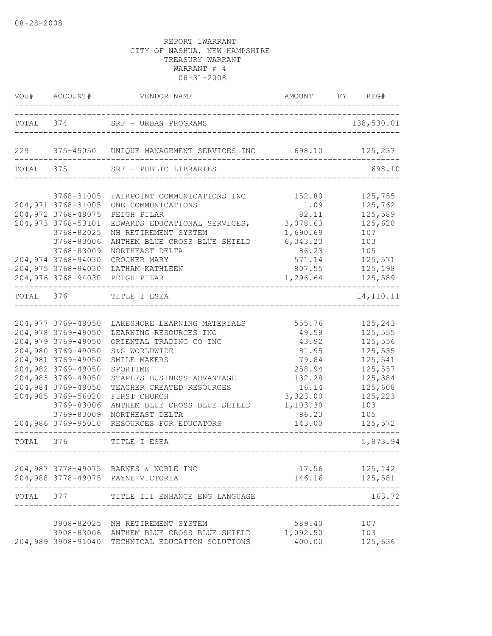|           | VOU# ACCOUNT#      | VENDOR NAME AMOUNT                                          | AMOUNT FY REG# |            |
|-----------|--------------------|-------------------------------------------------------------|----------------|------------|
|           |                    | TOTAL 374 SRF - URBAN PROGRAMS<br>----------------------    |                | 138,530.01 |
|           |                    | 229 375-45050 UNIQUE MANAGEMENT SERVICES INC 698.10 125,237 |                |            |
| TOTAL 375 |                    | SRF - PUBLIC LIBRARIES                                      |                | 698.10     |
|           | 3768-31005         | FAIRPOINT COMMUNICATIONS INC                                | 152.80         | 125,755    |
|           | 204,971 3768-31005 | ONE COMMUNICATIONS                                          | 1.09           | 125,762    |
|           | 204,972 3768-49075 |                                                             | 82.11          | 125,589    |
|           |                    | PEIGH PILAR                                                 |                |            |
|           | 204,973 3768-53101 | EDWARDS EDUCATIONAL SERVICES,                               | 3,078.63       | 125,620    |
|           | 3768-82025         | NH RETIREMENT SYSTEM                                        | 1,690.69       | 107        |
|           | 3768-83006         | ANTHEM BLUE CROSS BLUE SHIELD                               | 6,343.23       | 103        |
|           | 3768-83009         | NORTHEAST DELTA                                             | 86.23          | 105        |
|           | 204,974 3768-94030 | CROCKER MARY                                                | 571.14         | 125,571    |
|           | 204,975 3768-94030 | LATHAM KATHLEEN                                             | 807.55         | 125,198    |
|           |                    | 204,976 3768-94030 PEIGH PILAR                              | 1,296.64       | 125,589    |
| TOTAL 376 |                    | TITLE I ESEA<br>-------------------------------             |                | 14,110.11  |
|           |                    |                                                             |                |            |
|           | 204,977 3769-49050 | LAKESHORE LEARNING MATERIALS                                | 555.76         | 125,243    |
|           | 204,978 3769-49050 | LEARNING RESOURCES INC                                      | 49.58          | 125,555    |
|           | 204,979 3769-49050 | ORIENTAL TRADING CO INC                                     | 43.92          | 125,556    |
|           | 204,980 3769-49050 | S&S WORLDWIDE                                               | 81.95          | 125,535    |
|           | 204,981 3769-49050 | SMILE MAKERS                                                | 79.84          | 125,541    |
|           | 204,982 3769-49050 | SPORTIME                                                    | 258.94         | 125,557    |
|           | 204,983 3769-49050 | STAPLES BUSINESS ADVANTAGE                                  | 132.28         | 125,384    |
|           | 204,984 3769-49050 | TEACHER CREATED RESOURCES                                   | 16.14          | 125,608    |
|           | 204,985 3769-56020 | FIRST CHURCH                                                | 3,323.00       | 125,223    |
|           | 3769-83006         | ANTHEM BLUE CROSS BLUE SHIELD                               | 1,103.30       | 103        |
|           | 3769-83009         | NORTHEAST DELTA                                             | 86.23          | 105        |
|           | 204,986 3769-95010 | RESOURCES FOR EDUCATORS                                     | 143.00         | 125,572    |
| TOTAL 376 |                    | TITLE I ESEA                                                |                | 5,873.94   |
|           |                    |                                                             |                |            |
|           |                    | 204,987 3778-49075 BARNES & NOBLE INC                       | 17.56          | 125,142    |
|           |                    | 204,988 3778-49075 PAYNE VICTORIA                           | 146.16         | 125,581    |
| TOTAL     | 377                | TITLE III ENHANCE ENG LANGUAGE                              |                | 163.72     |
|           |                    |                                                             |                |            |
|           |                    | 3908-82025 NH RETIREMENT SYSTEM                             | 589.40         | 107        |
|           |                    | 3908-83006 ANTHEM BLUE CROSS BLUE SHIELD                    | 1,092.50       | 103        |
|           |                    | 204,989 3908-91040 TECHNICAL EDUCATION SOLUTIONS            | 400.00         | 125,636    |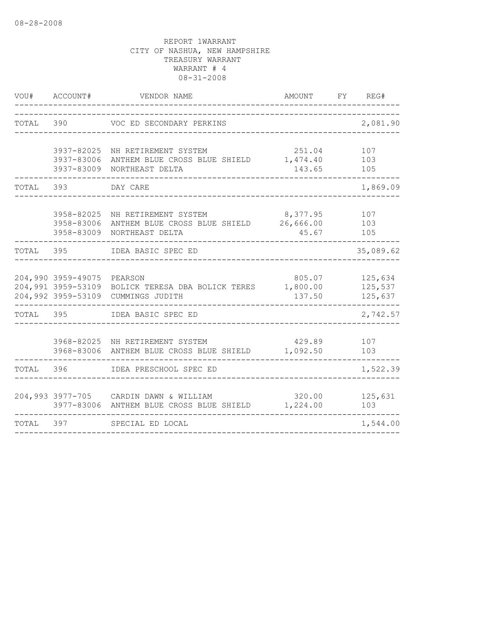| VOU#      | ACCOUNT#                                                       | VENDOR NAME                                                                 | AMOUNT                         | FY REG#                       |
|-----------|----------------------------------------------------------------|-----------------------------------------------------------------------------|--------------------------------|-------------------------------|
| TOTAL     | 390                                                            | VOC ED SECONDARY PERKINS                                                    |                                | 2,081.90                      |
|           | 3937-82025<br>3937-83006<br>3937-83009                         | NH RETIREMENT SYSTEM<br>ANTHEM BLUE CROSS BLUE SHIELD<br>NORTHEAST DELTA    | 251.04<br>1,474.40<br>143.65   | 107<br>103<br>105             |
| TOTAL     | 393                                                            | DAY CARE                                                                    |                                | 1,869.09                      |
|           | 3958-82025<br>3958-83006<br>3958-83009                         | NH RETIREMENT SYSTEM<br>ANTHEM BLUE CROSS BLUE SHIELD<br>NORTHEAST DELTA    | 8,377.95<br>26,666.00<br>45.67 | 107<br>103<br>105             |
| TOTAL     | 395                                                            | IDEA BASIC SPEC ED                                                          |                                | 35,089.62                     |
|           | 204,990 3959-49075<br>204,991 3959-53109<br>204,992 3959-53109 | PEARSON<br>BOLICK TERESA DBA BOLICK TERES<br>CUMMINGS JUDITH                | 805.07<br>1,800.00<br>137.50   | 125,634<br>125,537<br>125,637 |
| TOTAL 395 |                                                                | IDEA BASIC SPEC ED                                                          |                                | 2,742.57                      |
|           |                                                                | 3968-82025 NH RETIREMENT SYSTEM<br>3968-83006 ANTHEM BLUE CROSS BLUE SHIELD | 429.89<br>1,092.50             | 107<br>103                    |
| TOTAL     | 396                                                            | IDEA PRESCHOOL SPEC ED                                                      |                                | 1,522.39                      |
|           | 3977-83006                                                     | 204,993 3977-705 CARDIN DAWN & WILLIAM<br>ANTHEM BLUE CROSS BLUE SHIELD     | 320.00<br>1,224.00             | 125,631<br>103                |
| TOTAL     | 397                                                            | SPECIAL ED LOCAL                                                            |                                | 1,544.00                      |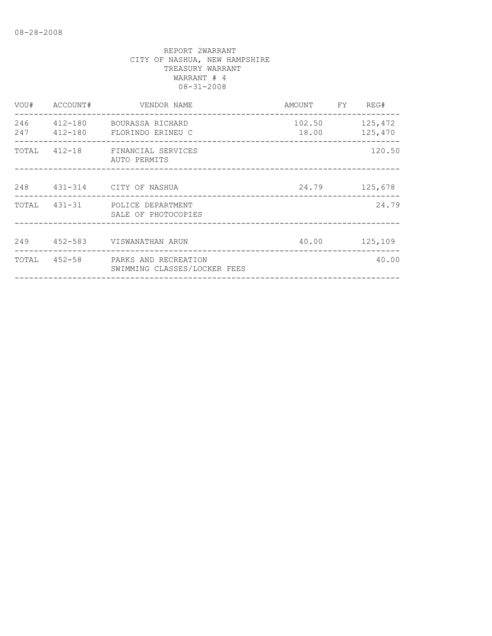| VOU#       | ACCOUNT# | VENDOR NAME                                                       | AMOUNT FY REG# |                |
|------------|----------|-------------------------------------------------------------------|----------------|----------------|
| 246<br>247 |          | 412-180 BOURASSA RICHARD<br>412-180 FLORINDO ERINEU C             | 18.00 125,470  | 102.50 125,472 |
|            |          | TOTAL 412-18 FINANCIAL SERVICES<br>AUTO PERMITS                   |                | 120.50         |
|            |          | 248 431-314 CITY OF NASHUA                                        | 24.79          | 125,678        |
|            |          | TOTAL 431-31 POLICE DEPARTMENT<br>SALE OF PHOTOCOPIES             |                | 24.79          |
|            |          | 249 452-583 VISWANATHAN ARUN                                      |                | 40.00 125,109  |
|            |          | TOTAL 452-58 PARKS AND RECREATION<br>SWIMMING CLASSES/LOCKER FEES |                | 40.00          |
|            |          |                                                                   |                |                |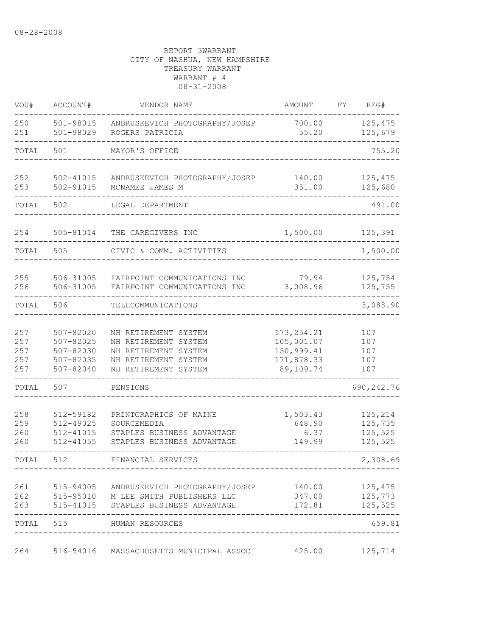| VOU#                            | ACCOUNT#                                                          | VENDOR NAME                                                                                                                                 | AMOUNT                                                             | FΥ | REG#                                     |
|---------------------------------|-------------------------------------------------------------------|---------------------------------------------------------------------------------------------------------------------------------------------|--------------------------------------------------------------------|----|------------------------------------------|
| 250<br>251                      | $501 - 98015$<br>501-98029                                        | ANDRUSKEVICH PHOTOGRAPHY/JOSEP<br>ROGERS PATRICIA                                                                                           | 700.00<br>55.20                                                    |    | 125,475<br>125,679                       |
| TOTAL                           | 501                                                               | MAYOR'S OFFICE                                                                                                                              |                                                                    |    | 755.20                                   |
| 252<br>253                      | 502-41015<br>502-91015                                            | ANDRUSKEVICH PHOTOGRAPHY/JOSEP<br>MCNAMEE JAMES M                                                                                           | 140.00<br>351.00                                                   |    | 125,475<br>125,680                       |
| TOTAL                           | 502                                                               | LEGAL DEPARTMENT                                                                                                                            |                                                                    |    | 491.00                                   |
| 254                             | 505-81014                                                         | THE CAREGIVERS INC                                                                                                                          | 1,500.00                                                           |    | 125,391                                  |
| TOTAL                           | 505                                                               | CIVIC & COMM. ACTIVITIES                                                                                                                    |                                                                    |    | 1,500.00                                 |
| 255<br>256                      | 506-31005<br>506-31005                                            | FAIRPOINT COMMUNICATIONS INC<br>FAIRPOINT COMMUNICATIONS INC                                                                                | 79.94<br>3,008.96                                                  |    | 125,754<br>125,755                       |
| TOTAL                           | 506                                                               | TELECOMMUNICATIONS                                                                                                                          |                                                                    |    | 3,088.90                                 |
| 257<br>257<br>257<br>257<br>257 | 507-82020<br>507-82025<br>507-82030<br>507-82035<br>$507 - 82040$ | NH RETIREMENT SYSTEM<br>NH RETIREMENT SYSTEM<br>NH RETIREMENT SYSTEM<br>NH RETIREMENT SYSTEM<br>NH RETIREMENT SYSTEM                        | 173, 254.21<br>105,001.07<br>150,999.41<br>171,878.33<br>89,109.74 |    | 107<br>107<br>107<br>107<br>107          |
| TOTAL                           | 507                                                               | PENSIONS                                                                                                                                    |                                                                    |    | 690, 242.76                              |
| 258<br>259<br>260<br>260        | 512-59182<br>512-49025<br>512-41015<br>512-41055                  | PRINTGRAPHICS OF MAINE<br>SOURCEMEDIA<br>STAPLES BUSINESS ADVANTAGE<br>STAPLES BUSINESS ADVANTAGE                                           | 1,503.43<br>648.90<br>6.37<br>149.99                               |    | 125,214<br>125,735<br>125,525<br>125,525 |
| TOTAL                           | 512                                                               | FINANCIAL SERVICES                                                                                                                          |                                                                    |    | 2,308.69                                 |
| 261<br>263                      |                                                                   | 515-94005 ANDRUSKEVICH PHOTOGRAPHY/JOSEP 140.00 125,475<br>262 515-95010 M LEE SMITH PUBLISHERS LLC<br>515-41015 STAPLES BUSINESS ADVANTAGE | 347.00 125,773                                                     |    | 172.81 125,525                           |
|                                 |                                                                   | TOTAL 515 HUMAN RESOURCES                                                                                                                   |                                                                    |    | 659.81                                   |
| 264                             |                                                                   | 516-54016 MASSACHUSETTS MUNICIPAL ASSOCI 425.00                                                                                             |                                                                    |    | 125,714                                  |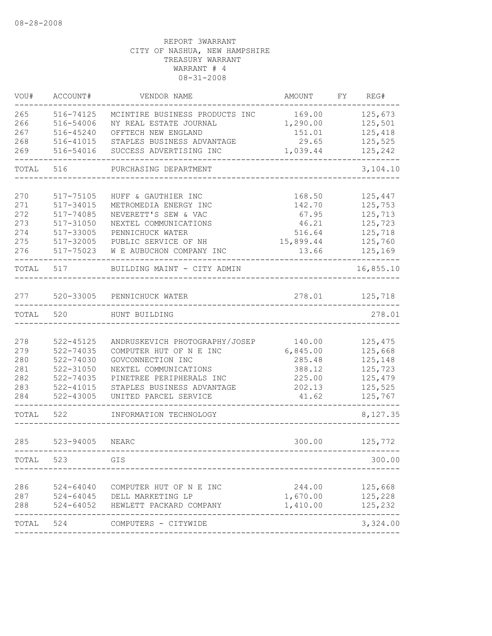| VOU#  | ACCOUNT#      | VENDOR NAME                       | AMOUNT    | FY | REG#      |
|-------|---------------|-----------------------------------|-----------|----|-----------|
| 265   | 516-74125     | MCINTIRE BUSINESS PRODUCTS INC    | 169.00    |    | 125,673   |
| 266   | 516-54006     | NY REAL ESTATE JOURNAL            | 1,290.00  |    | 125,501   |
| 267   | 516-45240     | OFFTECH NEW ENGLAND               | 151.01    |    | 125,418   |
| 268   | 516-41015     | STAPLES BUSINESS ADVANTAGE        | 29.65     |    | 125,525   |
| 269   | 516-54016     | SUCCESS ADVERTISING INC           | 1,039.44  |    | 125,242   |
| TOTAL | 516           | PURCHASING DEPARTMENT             |           |    | 3,104.10  |
| 270   | 517-75105     | HUFF & GAUTHIER INC               | 168.50    |    | 125,447   |
| 271   | 517-34015     | METROMEDIA ENERGY INC             | 142.70    |    | 125,753   |
| 272   | 517-74085     | NEVERETT'S SEW & VAC              | 67.95     |    | 125,713   |
| 273   | 517-31050     | NEXTEL COMMUNICATIONS             | 46.21     |    | 125,723   |
| 274   | 517-33005     | PENNICHUCK WATER                  | 516.64    |    | 125,718   |
| 275   | 517-32005     | PUBLIC SERVICE OF NH              | 15,899.44 |    | 125,760   |
| 276   | 517-75023     | W E AUBUCHON COMPANY INC          | 13.66     |    | 125,169   |
| TOTAL | 517           | BUILDING MAINT - CITY ADMIN       |           |    | 16,855.10 |
| 277   | 520-33005     | PENNICHUCK WATER                  | 278.01    |    | 125,718   |
| TOTAL | 520           | HUNT BUILDING                     |           |    | 278.01    |
|       |               |                                   |           |    |           |
| 278   | $522 - 45125$ | ANDRUSKEVICH PHOTOGRAPHY/JOSEP    | 140.00    |    | 125,475   |
| 279   | 522-74035     | COMPUTER HUT OF N E INC           | 6,845.00  |    | 125,668   |
| 280   | 522-74030     | GOVCONNECTION INC                 | 285.48    |    | 125,148   |
| 281   | 522-31050     | NEXTEL COMMUNICATIONS             | 388.12    |    | 125,723   |
| 282   | 522-74035     | PINETREE PERIPHERALS INC          | 225.00    |    | 125,479   |
| 283   | $522 - 41015$ | STAPLES BUSINESS ADVANTAGE        | 202.13    |    | 125,525   |
| 284   | 522-43005     | UNITED PARCEL SERVICE             | 41.62     |    | 125,767   |
| TOTAL | 522           | INFORMATION TECHNOLOGY            |           |    | 8,127.35  |
| 285   | $523 - 94005$ | NEARC                             | 300.00    |    | 125,772   |
| TOTAL | 523           | GIS                               |           |    | 300.00    |
|       |               |                                   |           |    |           |
| 286   | $524 - 64040$ | COMPUTER HUT OF N E INC           | 244.00    |    | 125,668   |
| 287   |               | 524-64045 DELL MARKETING LP       | 1,670.00  |    | 125,228   |
| 288   |               | 524-64052 HEWLETT PACKARD COMPANY | 1,410.00  |    | 125,232   |
| TOTAL | 524           | COMPUTERS - CITYWIDE              |           |    | 3,324.00  |
|       |               |                                   |           |    |           |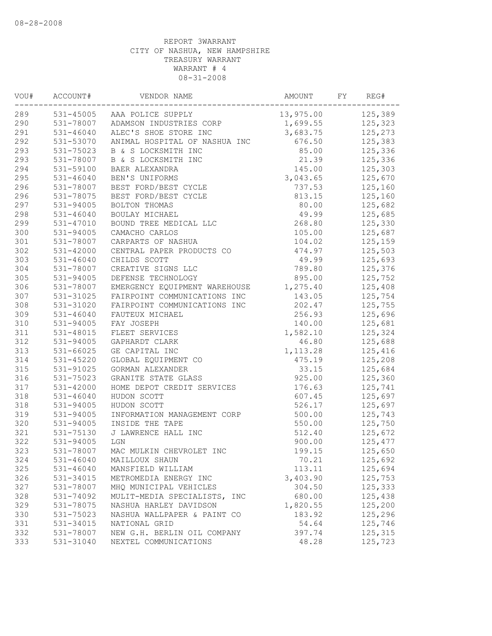| VOU# | ACCOUNT#      | VENDOR NAME                       | AMOUNT    | FY | REG#    |
|------|---------------|-----------------------------------|-----------|----|---------|
| 289  |               | 531-45005 AAA POLICE SUPPLY       | 13,975.00 |    | 125,389 |
| 290  |               | 531-78007 ADAMSON INDUSTRIES CORP | 1,699.55  |    | 125,323 |
| 291  | 531-46040     | ALEC'S SHOE STORE INC             | 3,683.75  |    | 125,273 |
| 292  | 531-53070     | ANIMAL HOSPITAL OF NASHUA INC     | 676.50    |    | 125,383 |
| 293  | 531-75023     | B & S LOCKSMITH INC               | 85.00     |    | 125,336 |
| 293  | 531-78007     | B & S LOCKSMITH INC               | 21.39     |    | 125,336 |
| 294  | 531-59100     | BAER ALEXANDRA                    | 145.00    |    | 125,303 |
| 295  | 531-46040     | BEN'S UNIFORMS                    | 3,043.65  |    | 125,670 |
| 296  | 531-78007     | BEST FORD/BEST CYCLE              | 737.53    |    | 125,160 |
| 296  | 531-78075     | BEST FORD/BEST CYCLE              | 813.15    |    | 125,160 |
| 297  | 531-94005     | BOLTON THOMAS                     | 80.00     |    | 125,682 |
| 298  | 531-46040     | BOULAY MICHAEL                    | 49.99     |    | 125,685 |
| 299  | 531-47010     | BOUND TREE MEDICAL LLC            | 268.80    |    | 125,330 |
| 300  | 531-94005     | CAMACHO CARLOS                    | 105.00    |    | 125,687 |
| 301  | 531-78007     | CARPARTS OF NASHUA                | 104.02    |    | 125,159 |
| 302  | $531 - 42000$ | CENTRAL PAPER PRODUCTS CO         | 474.97    |    | 125,503 |
| 303  | 531-46040     | CHILDS SCOTT                      | 49.99     |    | 125,693 |
| 304  | 531-78007     | CREATIVE SIGNS LLC                | 789.80    |    | 125,376 |
| 305  | 531-94005     | DEFENSE TECHNOLOGY                | 895.00    |    | 125,752 |
| 306  | 531-78007     | EMERGENCY EQUIPMENT WAREHOUSE     | 1,275.40  |    | 125,408 |
| 307  | 531-31025     | FAIRPOINT COMMUNICATIONS INC      | 143.05    |    | 125,754 |
| 308  | 531-31020     | FAIRPOINT COMMUNICATIONS INC      | 202.47    |    | 125,755 |
| 309  | $531 - 46040$ | FAUTEUX MICHAEL                   | 256.93    |    | 125,696 |
| 310  | 531-94005     | FAY JOSEPH                        | 140.00    |    | 125,681 |
| 311  | 531-48015     | FLEET SERVICES                    | 1,582.10  |    | 125,324 |
| 312  | 531-94005     | GAPHARDT CLARK                    | 46.80     |    | 125,688 |
| 313  | 531-66025     | GE CAPITAL INC                    | 1, 113.28 |    | 125,416 |
| 314  | $531 - 45220$ | GLOBAL EQUIPMENT CO               | 475.19    |    | 125,208 |
| 315  | 531-91025     | GORMAN ALEXANDER                  | 33.15     |    | 125,684 |
| 316  | 531-75023     | GRANITE STATE GLASS               | 925.00    |    | 125,360 |
| 317  | 531-42000     | HOME DEPOT CREDIT SERVICES        | 176.63    |    | 125,741 |
| 318  | $531 - 46040$ | HUDON SCOTT                       | 607.45    |    | 125,697 |
| 318  | 531-94005     | HUDON SCOTT                       | 526.17    |    | 125,697 |
| 319  | 531-94005     | INFORMATION MANAGEMENT CORP       | 500.00    |    | 125,743 |
| 320  | 531-94005     | INSIDE THE TAPE                   | 550.00    |    | 125,750 |
| 321  | 531-75130     | J LAWRENCE HALL INC               | 512.40    |    | 125,672 |
| 322  | 531-94005     | LGN                               | 900.00    |    | 125,477 |
| 323  | 531-78007     | MAC MULKIN CHEVROLET INC          | 199.15    |    | 125,650 |
| 324  | 531-46040     | MAILLOUX SHAUN                    | 70.21     |    | 125,692 |
| 325  | $531 - 46040$ | MANSFIELD WILLIAM                 | 113.11    |    | 125,694 |
| 326  | 531-34015     | METROMEDIA ENERGY INC             | 3,403.90  |    | 125,753 |
| 327  | 531-78007     | MHQ MUNICIPAL VEHICLES            | 304.50    |    | 125,333 |
| 328  | 531-74092     | MULIT-MEDIA SPECIALISTS, INC      | 680.00    |    | 125,438 |
| 329  | 531-78075     | NASHUA HARLEY DAVIDSON            | 1,820.55  |    | 125,200 |
| 330  | 531-75023     | NASHUA WALLPAPER & PAINT CO       | 183.92    |    | 125,296 |
| 331  | 531-34015     | NATIONAL GRID                     | 54.64     |    | 125,746 |
| 332  | 531-78007     | NEW G.H. BERLIN OIL COMPANY       | 397.74    |    | 125,315 |
| 333  | 531-31040     | NEXTEL COMMUNICATIONS             | 48.28     |    | 125,723 |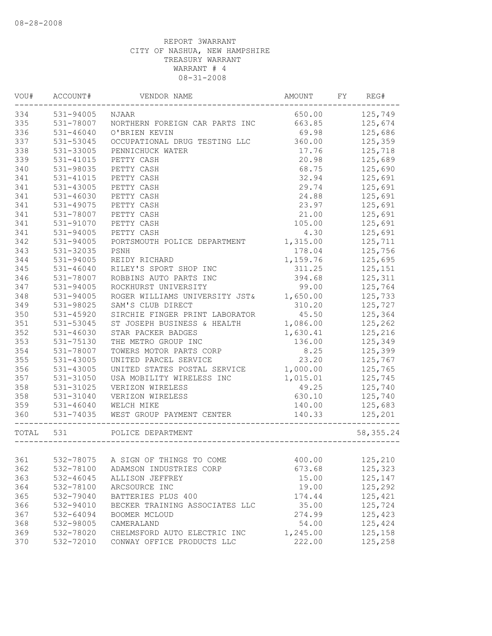| VOU#      | ACCOUNT#            | VENDOR NAME                              | AMOUNT FY REG# |                |
|-----------|---------------------|------------------------------------------|----------------|----------------|
|           | 334 531-94005 NJAAR |                                          |                | 650.00 125,749 |
| 335       |                     | 531-78007 NORTHERN FOREIGN CAR PARTS INC | 663.85         | 125,674        |
| 336       | 531-46040           | O'BRIEN KEVIN                            | 69.98          | 125,686        |
| 337       | 531-53045           | OCCUPATIONAL DRUG TESTING LLC            | 360.00         | 125,359        |
| 338       | 531-33005           | PENNICHUCK WATER                         | 17.76          | 125,718        |
| 339       | 531-41015           | PETTY CASH                               | 20.98          | 125,689        |
| 340       | 531-98035           | PETTY CASH                               | 68.75          | 125,690        |
| 341       | 531-41015           | PETTY CASH                               | 32.94          | 125,691        |
| 341       | 531-43005           | PETTY CASH                               | 29.74          | 125,691        |
| 341       | 531-46030           | PETTY CASH                               | 24.88          | 125,691        |
| 341       | 531-49075           | PETTY CASH                               | 23.97          | 125,691        |
| 341       | 531-78007           | PETTY CASH                               | 21.00          | 125,691        |
| 341       | 531-91070           | PETTY CASH                               | 105.00         | 125,691        |
| 341       | 531-94005           | PETTY CASH                               | 4.30           | 125,691        |
| 342       | 531-94005           | PORTSMOUTH POLICE DEPARTMENT             | 1,315.00       | 125,711        |
| 343       | 531-32035           | PSNH                                     | 178.04         | 125,756        |
| 344       | 531-94005           | REIDY RICHARD                            | 1,159.76       | 125,695        |
| 345       | $531 - 46040$       | RILEY'S SPORT SHOP INC                   | 311.25         | 125,151        |
| 346       | 531-78007           | ROBBINS AUTO PARTS INC                   | 394.68         | 125,311        |
| 347       | 531-94005           | ROCKHURST UNIVERSITY                     | 99.00          | 125,764        |
| 348       | 531-94005           | ROGER WILLIAMS UNIVERSITY JST& 1,650.00  |                | 125,733        |
| 349       | 531-98025           | SAM'S CLUB DIRECT                        | 310.20         | 125,727        |
| 350       | 531-45920           | SIRCHIE FINGER PRINT LABORATOR           | 45.50          | 125,364        |
| 351       | 531-53045           | ST JOSEPH BUSINESS & HEALTH              | 1,086.00       | 125,262        |
| 352       | 531-46030           | STAR PACKER BADGES                       | 1,630.41       | 125,216        |
| 353       | 531-75130           | THE METRO GROUP INC                      | 136.00         | 125,349        |
| 354       | 531-78007           | TOWERS MOTOR PARTS CORP                  | 8.25           | 125,399        |
| 355       | 531-43005           | UNITED PARCEL SERVICE                    | 23.20          | 125,767        |
| 356       | 531-43005           | UNITED STATES POSTAL SERVICE             | 1,000.00       | 125,765        |
| 357       | 531-31050           | USA MOBILITY WIRELESS INC                | 1,015.01       | 125,745        |
| 358       | 531-31025           | VERIZON WIRELESS                         | 49.25          | 125,740        |
| 358       | 531-31040           | VERIZON WIRELESS                         | 630.10         | 125,740        |
| 359       |                     | 531-46040 WELCH MIKE                     | 140.00         | 125,683        |
| 360       | 531-74035           | WEST GROUP PAYMENT CENTER                | 140.33         | 125,201        |
| TOTAL 531 |                     | POLICE DEPARTMENT                        |                | 58, 355.24     |
|           |                     |                                          |                |                |
| 361       | 532-78075           | A SIGN OF THINGS TO COME                 | 400.00         | 125,210        |
| 362       | 532-78100           | ADAMSON INDUSTRIES CORP                  | 673.68         | 125,323        |
| 363       | 532-46045           | ALLISON JEFFREY                          | 15.00          | 125,147        |
| 364       | 532-78100           | ARCSOURCE INC                            | 19.00          | 125,292        |
| 365       | 532-79040           | BATTERIES PLUS 400                       | 174.44         | 125,421        |
| 366       | 532-94010           | BECKER TRAINING ASSOCIATES LLC           | 35.00          | 125,724        |
| 367       | 532-64094           | BOOMER MCLOUD                            | 274.99         | 125,423        |
| 368       | 532-98005           | CAMERALAND                               | 54.00          | 125,424        |
| 369       | 532-78020           | CHELMSFORD AUTO ELECTRIC INC             | 1,245.00       | 125,158        |
| 370       | 532-72010           | CONWAY OFFICE PRODUCTS LLC               | 222.00         | 125,258        |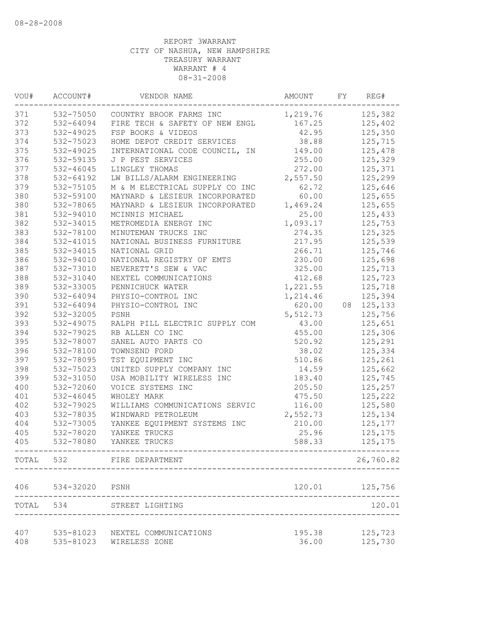| VOU#  | ACCOUNT#  | VENDOR NAME                    | AMOUNT   | FY | REG#      |
|-------|-----------|--------------------------------|----------|----|-----------|
| 371   | 532-75050 | COUNTRY BROOK FARMS INC        | 1,219.76 |    | 125,382   |
| 372   | 532-64094 | FIRE TECH & SAFETY OF NEW ENGL | 167.25   |    | 125,402   |
| 373   | 532-49025 | FSP BOOKS & VIDEOS             | 42.95    |    | 125,350   |
| 374   | 532-75023 | HOME DEPOT CREDIT SERVICES     | 38.88    |    | 125,715   |
| 375   | 532-49025 | INTERNATIONAL CODE COUNCIL, IN | 149.00   |    | 125,478   |
| 376   | 532-59135 | J P PEST SERVICES              | 255.00   |    | 125,329   |
| 377   | 532-46045 | LINGLEY THOMAS                 | 272.00   |    | 125,371   |
| 378   | 532-64192 | LW BILLS/ALARM ENGINEERING     | 2,557.50 |    | 125,299   |
| 379   | 532-75105 | M & M ELECTRICAL SUPPLY CO INC | 62.72    |    | 125,646   |
| 380   | 532-59100 | MAYNARD & LESIEUR INCORPORATED | 60.00    |    | 125,655   |
| 380   | 532-78065 | MAYNARD & LESIEUR INCORPORATED | 1,469.24 |    | 125,655   |
| 381   | 532-94010 | MCINNIS MICHAEL                | 25.00    |    | 125,433   |
| 382   | 532-34015 | METROMEDIA ENERGY INC          | 1,093.17 |    | 125,753   |
| 383   | 532-78100 | MINUTEMAN TRUCKS INC           | 274.35   |    | 125,325   |
| 384   | 532-41015 | NATIONAL BUSINESS FURNITURE    | 217.95   |    | 125,539   |
| 385   | 532-34015 | NATIONAL GRID                  | 266.71   |    | 125,746   |
| 386   | 532-94010 | NATIONAL REGISTRY OF EMTS      | 230.00   |    | 125,698   |
| 387   | 532-73010 | NEVERETT'S SEW & VAC           | 325.00   |    | 125,713   |
| 388   | 532-31040 | NEXTEL COMMUNICATIONS          | 412.68   |    | 125,723   |
| 389   | 532-33005 | PENNICHUCK WATER               | 1,221.55 |    | 125,718   |
| 390   | 532-64094 | PHYSIO-CONTROL INC             | 1,214.46 |    | 125,394   |
| 391   | 532-64094 | PHYSIO-CONTROL INC             | 620.00   | 08 | 125,133   |
| 392   | 532-32005 | PSNH                           | 5,512.73 |    | 125,756   |
| 393   | 532-49075 | RALPH PILL ELECTRIC SUPPLY COM | 43.00    |    | 125,651   |
| 394   | 532-79025 | RB ALLEN CO INC                | 455.00   |    | 125,306   |
| 395   | 532-78007 | SANEL AUTO PARTS CO            | 520.92   |    | 125,291   |
| 396   | 532-78100 | TOWNSEND FORD                  | 38.02    |    | 125,334   |
| 397   | 532-78095 | TST EQUIPMENT INC              | 510.86   |    | 125,261   |
| 398   | 532-75023 | UNITED SUPPLY COMPANY INC      | 14.59    |    | 125,662   |
| 399   | 532-31050 | USA MOBILITY WIRELESS INC      | 183.40   |    | 125,745   |
| 400   | 532-72060 | VOICE SYSTEMS INC              | 205.50   |    | 125,257   |
| 401   | 532-46045 | WHOLEY MARK                    | 475.50   |    | 125,222   |
| 402   | 532-79025 | WILLIAMS COMMUNICATIONS SERVIC | 116.00   |    | 125,580   |
| 403   | 532-78035 | WINDWARD PETROLEUM             | 2,552.73 |    | 125,134   |
| 404   | 532-73005 | YANKEE EQUIPMENT SYSTEMS INC   | 210.00   |    | 125,177   |
| 405   | 532-78020 | YANKEE TRUCKS                  | 25.96    |    | 125,175   |
| 405   | 532-78080 | YANKEE TRUCKS                  | 588.33   |    | 125,175   |
| TOTAL | 532       | FIRE DEPARTMENT                |          |    | 26,760.82 |
| 406   | 534-32020 | PSNH                           | 120.01   |    | 125,756   |
| TOTAL | 534       | STREET LIGHTING                |          |    | 120.01    |
| 407   | 535-81023 | NEXTEL COMMUNICATIONS          | 195.38   |    | 125,723   |
| 408   | 535-81023 | WIRELESS ZONE                  | 36.00    |    | 125,730   |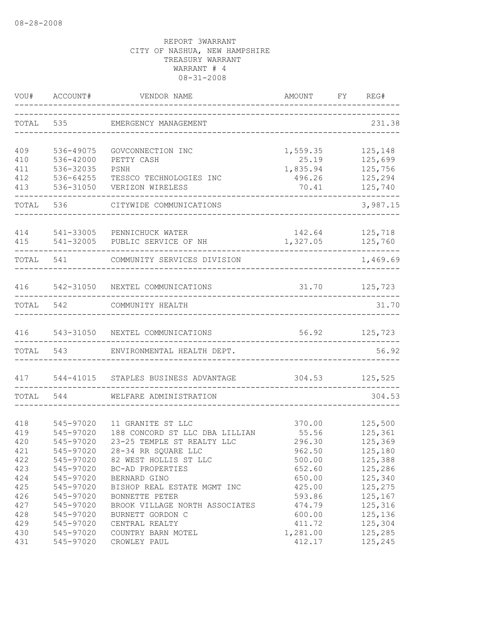| VOU#       | ACCOUNT#               | VENDOR NAME                      | AMOUNT           | FY | REG#                |
|------------|------------------------|----------------------------------|------------------|----|---------------------|
| TOTAL      | 535                    | EMERGENCY MANAGEMENT             |                  |    | 231.38              |
| 409        | 536-49075              | GOVCONNECTION INC                | 1,559.35         |    | 125,148             |
| 410        | 536-42000              | PETTY CASH                       | 25.19            |    | 125,699             |
| 411        | 536-32035              | PSNH                             | 1,835.94         |    | 125,756             |
| 412        | 536-64255              | TESSCO TECHNOLOGIES INC          | 496.26           |    | 125,294             |
| 413        | 536-31050              | VERIZON WIRELESS                 | 70.41            |    | 125,740             |
| TOTAL      | 536                    | CITYWIDE COMMUNICATIONS          |                  |    | 3,987.15            |
| 414        |                        | 541-33005 PENNICHUCK WATER       | 142.64           |    | 125,718             |
| 415        |                        | 541-32005 PUBLIC SERVICE OF NH   | 1,327.05         |    | 125,760<br>-------- |
|            | TOTAL 541              | COMMUNITY SERVICES DIVISION      |                  |    | 1,469.69            |
| 416        |                        | 542-31050 NEXTEL COMMUNICATIONS  |                  |    | 31.70 125,723       |
| TOTAL      | 542                    | COMMUNITY HEALTH                 |                  |    | 31.70               |
|            |                        |                                  |                  |    |                     |
| 416        |                        | 543-31050 NEXTEL COMMUNICATIONS  |                  |    | 56.92 125,723       |
|            | TOTAL 543              | ENVIRONMENTAL HEALTH DEPT.       |                  |    | 56.92               |
|            | 417 544-41015          | STAPLES BUSINESS ADVANTAGE       |                  |    | 304.53 125,525      |
| TOTAL      | 544                    | WELFARE ADMINISTRATION           |                  |    | 304.53              |
|            |                        |                                  |                  |    |                     |
| 418        | 545-97020              | 11 GRANITE ST LLC                | 370.00           |    | 125,500             |
| 419        | 545-97020              | 188 CONCORD ST LLC DBA LILLIAN   | 55.56            |    | 125,361             |
| 420        | 545-97020              | 23-25 TEMPLE ST REALTY LLC       | 296.30           |    | 125,369             |
| 421        | 545-97020              | 28-34 RR SQUARE LLC              | 962.50           |    | 125,180             |
| 422        | 545-97020              | 82 WEST HOLLIS ST LLC            | 500.00           |    | 125,388             |
| 423<br>424 | 545-97020<br>545-97020 | BC-AD PROPERTIES<br>BERNARD GINO | 652.60<br>650.00 |    | 125,286<br>125,340  |
| 425        | 545-97020              | BISHOP REAL ESTATE MGMT INC      | 425.00           |    | 125,275             |
| 426        | 545-97020              | BONNETTE PETER                   | 593.86           |    | 125,167             |
| 427        | 545-97020              | BROOK VILLAGE NORTH ASSOCIATES   | 474.79           |    | 125,316             |
| 428        | 545-97020              | BURNETT GORDON C                 | 600.00           |    | 125,136             |
| 429        | 545-97020              | CENTRAL REALTY                   | 411.72           |    | 125,304             |
| 430        | 545-97020              | COUNTRY BARN MOTEL               | 1,281.00         |    | 125,285             |
| 431        | 545-97020              | CROWLEY PAUL                     | 412.17           |    | 125,245             |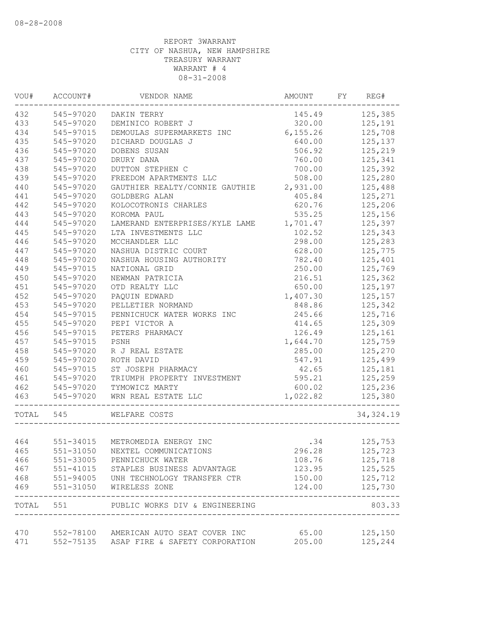|       | VOU# ACCOUNT# | VENDOR NAME                                              | AMOUNT FY REG# |                |
|-------|---------------|----------------------------------------------------------|----------------|----------------|
| 432   | 545-97020     | DAKIN TERRY                                              |                | 145.49 125,385 |
| 433   | 545-97020     | DEMINICO ROBERT J                                        | 320.00         | 125,191        |
| 434   | 545-97015     | DEMOULAS SUPERMARKETS INC                                | 6,155.26       | 125,708        |
| 435   | 545-97020     | DICHARD DOUGLAS J                                        | 640.00         | 125,137        |
| 436   | 545-97020     | DOBENS SUSAN                                             | 506.92         | 125,219        |
| 437   | 545-97020     | DRURY DANA                                               | 760.00         | 125,341        |
| 438   | 545-97020     | DUTTON STEPHEN C                                         | 700.00         | 125,392        |
| 439   | 545-97020     | FREEDOM APARTMENTS LLC                                   | 508.00         | 125,280        |
| 440   | 545-97020     | GAUTHIER REALTY/CONNIE GAUTHIE                           | 2,931.00       | 125,488        |
| 441   | 545-97020     | GOLDBERG ALAN                                            | 405.84         | 125,271        |
| 442   | 545-97020     | KOLOCOTRONIS CHARLES                                     | 620.76         | 125,206        |
| 443   | 545-97020     | KOROMA PAUL                                              | 535.25         | 125,156        |
| 444   | 545-97020     | LAMERAND ENTERPRISES/KYLE LAME                           | 1,701.47       | 125,397        |
| 445   | 545-97020     | LTA INVESTMENTS LLC                                      | 102.52         | 125,343        |
| 446   | 545-97020     | MCCHANDLER LLC                                           | 298.00         | 125,283        |
| 447   | 545-97020     | NASHUA DISTRIC COURT                                     | 628.00         | 125,775        |
| 448   | 545-97020     | NASHUA HOUSING AUTHORITY                                 | 782.40         | 125,401        |
| 449   | 545-97015     | NATIONAL GRID                                            | 250.00         | 125,769        |
| 450   | 545-97020     | NEWMAN PATRICIA                                          | 216.51         | 125,362        |
| 451   | 545-97020     | OTD REALTY LLC                                           | 650.00         | 125,197        |
| 452   | 545-97020     | PAQUIN EDWARD                                            | 1,407.30       | 125,157        |
| 453   | 545-97020     | PELLETIER NORMAND                                        | 848.86         | 125,342        |
| 454   | 545-97015     | PENNICHUCK WATER WORKS INC                               | 245.66         | 125,716        |
| 455   | 545-97020     | PEPI VICTOR A                                            | 414.65         | 125,309        |
| 456   | 545-97015     | PETERS PHARMACY                                          | 126.49         | 125,161        |
| 457   | 545-97015     | PSNH                                                     | 1,644.70       | 125,759        |
| 458   | 545-97020     | R J REAL ESTATE                                          | 285.00         | 125,270        |
| 459   | 545-97020     | ROTH DAVID                                               | 547.91         | 125,499        |
| 460   | 545-97015     | ST JOSEPH PHARMACY                                       | 42.65          | 125,181        |
| 461   | 545-97020     | TRIUMPH PROPERTY INVESTMENT                              | 595.21         | 125,259        |
| 462   | 545-97020     | TYMOWICZ MARTY                                           | 600.02         | 125,236        |
| 463   | 545-97020     | WRN REAL ESTATE LLC                                      | 1,022.82       | 125,380        |
| TOTAL | 545           | WELFARE COSTS                                            |                | 34, 324.19     |
|       |               |                                                          |                |                |
| 464   |               | 551-34015 METROMEDIA ENERGY INC                          | $rac{34}{206}$ | 125,753        |
| 465   |               | 551-31050 NEXTEL COMMUNICATIONS                          | 296.28         | 125,723        |
| 466   |               | 551-33005 PENNICHUCK WATER                               | 108.76         | 125,718        |
| 467   |               | 551-41015 STAPLES BUSINESS ADVANTAGE                     | 123.95         | 125,525        |
| 468   |               | 551-94005 UNH TECHNOLOGY TRANSFER CTR                    | 150.00         | 125,712        |
|       |               | 469 551-31050 WIRELESS ZONE                              | 124.00         | 125,730        |
|       |               | TOTAL 551 PUBLIC WORKS DIV & ENGINEERING                 |                | 803.33         |
|       |               | 470 552-78100 AMERICAN AUTO SEAT COVER INC 65.00 125,150 |                |                |
| 471   |               | 552-75135 ASAP FIRE & SAFETY CORPORATION                 | 205.00 125,244 |                |
|       |               |                                                          |                |                |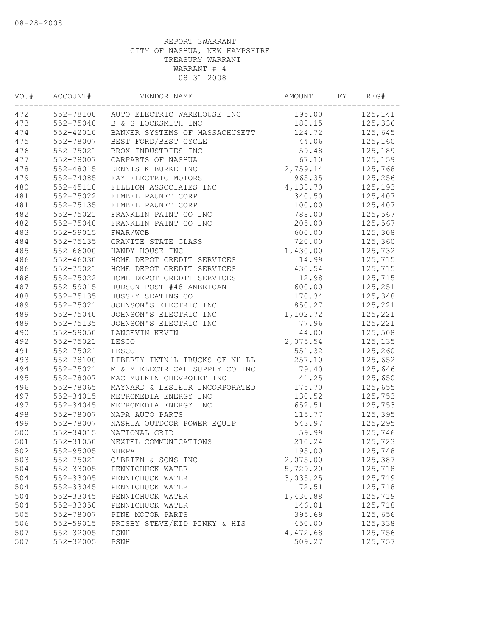| 472<br>552-78100 AUTO ELECTRIC WAREHOUSE INC<br>125,141<br>195.00<br>473<br>552-75040<br>125,336<br>B & S LOCKSMITH INC<br>188.15<br>474<br>552-42010<br>BANNER SYSTEMS OF MASSACHUSETT<br>125,645<br>124.72<br>475<br>552-78007<br>44.06<br>BEST FORD/BEST CYCLE<br>125,160<br>476<br>552-75021<br>59.48<br>BROX INDUSTRIES INC<br>125,189<br>477<br>552-78007<br>67.10<br>125,159<br>CARPARTS OF NASHUA<br>2,759.14<br>478<br>552-48015<br>DENNIS K BURKE INC<br>125,768<br>479<br>552-74085<br>FAY ELECTRIC MOTORS<br>965.35<br>125,256<br>480<br>4,133.70<br>552-45110<br>FILLION ASSOCIATES INC<br>125,193<br>481<br>552-75022<br>FIMBEL PAUNET CORP<br>340.50<br>125,407<br>481<br>552-75135<br>FIMBEL PAUNET CORP<br>100.00<br>125,407<br>482<br>552-75021<br>FRANKLIN PAINT CO INC<br>788.00<br>125,567<br>482<br>552-75040<br>FRANKLIN PAINT CO INC<br>205.00<br>125,567<br>483<br>552-59015<br>600.00<br>FWAR/WCB<br>125,308<br>484<br>552-75135<br>720.00<br>125,360<br>GRANITE STATE GLASS<br>485<br>552-66000<br>HANDY HOUSE INC<br>1,430.00<br>125,732<br>486<br>552-46030<br>HOME DEPOT CREDIT SERVICES<br>14.99<br>125,715<br>486<br>552-75021<br>HOME DEPOT CREDIT SERVICES<br>430.54<br>125,715<br>486<br>552-75022<br>HOME DEPOT CREDIT SERVICES<br>12.98<br>125,715<br>487<br>552-59015<br>HUDSON POST #48 AMERICAN<br>600.00<br>125,251<br>488<br>552-75135<br>HUSSEY SEATING CO<br>125,348<br>170.34<br>489<br>552-75021<br>JOHNSON'S ELECTRIC INC<br>850.27<br>125,221<br>489<br>552-75040<br>1,102.72<br>125,221<br>JOHNSON'S ELECTRIC INC<br>489<br>552-75135<br>JOHNSON'S ELECTRIC INC<br>125,221<br>77.96<br>125,508<br>490<br>552-59050<br>44.00<br>LANGEVIN KEVIN<br>2,075.54<br>492<br>552-75021<br>125,135<br>LESCO<br>491<br>551.32<br>552-75021<br>LESCO<br>125,260<br>493<br>552-78100<br>257.10<br>LIBERTY INTN'L TRUCKS OF NH LL<br>125,652<br>494<br>552-75021<br>M & M ELECTRICAL SUPPLY CO INC<br>79.40<br>125,646<br>495<br>552-78007<br>MAC MULKIN CHEVROLET INC<br>41.25<br>125,650<br>496<br>552-78065<br>175.70<br>MAYNARD & LESIEUR INCORPORATED<br>125,655<br>497<br>552-34015<br>METROMEDIA ENERGY INC<br>130.52<br>125,753<br>497<br>552-34045<br>652.51<br>125,753<br>METROMEDIA ENERGY INC<br>125,395<br>498<br>552-78007<br>NAPA AUTO PARTS<br>115.77<br>499<br>552-78007<br>NASHUA OUTDOOR POWER EQUIP<br>543.97<br>125,295<br>500<br>552-34015<br>59.99<br>NATIONAL GRID<br>125,746<br>501<br>552-31050<br>210.24<br>NEXTEL COMMUNICATIONS<br>125,723<br>502<br>195.00<br>552-95005<br>125,748<br>NHRPA<br>503<br>552-75021<br>2,075.00<br>125,387<br>O'BRIEN & SONS INC<br>504<br>552-33005<br>5,729.20<br>125,718<br>PENNICHUCK WATER<br>504<br>552-33005<br>3,035.25<br>125,719<br>PENNICHUCK WATER<br>504<br>72.51<br>125,718<br>552-33045<br>PENNICHUCK WATER<br>125,719<br>504<br>552-33045<br>1,430.88<br>PENNICHUCK WATER<br>504<br>125,718<br>552-33050<br>146.01<br>PENNICHUCK WATER<br>505<br>552-78007<br>PINE MOTOR PARTS<br>395.69<br>125,656<br>506<br>552-59015<br>PRISBY STEVE/KID PINKY & HIS<br>450.00<br>125,338<br>507<br>552-32005<br>4,472.68<br>125,756<br>PSNH<br>507<br>552-32005<br>509.27<br>125,757<br>PSNH | VOU# | ACCOUNT# | VENDOR NAME | AMOUNT | FY | REG# |
|-----------------------------------------------------------------------------------------------------------------------------------------------------------------------------------------------------------------------------------------------------------------------------------------------------------------------------------------------------------------------------------------------------------------------------------------------------------------------------------------------------------------------------------------------------------------------------------------------------------------------------------------------------------------------------------------------------------------------------------------------------------------------------------------------------------------------------------------------------------------------------------------------------------------------------------------------------------------------------------------------------------------------------------------------------------------------------------------------------------------------------------------------------------------------------------------------------------------------------------------------------------------------------------------------------------------------------------------------------------------------------------------------------------------------------------------------------------------------------------------------------------------------------------------------------------------------------------------------------------------------------------------------------------------------------------------------------------------------------------------------------------------------------------------------------------------------------------------------------------------------------------------------------------------------------------------------------------------------------------------------------------------------------------------------------------------------------------------------------------------------------------------------------------------------------------------------------------------------------------------------------------------------------------------------------------------------------------------------------------------------------------------------------------------------------------------------------------------------------------------------------------------------------------------------------------------------------------------------------------------------------------------------------------------------------------------------------------------------------------------------------------------------------------------------------------------------------------------------------------------------------------------------------------------------------------------------------------------------------------------------------------------------------------------------------------------------------------------------------------------------------------------------------------------------------------------------|------|----------|-------------|--------|----|------|
|                                                                                                                                                                                                                                                                                                                                                                                                                                                                                                                                                                                                                                                                                                                                                                                                                                                                                                                                                                                                                                                                                                                                                                                                                                                                                                                                                                                                                                                                                                                                                                                                                                                                                                                                                                                                                                                                                                                                                                                                                                                                                                                                                                                                                                                                                                                                                                                                                                                                                                                                                                                                                                                                                                                                                                                                                                                                                                                                                                                                                                                                                                                                                                                               |      |          |             |        |    |      |
|                                                                                                                                                                                                                                                                                                                                                                                                                                                                                                                                                                                                                                                                                                                                                                                                                                                                                                                                                                                                                                                                                                                                                                                                                                                                                                                                                                                                                                                                                                                                                                                                                                                                                                                                                                                                                                                                                                                                                                                                                                                                                                                                                                                                                                                                                                                                                                                                                                                                                                                                                                                                                                                                                                                                                                                                                                                                                                                                                                                                                                                                                                                                                                                               |      |          |             |        |    |      |
|                                                                                                                                                                                                                                                                                                                                                                                                                                                                                                                                                                                                                                                                                                                                                                                                                                                                                                                                                                                                                                                                                                                                                                                                                                                                                                                                                                                                                                                                                                                                                                                                                                                                                                                                                                                                                                                                                                                                                                                                                                                                                                                                                                                                                                                                                                                                                                                                                                                                                                                                                                                                                                                                                                                                                                                                                                                                                                                                                                                                                                                                                                                                                                                               |      |          |             |        |    |      |
|                                                                                                                                                                                                                                                                                                                                                                                                                                                                                                                                                                                                                                                                                                                                                                                                                                                                                                                                                                                                                                                                                                                                                                                                                                                                                                                                                                                                                                                                                                                                                                                                                                                                                                                                                                                                                                                                                                                                                                                                                                                                                                                                                                                                                                                                                                                                                                                                                                                                                                                                                                                                                                                                                                                                                                                                                                                                                                                                                                                                                                                                                                                                                                                               |      |          |             |        |    |      |
|                                                                                                                                                                                                                                                                                                                                                                                                                                                                                                                                                                                                                                                                                                                                                                                                                                                                                                                                                                                                                                                                                                                                                                                                                                                                                                                                                                                                                                                                                                                                                                                                                                                                                                                                                                                                                                                                                                                                                                                                                                                                                                                                                                                                                                                                                                                                                                                                                                                                                                                                                                                                                                                                                                                                                                                                                                                                                                                                                                                                                                                                                                                                                                                               |      |          |             |        |    |      |
|                                                                                                                                                                                                                                                                                                                                                                                                                                                                                                                                                                                                                                                                                                                                                                                                                                                                                                                                                                                                                                                                                                                                                                                                                                                                                                                                                                                                                                                                                                                                                                                                                                                                                                                                                                                                                                                                                                                                                                                                                                                                                                                                                                                                                                                                                                                                                                                                                                                                                                                                                                                                                                                                                                                                                                                                                                                                                                                                                                                                                                                                                                                                                                                               |      |          |             |        |    |      |
|                                                                                                                                                                                                                                                                                                                                                                                                                                                                                                                                                                                                                                                                                                                                                                                                                                                                                                                                                                                                                                                                                                                                                                                                                                                                                                                                                                                                                                                                                                                                                                                                                                                                                                                                                                                                                                                                                                                                                                                                                                                                                                                                                                                                                                                                                                                                                                                                                                                                                                                                                                                                                                                                                                                                                                                                                                                                                                                                                                                                                                                                                                                                                                                               |      |          |             |        |    |      |
|                                                                                                                                                                                                                                                                                                                                                                                                                                                                                                                                                                                                                                                                                                                                                                                                                                                                                                                                                                                                                                                                                                                                                                                                                                                                                                                                                                                                                                                                                                                                                                                                                                                                                                                                                                                                                                                                                                                                                                                                                                                                                                                                                                                                                                                                                                                                                                                                                                                                                                                                                                                                                                                                                                                                                                                                                                                                                                                                                                                                                                                                                                                                                                                               |      |          |             |        |    |      |
|                                                                                                                                                                                                                                                                                                                                                                                                                                                                                                                                                                                                                                                                                                                                                                                                                                                                                                                                                                                                                                                                                                                                                                                                                                                                                                                                                                                                                                                                                                                                                                                                                                                                                                                                                                                                                                                                                                                                                                                                                                                                                                                                                                                                                                                                                                                                                                                                                                                                                                                                                                                                                                                                                                                                                                                                                                                                                                                                                                                                                                                                                                                                                                                               |      |          |             |        |    |      |
|                                                                                                                                                                                                                                                                                                                                                                                                                                                                                                                                                                                                                                                                                                                                                                                                                                                                                                                                                                                                                                                                                                                                                                                                                                                                                                                                                                                                                                                                                                                                                                                                                                                                                                                                                                                                                                                                                                                                                                                                                                                                                                                                                                                                                                                                                                                                                                                                                                                                                                                                                                                                                                                                                                                                                                                                                                                                                                                                                                                                                                                                                                                                                                                               |      |          |             |        |    |      |
|                                                                                                                                                                                                                                                                                                                                                                                                                                                                                                                                                                                                                                                                                                                                                                                                                                                                                                                                                                                                                                                                                                                                                                                                                                                                                                                                                                                                                                                                                                                                                                                                                                                                                                                                                                                                                                                                                                                                                                                                                                                                                                                                                                                                                                                                                                                                                                                                                                                                                                                                                                                                                                                                                                                                                                                                                                                                                                                                                                                                                                                                                                                                                                                               |      |          |             |        |    |      |
|                                                                                                                                                                                                                                                                                                                                                                                                                                                                                                                                                                                                                                                                                                                                                                                                                                                                                                                                                                                                                                                                                                                                                                                                                                                                                                                                                                                                                                                                                                                                                                                                                                                                                                                                                                                                                                                                                                                                                                                                                                                                                                                                                                                                                                                                                                                                                                                                                                                                                                                                                                                                                                                                                                                                                                                                                                                                                                                                                                                                                                                                                                                                                                                               |      |          |             |        |    |      |
|                                                                                                                                                                                                                                                                                                                                                                                                                                                                                                                                                                                                                                                                                                                                                                                                                                                                                                                                                                                                                                                                                                                                                                                                                                                                                                                                                                                                                                                                                                                                                                                                                                                                                                                                                                                                                                                                                                                                                                                                                                                                                                                                                                                                                                                                                                                                                                                                                                                                                                                                                                                                                                                                                                                                                                                                                                                                                                                                                                                                                                                                                                                                                                                               |      |          |             |        |    |      |
|                                                                                                                                                                                                                                                                                                                                                                                                                                                                                                                                                                                                                                                                                                                                                                                                                                                                                                                                                                                                                                                                                                                                                                                                                                                                                                                                                                                                                                                                                                                                                                                                                                                                                                                                                                                                                                                                                                                                                                                                                                                                                                                                                                                                                                                                                                                                                                                                                                                                                                                                                                                                                                                                                                                                                                                                                                                                                                                                                                                                                                                                                                                                                                                               |      |          |             |        |    |      |
|                                                                                                                                                                                                                                                                                                                                                                                                                                                                                                                                                                                                                                                                                                                                                                                                                                                                                                                                                                                                                                                                                                                                                                                                                                                                                                                                                                                                                                                                                                                                                                                                                                                                                                                                                                                                                                                                                                                                                                                                                                                                                                                                                                                                                                                                                                                                                                                                                                                                                                                                                                                                                                                                                                                                                                                                                                                                                                                                                                                                                                                                                                                                                                                               |      |          |             |        |    |      |
|                                                                                                                                                                                                                                                                                                                                                                                                                                                                                                                                                                                                                                                                                                                                                                                                                                                                                                                                                                                                                                                                                                                                                                                                                                                                                                                                                                                                                                                                                                                                                                                                                                                                                                                                                                                                                                                                                                                                                                                                                                                                                                                                                                                                                                                                                                                                                                                                                                                                                                                                                                                                                                                                                                                                                                                                                                                                                                                                                                                                                                                                                                                                                                                               |      |          |             |        |    |      |
|                                                                                                                                                                                                                                                                                                                                                                                                                                                                                                                                                                                                                                                                                                                                                                                                                                                                                                                                                                                                                                                                                                                                                                                                                                                                                                                                                                                                                                                                                                                                                                                                                                                                                                                                                                                                                                                                                                                                                                                                                                                                                                                                                                                                                                                                                                                                                                                                                                                                                                                                                                                                                                                                                                                                                                                                                                                                                                                                                                                                                                                                                                                                                                                               |      |          |             |        |    |      |
|                                                                                                                                                                                                                                                                                                                                                                                                                                                                                                                                                                                                                                                                                                                                                                                                                                                                                                                                                                                                                                                                                                                                                                                                                                                                                                                                                                                                                                                                                                                                                                                                                                                                                                                                                                                                                                                                                                                                                                                                                                                                                                                                                                                                                                                                                                                                                                                                                                                                                                                                                                                                                                                                                                                                                                                                                                                                                                                                                                                                                                                                                                                                                                                               |      |          |             |        |    |      |
|                                                                                                                                                                                                                                                                                                                                                                                                                                                                                                                                                                                                                                                                                                                                                                                                                                                                                                                                                                                                                                                                                                                                                                                                                                                                                                                                                                                                                                                                                                                                                                                                                                                                                                                                                                                                                                                                                                                                                                                                                                                                                                                                                                                                                                                                                                                                                                                                                                                                                                                                                                                                                                                                                                                                                                                                                                                                                                                                                                                                                                                                                                                                                                                               |      |          |             |        |    |      |
|                                                                                                                                                                                                                                                                                                                                                                                                                                                                                                                                                                                                                                                                                                                                                                                                                                                                                                                                                                                                                                                                                                                                                                                                                                                                                                                                                                                                                                                                                                                                                                                                                                                                                                                                                                                                                                                                                                                                                                                                                                                                                                                                                                                                                                                                                                                                                                                                                                                                                                                                                                                                                                                                                                                                                                                                                                                                                                                                                                                                                                                                                                                                                                                               |      |          |             |        |    |      |
|                                                                                                                                                                                                                                                                                                                                                                                                                                                                                                                                                                                                                                                                                                                                                                                                                                                                                                                                                                                                                                                                                                                                                                                                                                                                                                                                                                                                                                                                                                                                                                                                                                                                                                                                                                                                                                                                                                                                                                                                                                                                                                                                                                                                                                                                                                                                                                                                                                                                                                                                                                                                                                                                                                                                                                                                                                                                                                                                                                                                                                                                                                                                                                                               |      |          |             |        |    |      |
|                                                                                                                                                                                                                                                                                                                                                                                                                                                                                                                                                                                                                                                                                                                                                                                                                                                                                                                                                                                                                                                                                                                                                                                                                                                                                                                                                                                                                                                                                                                                                                                                                                                                                                                                                                                                                                                                                                                                                                                                                                                                                                                                                                                                                                                                                                                                                                                                                                                                                                                                                                                                                                                                                                                                                                                                                                                                                                                                                                                                                                                                                                                                                                                               |      |          |             |        |    |      |
|                                                                                                                                                                                                                                                                                                                                                                                                                                                                                                                                                                                                                                                                                                                                                                                                                                                                                                                                                                                                                                                                                                                                                                                                                                                                                                                                                                                                                                                                                                                                                                                                                                                                                                                                                                                                                                                                                                                                                                                                                                                                                                                                                                                                                                                                                                                                                                                                                                                                                                                                                                                                                                                                                                                                                                                                                                                                                                                                                                                                                                                                                                                                                                                               |      |          |             |        |    |      |
|                                                                                                                                                                                                                                                                                                                                                                                                                                                                                                                                                                                                                                                                                                                                                                                                                                                                                                                                                                                                                                                                                                                                                                                                                                                                                                                                                                                                                                                                                                                                                                                                                                                                                                                                                                                                                                                                                                                                                                                                                                                                                                                                                                                                                                                                                                                                                                                                                                                                                                                                                                                                                                                                                                                                                                                                                                                                                                                                                                                                                                                                                                                                                                                               |      |          |             |        |    |      |
|                                                                                                                                                                                                                                                                                                                                                                                                                                                                                                                                                                                                                                                                                                                                                                                                                                                                                                                                                                                                                                                                                                                                                                                                                                                                                                                                                                                                                                                                                                                                                                                                                                                                                                                                                                                                                                                                                                                                                                                                                                                                                                                                                                                                                                                                                                                                                                                                                                                                                                                                                                                                                                                                                                                                                                                                                                                                                                                                                                                                                                                                                                                                                                                               |      |          |             |        |    |      |
|                                                                                                                                                                                                                                                                                                                                                                                                                                                                                                                                                                                                                                                                                                                                                                                                                                                                                                                                                                                                                                                                                                                                                                                                                                                                                                                                                                                                                                                                                                                                                                                                                                                                                                                                                                                                                                                                                                                                                                                                                                                                                                                                                                                                                                                                                                                                                                                                                                                                                                                                                                                                                                                                                                                                                                                                                                                                                                                                                                                                                                                                                                                                                                                               |      |          |             |        |    |      |
|                                                                                                                                                                                                                                                                                                                                                                                                                                                                                                                                                                                                                                                                                                                                                                                                                                                                                                                                                                                                                                                                                                                                                                                                                                                                                                                                                                                                                                                                                                                                                                                                                                                                                                                                                                                                                                                                                                                                                                                                                                                                                                                                                                                                                                                                                                                                                                                                                                                                                                                                                                                                                                                                                                                                                                                                                                                                                                                                                                                                                                                                                                                                                                                               |      |          |             |        |    |      |
|                                                                                                                                                                                                                                                                                                                                                                                                                                                                                                                                                                                                                                                                                                                                                                                                                                                                                                                                                                                                                                                                                                                                                                                                                                                                                                                                                                                                                                                                                                                                                                                                                                                                                                                                                                                                                                                                                                                                                                                                                                                                                                                                                                                                                                                                                                                                                                                                                                                                                                                                                                                                                                                                                                                                                                                                                                                                                                                                                                                                                                                                                                                                                                                               |      |          |             |        |    |      |
|                                                                                                                                                                                                                                                                                                                                                                                                                                                                                                                                                                                                                                                                                                                                                                                                                                                                                                                                                                                                                                                                                                                                                                                                                                                                                                                                                                                                                                                                                                                                                                                                                                                                                                                                                                                                                                                                                                                                                                                                                                                                                                                                                                                                                                                                                                                                                                                                                                                                                                                                                                                                                                                                                                                                                                                                                                                                                                                                                                                                                                                                                                                                                                                               |      |          |             |        |    |      |
|                                                                                                                                                                                                                                                                                                                                                                                                                                                                                                                                                                                                                                                                                                                                                                                                                                                                                                                                                                                                                                                                                                                                                                                                                                                                                                                                                                                                                                                                                                                                                                                                                                                                                                                                                                                                                                                                                                                                                                                                                                                                                                                                                                                                                                                                                                                                                                                                                                                                                                                                                                                                                                                                                                                                                                                                                                                                                                                                                                                                                                                                                                                                                                                               |      |          |             |        |    |      |
|                                                                                                                                                                                                                                                                                                                                                                                                                                                                                                                                                                                                                                                                                                                                                                                                                                                                                                                                                                                                                                                                                                                                                                                                                                                                                                                                                                                                                                                                                                                                                                                                                                                                                                                                                                                                                                                                                                                                                                                                                                                                                                                                                                                                                                                                                                                                                                                                                                                                                                                                                                                                                                                                                                                                                                                                                                                                                                                                                                                                                                                                                                                                                                                               |      |          |             |        |    |      |
|                                                                                                                                                                                                                                                                                                                                                                                                                                                                                                                                                                                                                                                                                                                                                                                                                                                                                                                                                                                                                                                                                                                                                                                                                                                                                                                                                                                                                                                                                                                                                                                                                                                                                                                                                                                                                                                                                                                                                                                                                                                                                                                                                                                                                                                                                                                                                                                                                                                                                                                                                                                                                                                                                                                                                                                                                                                                                                                                                                                                                                                                                                                                                                                               |      |          |             |        |    |      |
|                                                                                                                                                                                                                                                                                                                                                                                                                                                                                                                                                                                                                                                                                                                                                                                                                                                                                                                                                                                                                                                                                                                                                                                                                                                                                                                                                                                                                                                                                                                                                                                                                                                                                                                                                                                                                                                                                                                                                                                                                                                                                                                                                                                                                                                                                                                                                                                                                                                                                                                                                                                                                                                                                                                                                                                                                                                                                                                                                                                                                                                                                                                                                                                               |      |          |             |        |    |      |
|                                                                                                                                                                                                                                                                                                                                                                                                                                                                                                                                                                                                                                                                                                                                                                                                                                                                                                                                                                                                                                                                                                                                                                                                                                                                                                                                                                                                                                                                                                                                                                                                                                                                                                                                                                                                                                                                                                                                                                                                                                                                                                                                                                                                                                                                                                                                                                                                                                                                                                                                                                                                                                                                                                                                                                                                                                                                                                                                                                                                                                                                                                                                                                                               |      |          |             |        |    |      |
|                                                                                                                                                                                                                                                                                                                                                                                                                                                                                                                                                                                                                                                                                                                                                                                                                                                                                                                                                                                                                                                                                                                                                                                                                                                                                                                                                                                                                                                                                                                                                                                                                                                                                                                                                                                                                                                                                                                                                                                                                                                                                                                                                                                                                                                                                                                                                                                                                                                                                                                                                                                                                                                                                                                                                                                                                                                                                                                                                                                                                                                                                                                                                                                               |      |          |             |        |    |      |
|                                                                                                                                                                                                                                                                                                                                                                                                                                                                                                                                                                                                                                                                                                                                                                                                                                                                                                                                                                                                                                                                                                                                                                                                                                                                                                                                                                                                                                                                                                                                                                                                                                                                                                                                                                                                                                                                                                                                                                                                                                                                                                                                                                                                                                                                                                                                                                                                                                                                                                                                                                                                                                                                                                                                                                                                                                                                                                                                                                                                                                                                                                                                                                                               |      |          |             |        |    |      |
|                                                                                                                                                                                                                                                                                                                                                                                                                                                                                                                                                                                                                                                                                                                                                                                                                                                                                                                                                                                                                                                                                                                                                                                                                                                                                                                                                                                                                                                                                                                                                                                                                                                                                                                                                                                                                                                                                                                                                                                                                                                                                                                                                                                                                                                                                                                                                                                                                                                                                                                                                                                                                                                                                                                                                                                                                                                                                                                                                                                                                                                                                                                                                                                               |      |          |             |        |    |      |
|                                                                                                                                                                                                                                                                                                                                                                                                                                                                                                                                                                                                                                                                                                                                                                                                                                                                                                                                                                                                                                                                                                                                                                                                                                                                                                                                                                                                                                                                                                                                                                                                                                                                                                                                                                                                                                                                                                                                                                                                                                                                                                                                                                                                                                                                                                                                                                                                                                                                                                                                                                                                                                                                                                                                                                                                                                                                                                                                                                                                                                                                                                                                                                                               |      |          |             |        |    |      |
|                                                                                                                                                                                                                                                                                                                                                                                                                                                                                                                                                                                                                                                                                                                                                                                                                                                                                                                                                                                                                                                                                                                                                                                                                                                                                                                                                                                                                                                                                                                                                                                                                                                                                                                                                                                                                                                                                                                                                                                                                                                                                                                                                                                                                                                                                                                                                                                                                                                                                                                                                                                                                                                                                                                                                                                                                                                                                                                                                                                                                                                                                                                                                                                               |      |          |             |        |    |      |
|                                                                                                                                                                                                                                                                                                                                                                                                                                                                                                                                                                                                                                                                                                                                                                                                                                                                                                                                                                                                                                                                                                                                                                                                                                                                                                                                                                                                                                                                                                                                                                                                                                                                                                                                                                                                                                                                                                                                                                                                                                                                                                                                                                                                                                                                                                                                                                                                                                                                                                                                                                                                                                                                                                                                                                                                                                                                                                                                                                                                                                                                                                                                                                                               |      |          |             |        |    |      |
|                                                                                                                                                                                                                                                                                                                                                                                                                                                                                                                                                                                                                                                                                                                                                                                                                                                                                                                                                                                                                                                                                                                                                                                                                                                                                                                                                                                                                                                                                                                                                                                                                                                                                                                                                                                                                                                                                                                                                                                                                                                                                                                                                                                                                                                                                                                                                                                                                                                                                                                                                                                                                                                                                                                                                                                                                                                                                                                                                                                                                                                                                                                                                                                               |      |          |             |        |    |      |
|                                                                                                                                                                                                                                                                                                                                                                                                                                                                                                                                                                                                                                                                                                                                                                                                                                                                                                                                                                                                                                                                                                                                                                                                                                                                                                                                                                                                                                                                                                                                                                                                                                                                                                                                                                                                                                                                                                                                                                                                                                                                                                                                                                                                                                                                                                                                                                                                                                                                                                                                                                                                                                                                                                                                                                                                                                                                                                                                                                                                                                                                                                                                                                                               |      |          |             |        |    |      |
|                                                                                                                                                                                                                                                                                                                                                                                                                                                                                                                                                                                                                                                                                                                                                                                                                                                                                                                                                                                                                                                                                                                                                                                                                                                                                                                                                                                                                                                                                                                                                                                                                                                                                                                                                                                                                                                                                                                                                                                                                                                                                                                                                                                                                                                                                                                                                                                                                                                                                                                                                                                                                                                                                                                                                                                                                                                                                                                                                                                                                                                                                                                                                                                               |      |          |             |        |    |      |
|                                                                                                                                                                                                                                                                                                                                                                                                                                                                                                                                                                                                                                                                                                                                                                                                                                                                                                                                                                                                                                                                                                                                                                                                                                                                                                                                                                                                                                                                                                                                                                                                                                                                                                                                                                                                                                                                                                                                                                                                                                                                                                                                                                                                                                                                                                                                                                                                                                                                                                                                                                                                                                                                                                                                                                                                                                                                                                                                                                                                                                                                                                                                                                                               |      |          |             |        |    |      |
|                                                                                                                                                                                                                                                                                                                                                                                                                                                                                                                                                                                                                                                                                                                                                                                                                                                                                                                                                                                                                                                                                                                                                                                                                                                                                                                                                                                                                                                                                                                                                                                                                                                                                                                                                                                                                                                                                                                                                                                                                                                                                                                                                                                                                                                                                                                                                                                                                                                                                                                                                                                                                                                                                                                                                                                                                                                                                                                                                                                                                                                                                                                                                                                               |      |          |             |        |    |      |
|                                                                                                                                                                                                                                                                                                                                                                                                                                                                                                                                                                                                                                                                                                                                                                                                                                                                                                                                                                                                                                                                                                                                                                                                                                                                                                                                                                                                                                                                                                                                                                                                                                                                                                                                                                                                                                                                                                                                                                                                                                                                                                                                                                                                                                                                                                                                                                                                                                                                                                                                                                                                                                                                                                                                                                                                                                                                                                                                                                                                                                                                                                                                                                                               |      |          |             |        |    |      |
|                                                                                                                                                                                                                                                                                                                                                                                                                                                                                                                                                                                                                                                                                                                                                                                                                                                                                                                                                                                                                                                                                                                                                                                                                                                                                                                                                                                                                                                                                                                                                                                                                                                                                                                                                                                                                                                                                                                                                                                                                                                                                                                                                                                                                                                                                                                                                                                                                                                                                                                                                                                                                                                                                                                                                                                                                                                                                                                                                                                                                                                                                                                                                                                               |      |          |             |        |    |      |
|                                                                                                                                                                                                                                                                                                                                                                                                                                                                                                                                                                                                                                                                                                                                                                                                                                                                                                                                                                                                                                                                                                                                                                                                                                                                                                                                                                                                                                                                                                                                                                                                                                                                                                                                                                                                                                                                                                                                                                                                                                                                                                                                                                                                                                                                                                                                                                                                                                                                                                                                                                                                                                                                                                                                                                                                                                                                                                                                                                                                                                                                                                                                                                                               |      |          |             |        |    |      |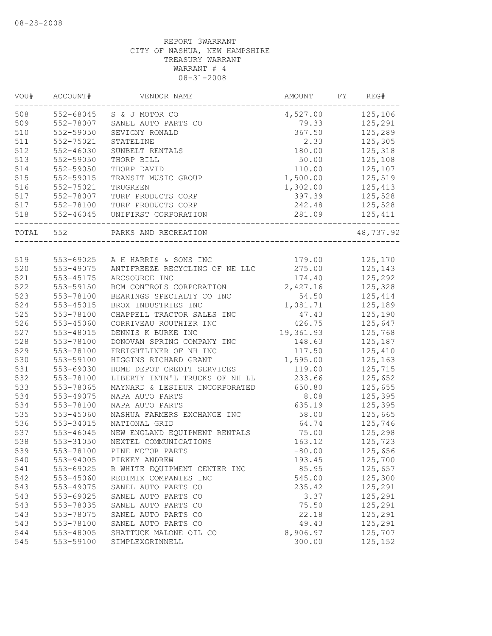| VOU#      | ACCOUNT#      | VENDOR NAME                     | AMOUNT    | FY | REG#      |
|-----------|---------------|---------------------------------|-----------|----|-----------|
| 508       |               | 552-68045 S & J MOTOR CO        | 4,527.00  |    | 125,106   |
| 509       | 552-78007     | SANEL AUTO PARTS CO             | 79.33     |    | 125,291   |
| 510       | 552-59050     | SEVIGNY RONALD                  | 367.50    |    | 125,289   |
| 511       | 552-75021     | STATELINE                       | 2.33      |    | 125,305   |
| 512       | $552 - 46030$ | SUNBELT RENTALS                 | 180.00    |    | 125,318   |
| 513       | 552-59050     | THORP BILL                      | 50.00     |    | 125,108   |
| 514       | 552-59050     | THORP DAVID                     | 110.00    |    | 125,107   |
| 515       | 552-59015     | TRANSIT MUSIC GROUP             | 1,500.00  |    | 125,519   |
| 516       | 552-75021     | TRUGREEN                        | 1,302.00  |    | 125,413   |
| 517       | 552-78007     | TURF PRODUCTS CORP              | 397.39    |    | 125,528   |
| 517       | 552-78100     | TURF PRODUCTS CORP              | 242.48    |    | 125,528   |
| 518       | $552 - 46045$ | UNIFIRST CORPORATION            | 281.09    |    | 125,411   |
| TOTAL 552 |               | PARKS AND RECREATION            |           |    | 48,737.92 |
|           |               |                                 |           |    |           |
| 519       |               | 553-69025 A H HARRIS & SONS INC | 179.00    |    | 125,170   |
| 520       | 553-49075     | ANTIFREEZE RECYCLING OF NE LLC  | 275.00    |    | 125,143   |
| 521       | 553-45175     | ARCSOURCE INC                   | 174.40    |    | 125,292   |
| 522       | 553-59150     | BCM CONTROLS CORPORATION        | 2,427.16  |    | 125,328   |
| 523       | 553-78100     | BEARINGS SPECIALTY CO INC       | 54.50     |    | 125,414   |
| 524       | 553-45015     | BROX INDUSTRIES INC             | 1,081.71  |    | 125,189   |
| 525       | 553-78100     | CHAPPELL TRACTOR SALES INC      | 47.43     |    | 125,190   |
| 526       | 553-45060     | CORRIVEAU ROUTHIER INC          | 426.75    |    | 125,647   |
| 527       | 553-48015     | DENNIS K BURKE INC              | 19,361.93 |    | 125,768   |
| 528       | 553-78100     | DONOVAN SPRING COMPANY INC      | 148.63    |    | 125,187   |
| 529       | 553-78100     | FREIGHTLINER OF NH INC          | 117.50    |    | 125,410   |
| 530       | 553-59100     | HIGGINS RICHARD GRANT           | 1,595.00  |    | 125,163   |
| 531       | 553-69030     | HOME DEPOT CREDIT SERVICES      | 119.00    |    | 125,715   |
| 532       | 553-78100     | LIBERTY INTN'L TRUCKS OF NH LL  | 233.66    |    | 125,652   |
| 533       | 553-78065     | MAYNARD & LESIEUR INCORPORATED  | 650.80    |    | 125,655   |
| 534       | 553-49075     | NAPA AUTO PARTS                 | 8.08      |    | 125,395   |
| 534       | 553-78100     | NAPA AUTO PARTS                 | 635.19    |    | 125,395   |
| 535       | 553-45060     | NASHUA FARMERS EXCHANGE INC     | 58.00     |    | 125,665   |
| 536       | 553-34015     | NATIONAL GRID                   | 64.74     |    | 125,746   |
| 537       | 553-46045     | NEW ENGLAND EQUIPMENT RENTALS   | 75.00     |    | 125,298   |
| 538       | 553-31050     | NEXTEL COMMUNICATIONS           | 163.12    |    | 125,723   |
| 539       | 553-78100     | PINE MOTOR PARTS                | $-80.00$  |    | 125,656   |
| 540       | 553-94005     | PIRKEY ANDREW                   | 193.45    |    | 125,700   |
| 541       | 553-69025     | R WHITE EQUIPMENT CENTER INC    | 85.95     |    | 125,657   |
| 542       | 553-45060     | REDIMIX COMPANIES INC           | 545.00    |    | 125,300   |
| 543       | 553-49075     | SANEL AUTO PARTS CO             | 235.42    |    | 125,291   |
| 543       | 553-69025     | SANEL AUTO PARTS CO             | 3.37      |    | 125,291   |
| 543       | 553-78035     | SANEL AUTO PARTS CO             | 75.50     |    | 125,291   |
| 543       | 553-78075     | SANEL AUTO PARTS CO             | 22.18     |    | 125,291   |
| 543       | 553-78100     | SANEL AUTO PARTS CO             | 49.43     |    | 125,291   |
| 544       | 553-48005     | SHATTUCK MALONE OIL CO          | 8,906.97  |    | 125,707   |
| 545       | 553-59100     | SIMPLEXGRINNELL                 | 300.00    |    | 125,152   |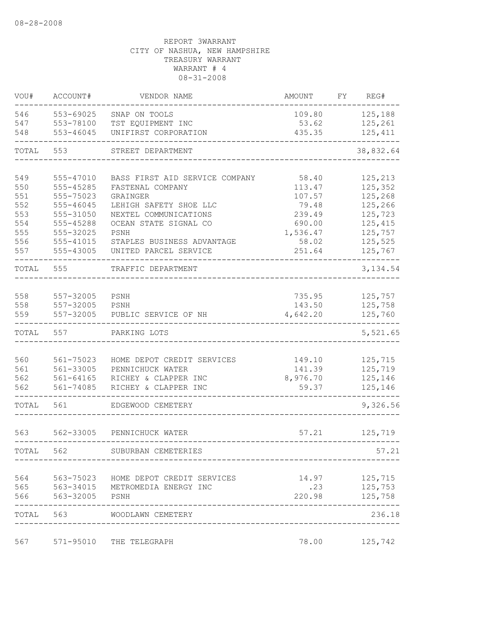| 546   | 553-69025              | SNAP ON TOOLS                                      | 109.80          | 125,188                         |
|-------|------------------------|----------------------------------------------------|-----------------|---------------------------------|
| 547   | 553-78100              | TST EQUIPMENT INC                                  | 53.62           | 125,261                         |
| 548   | 553-46045              | UNIFIRST CORPORATION                               | 435.35          | 125, 411                        |
| TOTAL | 553                    | STREET DEPARTMENT                                  |                 | 38,832.64                       |
| 549   |                        |                                                    |                 |                                 |
| 550   | 555-47010<br>555-45285 | BASS FIRST AID SERVICE COMPANY<br>FASTENAL COMPANY | 58.40<br>113.47 | 125,213<br>125,352              |
| 551   | 555-75023              | GRAINGER                                           | 107.57          | 125,268                         |
| 552   | 555-46045              | LEHIGH SAFETY SHOE LLC                             | 79.48           | 125,266                         |
| 553   | 555-31050              | NEXTEL COMMUNICATIONS                              | 239.49          | 125,723                         |
| 554   | 555-45288              | OCEAN STATE SIGNAL CO                              | 690.00          | 125, 415                        |
| 555   | 555-32025              | PSNH                                               | 1,536.47        | 125,757                         |
| 556   | 555-41015              | STAPLES BUSINESS ADVANTAGE                         | 58.02           | 125,525                         |
| 557   | 555-43005              | UNITED PARCEL SERVICE                              | 251.64          | 125,767                         |
| TOTAL | 555                    | TRAFFIC DEPARTMENT                                 |                 | 3, 134.54                       |
|       |                        |                                                    |                 |                                 |
| 558   | 557-32005              | PSNH                                               | 735.95          | 125,757                         |
| 558   | 557-32005              | PSNH                                               | 143.50          | 125,758                         |
| 559   | 557-32005              | PUBLIC SERVICE OF NH                               | 4,642.20        | 125,760                         |
| TOTAL | 557                    | PARKING LOTS                                       |                 | 5,521.65                        |
|       |                        |                                                    |                 |                                 |
| 560   | 561-75023              | HOME DEPOT CREDIT SERVICES                         | 149.10          | 125,715                         |
| 561   | 561-33005              | PENNICHUCK WATER                                   | 141.39          | 125,719                         |
| 562   | $561 - 64165$          | RICHEY & CLAPPER INC                               | 8,976.70        | 125,146                         |
| 562   | $561 - 74085$          | RICHEY & CLAPPER INC                               | 59.37           | 125,146                         |
| TOTAL | 561                    | EDGEWOOD CEMETERY                                  |                 | 9,326.56                        |
| 563   | 562-33005              | PENNICHUCK WATER                                   | 57.21           | 125,719                         |
| TOTAL | 562                    | SUBURBAN CEMETERIES                                |                 | 57.21                           |
|       |                        |                                                    |                 |                                 |
| 564   |                        | 563-75023 HOME DEPOT CREDIT SERVICES               |                 | 14.97 125,715                   |
|       |                        | 565 563-34015 METROMEDIA ENERGY INC                |                 | $.23$ $125,753$                 |
|       | 566 563-32005 PSNH     |                                                    |                 | 220.98 125,758<br>. _ _ _ _ _ . |
|       |                        | TOTAL 563 WOODLAWN CEMETERY                        |                 | 236.18                          |
| 567   |                        | 571-95010 THE TELEGRAPH                            |                 | 78.00 125,742                   |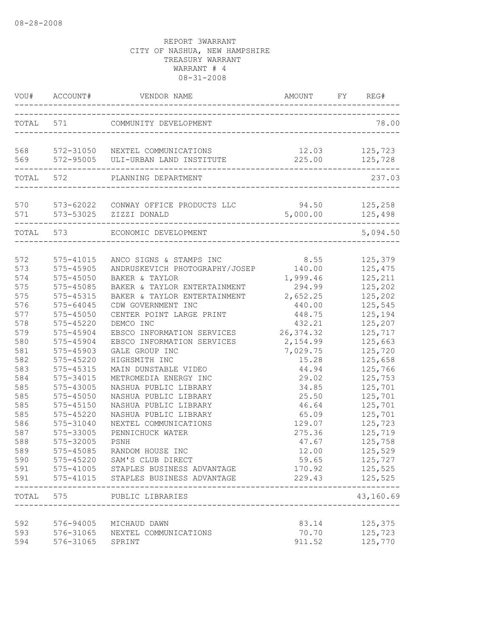|                                                                                                                                                 | VOU# ACCOUNT#                                                                                                                                                                                                                                                                             | VENDOR NAME                                                                                                                                                                                                                                                                                                                                                                                                                                                                                                         |                                                                                                                                                                                                                  | REG#                                                                                                                                                                                                                                |
|-------------------------------------------------------------------------------------------------------------------------------------------------|-------------------------------------------------------------------------------------------------------------------------------------------------------------------------------------------------------------------------------------------------------------------------------------------|---------------------------------------------------------------------------------------------------------------------------------------------------------------------------------------------------------------------------------------------------------------------------------------------------------------------------------------------------------------------------------------------------------------------------------------------------------------------------------------------------------------------|------------------------------------------------------------------------------------------------------------------------------------------------------------------------------------------------------------------|-------------------------------------------------------------------------------------------------------------------------------------------------------------------------------------------------------------------------------------|
|                                                                                                                                                 |                                                                                                                                                                                                                                                                                           | TOTAL 571 COMMUNITY DEVELOPMENT                                                                                                                                                                                                                                                                                                                                                                                                                                                                                     | ______________________________________                                                                                                                                                                           | 78.00                                                                                                                                                                                                                               |
|                                                                                                                                                 |                                                                                                                                                                                                                                                                                           | 568 572-31050 NEXTEL COMMUNICATIONS<br>569 572-95005 ULI-URBAN LAND INSTITUTE                                                                                                                                                                                                                                                                                                                                                                                                                                       | 225.00                                                                                                                                                                                                           | 12.03 125,723<br>125,728                                                                                                                                                                                                            |
|                                                                                                                                                 | TOTAL 572                                                                                                                                                                                                                                                                                 | PLANNING DEPARTMENT                                                                                                                                                                                                                                                                                                                                                                                                                                                                                                 |                                                                                                                                                                                                                  | 237.03                                                                                                                                                                                                                              |
|                                                                                                                                                 |                                                                                                                                                                                                                                                                                           | 570 573-62022 CONWAY OFFICE PRODUCTS LLC<br>571 573-53025 ZIZZI DONALD                                                                                                                                                                                                                                                                                                                                                                                                                                              | 94.50 125,258<br>5,000.00 125,498                                                                                                                                                                                |                                                                                                                                                                                                                                     |
|                                                                                                                                                 |                                                                                                                                                                                                                                                                                           | TOTAL 573 ECONOMIC DEVELOPMENT                                                                                                                                                                                                                                                                                                                                                                                                                                                                                      |                                                                                                                                                                                                                  | 5,094.50                                                                                                                                                                                                                            |
| 572<br>573<br>574<br>575<br>575<br>576<br>577<br>578<br>579<br>580<br>581<br>582<br>583<br>584<br>585<br>585<br>585<br>585<br>586<br>587<br>588 | 575-41015<br>575-45905<br>$575 - 45050$<br>575-45085<br>575-45315<br>575-64045<br>575-45050<br>$575 - 45220$<br>575-45904<br>575-45904<br>575-45903<br>575-45220<br>575-45315<br>575-34015<br>575-43005<br>575-45050<br>575-45150<br>$575 - 45220$<br>575-31040<br>575-33005<br>575-32005 | ANCO SIGNS & STAMPS INC<br>ANDRUSKEVICH PHOTOGRAPHY/JOSEP<br>BAKER & TAYLOR<br>BAKER & TAYLOR ENTERTAINMENT<br>BAKER & TAYLOR ENTERTAINMENT<br>CDW GOVERNMENT INC<br>CENTER POINT LARGE PRINT<br>DEMCO INC<br>EBSCO INFORMATION SERVICES<br>EBSCO INFORMATION SERVICES<br>GALE GROUP INC<br>HIGHSMITH INC<br>MAIN DUNSTABLE VIDEO<br>METROMEDIA ENERGY INC<br>NASHUA PUBLIC LIBRARY<br>NASHUA PUBLIC LIBRARY<br>NASHUA PUBLIC LIBRARY<br>NASHUA PUBLIC LIBRARY<br>NEXTEL COMMUNICATIONS<br>PENNICHUCK WATER<br>PSNH | 8.55<br>140.00<br>1,999.46<br>294.99<br>2,652.25<br>440.00<br>448.75<br>432.21<br>26, 374.32<br>2,154.99<br>7,029.75<br>15.28<br>44.94<br>29.02<br>34.85<br>25.50<br>46.64<br>65.09<br>129.07<br>275.36<br>47.67 | 125,379<br>125,475<br>125,211<br>125,202<br>125,202<br>125,545<br>125,194<br>125,207<br>125,717<br>125,663<br>125,720<br>125,658<br>125,766<br>125,753<br>125,701<br>125,701<br>125,701<br>125,701<br>125,723<br>125,719<br>125,758 |
| 589<br>590<br>591<br>591                                                                                                                        | 575-45085                                                                                                                                                                                                                                                                                 | RANDOM HOUSE INC<br>575-45220 SAM'S CLUB DIRECT<br>575-41005 STAPLES BUSINESS ADVANTAGE<br>575-41015 STAPLES BUSINESS ADVANTAGE                                                                                                                                                                                                                                                                                                                                                                                     | 12.00<br>59.65<br>170.92<br>229.43                                                                                                                                                                               | 125,529<br>125,727<br>125,525<br>125,525                                                                                                                                                                                            |
|                                                                                                                                                 | TOTAL 575                                                                                                                                                                                                                                                                                 | PUBLIC LIBRARIES                                                                                                                                                                                                                                                                                                                                                                                                                                                                                                    |                                                                                                                                                                                                                  | 43,160.69                                                                                                                                                                                                                           |
| 592<br>593<br>594                                                                                                                               | 576-31065                                                                                                                                                                                                                                                                                 | __________________<br>576-94005 MICHAUD DAWN<br>576-31065 NEXTEL COMMUNICATIONS<br>SPRINT                                                                                                                                                                                                                                                                                                                                                                                                                           | 83.14<br>70.70<br>911.52                                                                                                                                                                                         | 125,375<br>125,723<br>125,770                                                                                                                                                                                                       |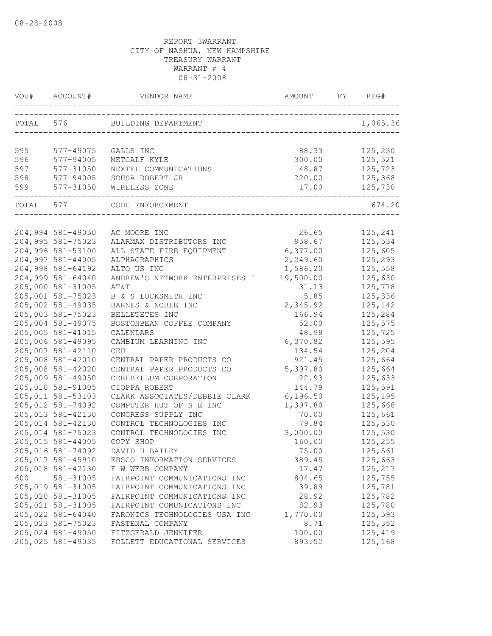|     | VOU# ACCOUNT#     | VENDOR NAME                                                | AMOUNT    | FY | REG#     |
|-----|-------------------|------------------------------------------------------------|-----------|----|----------|
|     |                   | TOTAL 576 BUILDING DEPARTMENT                              |           |    | 1,065.36 |
|     |                   |                                                            |           |    |          |
| 595 | 577-49075         | GALLS INC                                                  | 88.33     |    | 125,230  |
| 596 | 577-94005         | METCALF KYLE                                               | 300.00    |    | 125,521  |
| 597 | 577-31050         | NEXTEL COMMUNICATIONS                                      | 48.87     |    | 125,723  |
| 598 | 577-94005         | SOUSA ROBERT JR                                            | 220.00    |    | 125,368  |
| 599 | 577-31050         | WIRELESS ZONE                                              | 17.00     |    | 125,730  |
|     |                   | ____________________________<br>TOTAL 577 CODE ENFORCEMENT |           |    | 674.20   |
|     |                   |                                                            |           |    |          |
|     | 204,994 581-49050 | AC MOORE INC                                               | 26.65     |    | 125,241  |
|     | 204,995 581-75023 | ALARMAX DISTRIBUTORS INC                                   | 958.67    |    | 125,534  |
|     | 204,996 581-53100 | ALL STATE FIRE EQUIPMENT                                   | 6,377.00  |    | 125,605  |
|     | 204,997 581-44005 | ALPHAGRAPHICS                                              | 2,249.60  |    | 125,293  |
|     | 204,998 581-64192 | ALTO US INC                                                | 1,586.20  |    | 125,558  |
|     | 204,999 581-64040 | ANDREW'S NETWORK ENTERPRISES I                             | 19,500.00 |    | 125,630  |
|     | 205,000 581-31005 | AT&T                                                       | 31.13     |    | 125,778  |
|     | 205,001 581-75023 | B & S LOCKSMITH INC                                        | 5.85      |    | 125,336  |
|     | 205,002 581-49035 | BARNES & NOBLE INC                                         | 2,345.92  |    | 125,142  |
|     | 205,003 581-75023 | BELLETETES INC                                             | 166.94    |    | 125,284  |
|     | 205,004 581-49075 | BOSTONBEAN COFFEE COMPANY                                  | 52.00     |    | 125,575  |
|     | 205,005 581-41015 | CALENDARS                                                  | 48.98     |    | 125,725  |
|     | 205,006 581-49095 | CAMBIUM LEARNING INC                                       | 6,370.82  |    | 125,595  |
|     | 205,007 581-42110 | CED                                                        | 134.54    |    | 125,204  |
|     | 205,008 581-42010 | CENTRAL PAPER PRODUCTS CO                                  | 921.45    |    | 125,664  |
|     | 205,008 581-42020 | CENTRAL PAPER PRODUCTS CO                                  | 5,397.80  |    | 125,664  |
|     | 205,009 581-49050 | CEREBELLUM CORPORATION                                     | 22.93     |    | 125,633  |
|     | 205,010 581-91005 | CIOPPA ROBERT                                              | 144.79    |    | 125,591  |
|     | 205,011 581-53103 | CLARK ASSOCIATES/DEBBIE CLARK                              | 6,196.50  |    | 125,195  |
|     | 205,012 581-74092 | COMPUTER HUT OF N E INC                                    | 1,397.80  |    | 125,668  |
|     | 205,013 581-42130 | CONGRESS SUPPLY INC                                        | 70.00     |    | 125,661  |
|     | 205,014 581-42130 | CONTROL TECHNOLOGIES INC                                   | 79.84     |    | 125,530  |
|     | 205,014 581-75023 | CONTROL TECHNOLOGIES INC                                   | 3,000.00  |    | 125,530  |
|     | 205,015 581-44005 | COPY SHOP                                                  | 160.00    |    | 125,255  |
|     | 205,016 581-74092 | DAVID H BAILEY                                             | 75.00     |    | 125,561  |
|     | 205,017 581-45910 | EBSCO INFORMATION SERVICES                                 | 389.45    |    | 125,663  |
|     | 205,018 581-42130 | F W WEBB COMPANY                                           | 17.47     |    | 125,217  |
| 600 | 581-31005         | FAIRPOINT COMMUNICATIONS INC                               | 804.65    |    | 125,755  |
|     | 205,019 581-31005 | FAIRPOINT COMMUNICATIONS INC                               | 39.89     |    | 125,781  |
|     | 205,020 581-31005 | FAIRPOINT COMMUNICATIONS INC                               | 28.92     |    | 125,782  |
|     | 205,021 581-31005 | FAIRPOINT COMUNICATIONS INC                                | 82.93     |    | 125,780  |
|     | 205,022 581-64040 | FARONICS TECHNOLOGIES USA INC                              | 1,770.00  |    | 125,593  |
|     | 205,023 581-75023 | FASTENAL COMPANY                                           | 8.71      |    | 125,352  |
|     | 205,024 581-49050 | FITZGERALD JENNIFER                                        | 100.00    |    | 125,419  |
|     | 205,025 581-49035 | FOLLETT EDUCATIONAL SERVICES                               | 893.52    |    | 125,168  |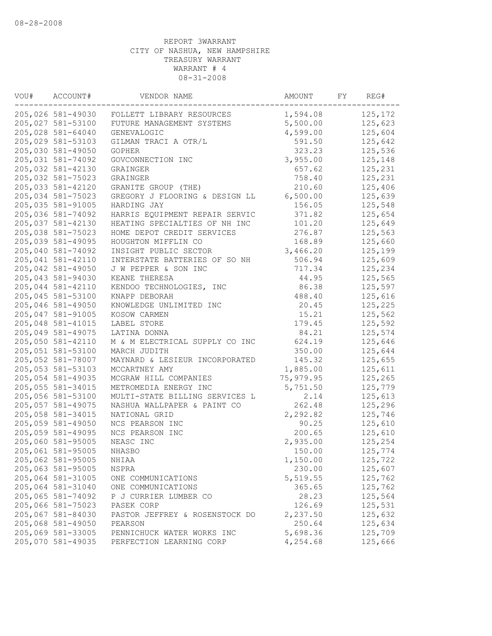| VOU# | ACCOUNT#          | VENDOR NAME                    | AMOUNT    | FY | REG#    |
|------|-------------------|--------------------------------|-----------|----|---------|
|      | 205,026 581-49030 | FOLLETT LIBRARY RESOURCES      | 1,594.08  |    | 125,172 |
|      | 205,027 581-53100 | FUTURE MANAGEMENT SYSTEMS      | 5,500.00  |    | 125,623 |
|      | 205,028 581-64040 | GENEVALOGIC                    | 4,599.00  |    | 125,604 |
|      | 205,029 581-53103 | GILMAN TRACI A OTR/L           | 591.50    |    | 125,642 |
|      | 205,030 581-49050 | GOPHER                         | 323.23    |    | 125,536 |
|      | 205,031 581-74092 | GOVCONNECTION INC              | 3,955.00  |    | 125,148 |
|      | 205,032 581-42130 | GRAINGER                       | 657.62    |    | 125,231 |
|      | 205,032 581-75023 | GRAINGER                       | 758.40    |    | 125,231 |
|      | 205,033 581-42120 | GRANITE GROUP (THE)            | 210.60    |    | 125,406 |
|      | 205,034 581-75023 | GREGORY J FLOORING & DESIGN LL | 6,500.00  |    | 125,639 |
|      | 205,035 581-91005 | HARDING JAY                    | 156.05    |    | 125,548 |
|      | 205,036 581-74092 | HARRIS EQUIPMENT REPAIR SERVIC | 371.82    |    | 125,654 |
|      | 205,037 581-42130 | HEATING SPECIALTIES OF NH INC  | 101.20    |    | 125,649 |
|      | 205,038 581-75023 | HOME DEPOT CREDIT SERVICES     | 276.87    |    | 125,563 |
|      | 205,039 581-49095 | HOUGHTON MIFFLIN CO            | 168.89    |    | 125,660 |
|      | 205,040 581-74092 | INSIGHT PUBLIC SECTOR          | 3,466.20  |    | 125,199 |
|      | 205,041 581-42110 | INTERSTATE BATTERIES OF SO NH  | 506.94    |    | 125,609 |
|      | 205,042 581-49050 | J W PEPPER & SON INC           | 717.34    |    | 125,234 |
|      | 205,043 581-94030 | KEANE THERESA                  | 44.95     |    | 125,565 |
|      | 205,044 581-42110 | KENDOO TECHNOLOGIES, INC       | 86.38     |    | 125,597 |
|      | 205,045 581-53100 | KNAPP DEBORAH                  | 488.40    |    | 125,616 |
|      | 205,046 581-49050 | KNOWLEDGE UNLIMITED INC        | 20.45     |    | 125,225 |
|      | 205,047 581-91005 | KOSOW CARMEN                   | 15.21     |    | 125,562 |
|      | 205,048 581-41015 | LABEL STORE                    | 179.45    |    | 125,592 |
|      | 205,049 581-49075 | LATINA DONNA                   | 84.21     |    | 125,574 |
|      | 205,050 581-42110 | M & M ELECTRICAL SUPPLY CO INC | 624.19    |    | 125,646 |
|      | 205,051 581-53100 | MARCH JUDITH                   | 350.00    |    | 125,644 |
|      | 205,052 581-78007 | MAYNARD & LESIEUR INCORPORATED | 145.32    |    | 125,655 |
|      | 205,053 581-53103 | MCCARTNEY AMY                  | 1,885.00  |    | 125,611 |
|      | 205,054 581-49035 | MCGRAW HILL COMPANIES          | 75,979.95 |    | 125,265 |
|      | 205,055 581-34015 | METROMEDIA ENERGY INC          | 5,751.50  |    | 125,779 |
|      | 205,056 581-53100 | MULTI-STATE BILLING SERVICES L | 2.14      |    | 125,613 |
|      | 205,057 581-49075 | NASHUA WALLPAPER & PAINT CO    | 262.48    |    | 125,296 |
|      | 205,058 581-34015 | NATIONAL GRID                  | 2,292.82  |    | 125,746 |
|      | 205,059 581-49050 | NCS PEARSON INC                | 90.25     |    | 125,610 |
|      | 205,059 581-49095 | NCS PEARSON INC                | 200.65    |    | 125,610 |
|      | 205,060 581-95005 | NEASC INC                      | 2,935.00  |    | 125,254 |
|      | 205,061 581-95005 | NHASBO                         | 150.00    |    | 125,774 |
|      | 205,062 581-95005 | NHIAA                          | 1,150.00  |    | 125,722 |
|      | 205,063 581-95005 | NSPRA                          | 230.00    |    | 125,607 |
|      | 205,064 581-31005 |                                | 5,519.55  |    | 125,762 |
|      | 205,064 581-31040 | ONE COMMUNICATIONS             | 365.65    |    | 125,762 |
|      |                   | ONE COMMUNICATIONS             |           |    | 125,564 |
|      | 205,065 581-74092 | P J CURRIER LUMBER CO          | 28.23     |    |         |
|      | 205,066 581-75023 | PASEK CORP                     | 126.69    |    | 125,531 |
|      | 205,067 581-84030 | PASTOR JEFFREY & ROSENSTOCK DO | 2,237.50  |    | 125,632 |
|      | 205,068 581-49050 | PEARSON                        | 250.64    |    | 125,634 |
|      | 205,069 581-33005 | PENNICHUCK WATER WORKS INC     | 5,698.36  |    | 125,709 |
|      | 205,070 581-49035 | PERFECTION LEARNING CORP       | 4,254.68  |    | 125,666 |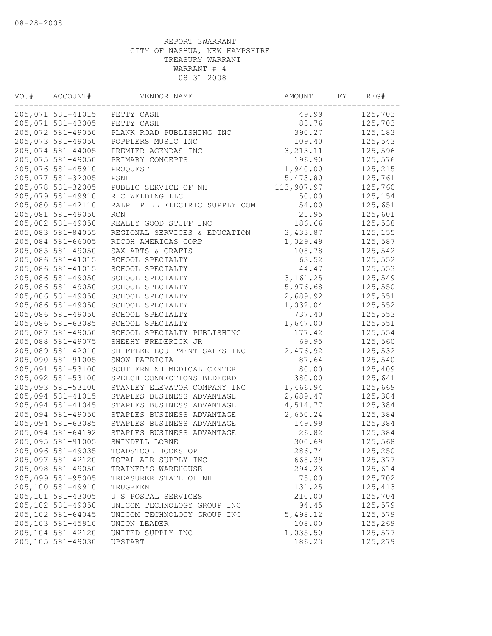| VOU# | ACCOUNT#          | VENDOR NAME                    | AMOUNT     | FY | REG#    |
|------|-------------------|--------------------------------|------------|----|---------|
|      | 205,071 581-41015 | PETTY CASH                     | 49.99      |    | 125,703 |
|      | 205,071 581-43005 | PETTY CASH                     | 83.76      |    | 125,703 |
|      | 205,072 581-49050 | PLANK ROAD PUBLISHING INC      | 390.27     |    | 125,183 |
|      | 205,073 581-49050 | POPPLERS MUSIC INC             | 109.40     |    | 125,543 |
|      | 205,074 581-44005 | PREMIER AGENDAS INC            | 3, 213.11  |    | 125,596 |
|      | 205,075 581-49050 | PRIMARY CONCEPTS               | 196.90     |    | 125,576 |
|      | 205,076 581-45910 | PROQUEST                       | 1,940.00   |    | 125,215 |
|      | 205,077 581-32005 | PSNH                           | 5,473.80   |    | 125,761 |
|      | 205,078 581-32005 | PUBLIC SERVICE OF NH           | 113,907.97 |    | 125,760 |
|      | 205,079 581-49910 | R C WELDING LLC                | 50.00      |    | 125,154 |
|      | 205,080 581-42110 | RALPH PILL ELECTRIC SUPPLY COM | 54.00      |    | 125,651 |
|      | 205,081 581-49050 | <b>RCN</b>                     | 21.95      |    | 125,601 |
|      | 205,082 581-49050 | REALLY GOOD STUFF INC          | 186.66     |    | 125,538 |
|      | 205,083 581-84055 | REGIONAL SERVICES & EDUCATION  | 3,433.87   |    | 125,155 |
|      | 205,084 581-66005 | RICOH AMERICAS CORP            | 1,029.49   |    | 125,587 |
|      | 205,085 581-49050 | SAX ARTS & CRAFTS              | 108.78     |    | 125,542 |
|      | 205,086 581-41015 | SCHOOL SPECIALTY               | 63.52      |    | 125,552 |
|      | 205,086 581-41015 | SCHOOL SPECIALTY               | 44.47      |    | 125,553 |
|      | 205,086 581-49050 | SCHOOL SPECIALTY               | 3,161.25   |    | 125,549 |
|      | 205,086 581-49050 | SCHOOL SPECIALTY               | 5,976.68   |    | 125,550 |
|      | 205,086 581-49050 | SCHOOL SPECIALTY               | 2,689.92   |    | 125,551 |
|      | 205,086 581-49050 | SCHOOL SPECIALTY               | 1,032.04   |    | 125,552 |
|      | 205,086 581-49050 | SCHOOL SPECIALTY               | 737.40     |    | 125,553 |
|      | 205,086 581-63085 | SCHOOL SPECIALTY               | 1,647.00   |    | 125,551 |
|      | 205,087 581-49050 | SCHOOL SPECIALTY PUBLISHING    | 177.42     |    | 125,554 |
|      | 205,088 581-49075 | SHEEHY FREDERICK JR            | 69.95      |    | 125,560 |
|      | 205,089 581-42010 | SHIFFLER EQUIPMENT SALES INC   | 2,476.92   |    | 125,532 |
|      | 205,090 581-91005 | SNOW PATRICIA                  | 87.64      |    | 125,540 |
|      | 205,091 581-53100 | SOUTHERN NH MEDICAL CENTER     | 80.00      |    | 125,409 |
|      | 205,092 581-53100 | SPEECH CONNECTIONS BEDFORD     | 380.00     |    | 125,641 |
|      | 205,093 581-53100 | STANLEY ELEVATOR COMPANY INC   | 1,466.94   |    | 125,669 |
|      | 205,094 581-41015 | STAPLES BUSINESS ADVANTAGE     | 2,689.47   |    | 125,384 |
|      | 205,094 581-41045 | STAPLES BUSINESS ADVANTAGE     | 4,514.77   |    | 125,384 |
|      | 205,094 581-49050 | STAPLES BUSINESS ADVANTAGE     | 2,650.24   |    | 125,384 |
|      | 205,094 581-63085 | STAPLES BUSINESS ADVANTAGE     | 149.99     |    | 125,384 |
|      | 205,094 581-64192 | STAPLES BUSINESS ADVANTAGE     | 26.82      |    | 125,384 |
|      | 205,095 581-91005 | SWINDELL LORNE                 | 300.69     |    | 125,568 |
|      | 205,096 581-49035 | TOADSTOOL BOOKSHOP             | 286.74     |    | 125,250 |
|      | 205,097 581-42120 | TOTAL AIR SUPPLY INC           | 668.39     |    | 125,377 |
|      | 205,098 581-49050 | TRAINER'S WAREHOUSE            | 294.23     |    | 125,614 |
|      | 205,099 581-95005 | TREASURER STATE OF NH          | 75.00      |    | 125,702 |
|      | 205,100 581-49910 | TRUGREEN                       | 131.25     |    | 125,413 |
|      | 205,101 581-43005 | U S POSTAL SERVICES            | 210.00     |    | 125,704 |
|      | 205,102 581-49050 | UNICOM TECHNOLOGY GROUP INC    | 94.45      |    | 125,579 |
|      | 205,102 581-64045 | UNICOM TECHNOLOGY GROUP INC    | 5,498.12   |    | 125,579 |
|      | 205,103 581-45910 | UNION LEADER                   | 108.00     |    | 125,269 |
|      | 205,104 581-42120 | UNITED SUPPLY INC              | 1,035.50   |    | 125,577 |
|      | 205,105 581-49030 | UPSTART                        | 186.23     |    | 125,279 |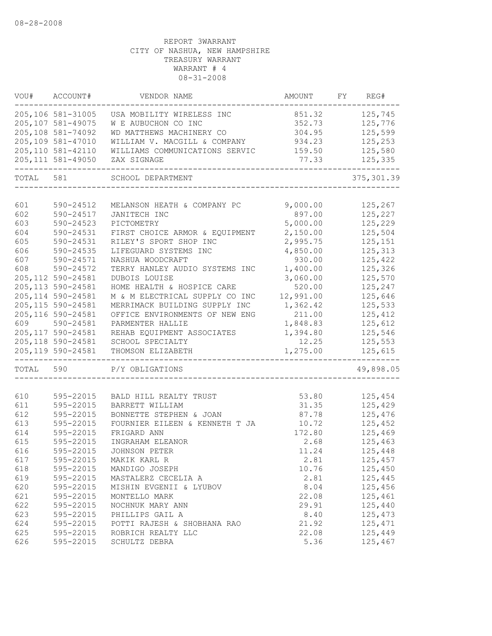|           | VOU# ACCOUNT#      | VENDOR NAME                    | AMOUNT    | FY REG#     |
|-----------|--------------------|--------------------------------|-----------|-------------|
|           | 205,106 581-31005  | USA MOBILITY WIRELESS INC      | 851.32    | 125,745     |
|           | 205,107 581-49075  | W E AUBUCHON CO INC            | 352.73    | 125,776     |
|           | 205,108 581-74092  | WD MATTHEWS MACHINERY CO       | 304.95    | 125,599     |
|           | 205,109 581-47010  | WILLIAM V. MACGILL & COMPANY   | 934.23    | 125,253     |
|           | 205, 110 581-42110 | WILLIAMS COMMUNICATIONS SERVIC | 159.50    | 125,580     |
|           | 205, 111 581-49050 | ZAX SIGNAGE                    | 77.33     | 125,335     |
| TOTAL 581 |                    | SCHOOL DEPARTMENT              |           | 375, 301.39 |
|           |                    |                                |           |             |
| 601       | 590-24512          | MELANSON HEATH & COMPANY PC    | 9,000.00  | 125,267     |
| 602       | 590-24517          | JANITECH INC                   | 897.00    | 125,227     |
| 603       | 590-24523          | PICTOMETRY                     | 5,000.00  | 125,229     |
| 604       | 590-24531          | FIRST CHOICE ARMOR & EQUIPMENT | 2,150.00  | 125,504     |
| 605       | 590-24531          | RILEY'S SPORT SHOP INC         | 2,995.75  | 125,151     |
| 606       | 590-24535          | LIFEGUARD SYSTEMS INC          | 4,850.00  | 125,313     |
| 607       | 590-24571          | NASHUA WOODCRAFT               | 930.00    | 125,422     |
| 608       | 590-24572          | TERRY HANLEY AUDIO SYSTEMS INC | 1,400.00  | 125,326     |
|           | 205, 112 590-24581 | DUBOIS LOUISE                  | 3,060.00  | 125,570     |
|           | 205, 113 590-24581 | HOME HEALTH & HOSPICE CARE     | 520.00    | 125,247     |
|           | 205, 114 590-24581 | M & M ELECTRICAL SUPPLY CO INC | 12,991.00 | 125,646     |
|           | 205, 115 590-24581 | MERRIMACK BUILDING SUPPLY INC  | 1,362.42  | 125,533     |
|           | 205, 116 590-24581 | OFFICE ENVIRONMENTS OF NEW ENG | 211.00    | 125,412     |
| 609       | 590-24581          | PARMENTER HALLIE               | 1,848.83  | 125,612     |
|           | 205, 117 590-24581 | REHAB EQUIPMENT ASSOCIATES     | 1,394.80  | 125,546     |
|           | 205, 118 590-24581 | SCHOOL SPECIALTY               | 12.25     | 125,553     |
|           | 205, 119 590-24581 | THOMSON ELIZABETH<br>--------- | 1,275.00  | 125,615     |
| TOTAL 590 |                    | P/Y OBLIGATIONS                |           | 49,898.05   |
|           |                    |                                |           |             |
| 610       | 595-22015          | BALD HILL REALTY TRUST         | 53.80     | 125,454     |
| 611       | 595-22015          | BARRETT WILLIAM                | 31.35     | 125,429     |
| 612       | 595-22015          | BONNETTE STEPHEN & JOAN        | 87.78     | 125,476     |
| 613       | 595-22015          | FOURNIER EILEEN & KENNETH T JA | 10.72     | 125,452     |
| 614       | 595-22015          | FRIGARD ANN                    | 172.80    | 125,469     |
| 615       | 595-22015          | INGRAHAM ELEANOR               | 2.68      | 125,463     |
| 616       | 595-22015          | JOHNSON PETER                  | 11.24     | 125,448     |
| 617       | 595-22015          | MAKIK KARL R                   | 2.81      | 125,457     |
| 618       | 595-22015          | MANDIGO JOSEPH                 | 10.76     | 125,450     |
| 619       | 595-22015          | MASTALERZ CECELIA A            | 2.81      | 125,445     |
| 620       | 595-22015          | MISHIN EVGENII & LYUBOV        | 8.04      | 125,456     |
| 621       | 595-22015          | MONTELLO MARK                  | 22.08     | 125,461     |
| 622       | 595-22015          | NOCHNUK MARY ANN               | 29.91     | 125,440     |
| 623       | 595-22015          | PHILLIPS GAIL A                | 8.40      | 125,473     |
| 624       | 595-22015          | POTTI RAJESH & SHOBHANA RAO    | 21.92     | 125,471     |
| 625       | 595-22015          | ROBRICH REALTY LLC             | 22.08     | 125,449     |
| 626       | 595-22015          | SCHULTZ DEBRA                  | 5.36      | 125,467     |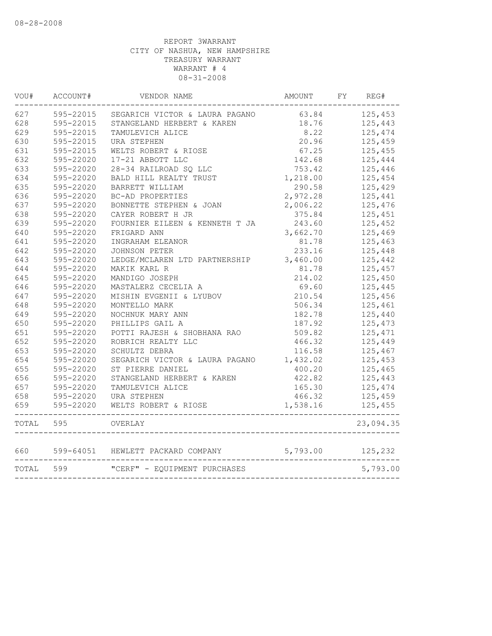| VOU# | ACCOUNT#      | VENDOR NAME                                  |          | AMOUNT FY REG# |
|------|---------------|----------------------------------------------|----------|----------------|
| 627  | 595-22015     | SEGARICH VICTOR & LAURA PAGANO 63.84 125,453 |          |                |
| 628  | 595-22015     | STANGELAND HERBERT & KAREN                   | 18.76    | 125,443        |
| 629  | 595-22015     | TAMULEVICH ALICE                             | 8.22     | 125,474        |
| 630  | 595-22015     | URA STEPHEN                                  | 20.96    | 125,459        |
| 631  | 595-22015     | WELTS ROBERT & RIOSE                         | 67.25    | 125,455        |
| 632  | 595-22020     | 17-21 ABBOTT LLC                             | 142.68   | 125,444        |
| 633  | 595-22020     | 28-34 RAILROAD SQ LLC                        | 753.42   | 125,446        |
| 634  | 595-22020     | BALD HILL REALTY TRUST                       | 1,218.00 | 125,454        |
| 635  | 595-22020     | BARRETT WILLIAM                              | 290.58   | 125,429        |
| 636  | 595-22020     | BC-AD PROPERTIES                             | 2,972.28 | 125,441        |
| 637  | 595-22020     | BONNETTE STEPHEN & JOAN                      | 2,006.22 | 125,476        |
| 638  | 595-22020     | CAYER ROBERT H JR                            | 375.84   | 125,451        |
| 639  | 595-22020     | FOURNIER EILEEN & KENNETH T JA               | 243.60   | 125,452        |
| 640  | 595-22020     | FRIGARD ANN                                  | 3,662.70 | 125,469        |
| 641  | 595-22020     | INGRAHAM ELEANOR                             | 81.78    | 125,463        |
| 642  | 595-22020     | <b>JOHNSON PETER</b>                         | 233.16   | 125,448        |
| 643  | 595-22020     | LEDGE/MCLAREN LTD PARTNERSHIP                | 3,460.00 | 125,442        |
| 644  | 595-22020     | MAKIK KARL R                                 | 81.78    | 125,457        |
| 645  | 595-22020     | MANDIGO JOSEPH                               | 214.02   | 125,450        |
| 646  | 595-22020     | MASTALERZ CECELIA A                          | 69.60    | 125,445        |
| 647  | 595-22020     | MISHIN EVGENII & LYUBOV                      | 210.54   | 125,456        |
| 648  | 595-22020     | MONTELLO MARK                                | 506.34   | 125,461        |
| 649  | 595-22020     | NOCHNUK MARY ANN                             | 182.78   | 125,440        |
| 650  | 595-22020     | PHILLIPS GAIL A                              | 187.92   | 125,473        |
| 651  | 595-22020     | POTTI RAJESH & SHOBHANA RAO                  | 509.82   | 125,471        |
| 652  | 595-22020     | ROBRICH REALTY LLC                           | 466.32   | 125,449        |
| 653  | 595-22020     | SCHULTZ DEBRA                                | 116.58   | 125,467        |
| 654  | 595-22020     | SEGARICH VICTOR & LAURA PAGANO               | 1,432.02 | 125,453        |
| 655  | 595-22020     | ST PIERRE DANIEL                             | 400.20   | 125,465        |
| 656  | 595-22020     | STANGELAND HERBERT & KAREN                   | 422.82   | 125,443        |
| 657  | 595-22020     | TAMULEVICH ALICE                             | 165.30   | 125,474        |
| 658  |               | 595-22020 URA STEPHEN                        | 466.32   | 125,459        |
| 659  | $595 - 22020$ | WELTS ROBERT & RIOSE                         | 1,538.16 | 125,455        |
|      | TOTAL 595     | OVERLAY                                      |          | 23,094.35      |
|      | 660 599-64051 | HEWLETT PACKARD COMPANY                      | 5,793.00 | 125,232        |
|      | TOTAL 599     | "CERF" - EQUIPMENT PURCHASES                 |          | 5,793.00       |
|      |               |                                              |          |                |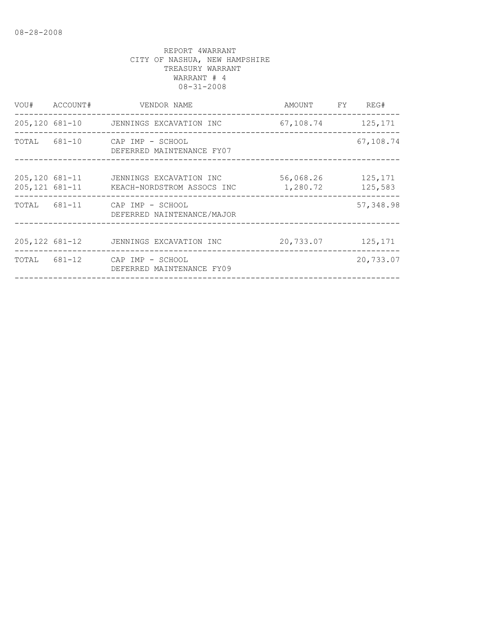| VOU# ACCOUNT#                    | VENDOR NAME                                                 | AMOUNT FY REG#                    |                    |
|----------------------------------|-------------------------------------------------------------|-----------------------------------|--------------------|
|                                  | 205,120 681-10 JENNINGS EXCAVATION INC                      | 67, 108, 74 125, 171              |                    |
|                                  | TOTAL 681-10 CAP IMP - SCHOOL<br>DEFERRED MAINTENANCE FY07  |                                   | 67,108.74          |
| 205,120 681-11<br>205,121 681-11 | JENNINGS EXCAVATION INC<br>KEACH-NORDSTROM ASSOCS INC       | 56,068.26<br>1,280.72             | 125,171<br>125,583 |
|                                  | TOTAL 681-11 CAP IMP - SCHOOL<br>DEFERRED NAINTENANCE/MAJOR | _________________________________ | 57,348.98          |
|                                  | 205,122 681-12 JENNINGS EXCAVATION INC                      | 20,733.07                         | 125,171            |
|                                  | TOTAL 681-12 CAP IMP - SCHOOL<br>DEFERRED MAINTENANCE FY09  |                                   | 20,733.07          |
|                                  |                                                             |                                   |                    |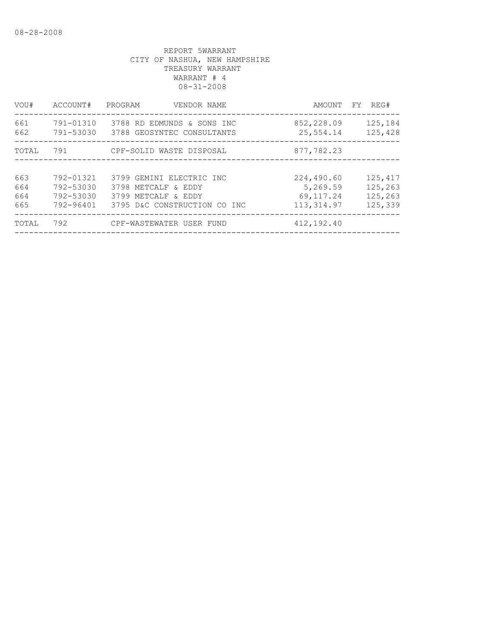| VOU#       | ACCOUNT#  | PROGRAM<br>VENDOR NAME                                             | AMOUNT<br>FY            | REG#               |
|------------|-----------|--------------------------------------------------------------------|-------------------------|--------------------|
| 661<br>662 | 791-01310 | 3788 RD EDMUNDS & SONS INC<br>791-53030 3788 GEOSYNTEC CONSULTANTS | 852,228.09<br>25,554.14 | 125,184<br>125,428 |
| TOTAL      | 791       | CPF-SOLID WASTE DISPOSAL                                           | 877,782.23              |                    |
|            |           |                                                                    |                         |                    |
| 663        | 792-01321 | 3799 GEMINI ELECTRIC INC                                           | 224,490.60              | 125,417            |
| 664        | 792-53030 | 3798 METCALF & EDDY                                                | 5,269.59                | 125,263            |
| 664        | 792-53030 | 3799 METCALF & EDDY                                                | 69, 117.24              | 125,263            |
| 665        | 792-96401 | 3795 D&C CONSTRUCTION CO INC                                       | 113, 314.97             | 125,339            |
| TOTAL      | 792       | CPF-WASTEWATER USER FUND                                           | 412,192.40              |                    |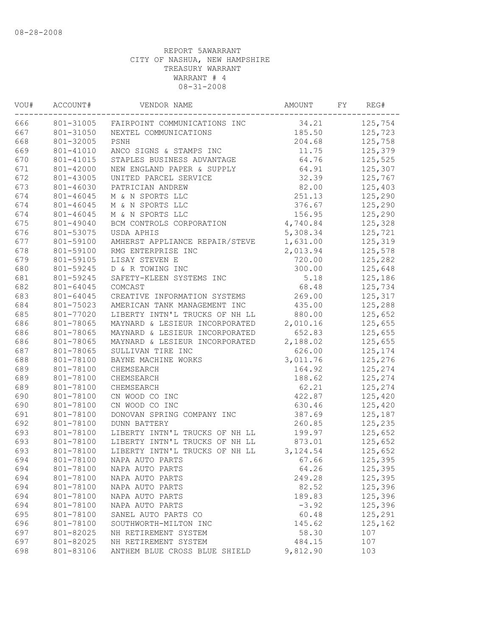| VOU# | ACCOUNT#  | VENDOR NAME                            | AMOUNT   | FY | REG#    |
|------|-----------|----------------------------------------|----------|----|---------|
| 666  |           | 801-31005 FAIRPOINT COMMUNICATIONS INC | 34.21    |    | 125,754 |
| 667  | 801-31050 | NEXTEL COMMUNICATIONS                  | 185.50   |    | 125,723 |
| 668  | 801-32005 | PSNH                                   | 204.68   |    | 125,758 |
| 669  | 801-41010 | ANCO SIGNS & STAMPS INC                | 11.75    |    | 125,379 |
| 670  | 801-41015 | STAPLES BUSINESS ADVANTAGE             | 64.76    |    | 125,525 |
| 671  | 801-42000 | NEW ENGLAND PAPER & SUPPLY             | 64.91    |    | 125,307 |
| 672  | 801-43005 | UNITED PARCEL SERVICE                  | 32.39    |    | 125,767 |
| 673  | 801-46030 | PATRICIAN ANDREW                       | 82.00    |    | 125,403 |
| 674  | 801-46045 | M & N SPORTS LLC                       | 251.13   |    | 125,290 |
| 674  | 801-46045 | M & N SPORTS LLC                       | 376.67   |    | 125,290 |
| 674  | 801-46045 | M & N SPORTS LLC                       | 156.95   |    | 125,290 |
| 675  | 801-49040 | BCM CONTROLS CORPORATION               | 4,740.84 |    | 125,328 |
| 676  | 801-53075 | USDA APHIS                             | 5,308.34 |    | 125,721 |
| 677  | 801-59100 | AMHERST APPLIANCE REPAIR/STEVE         | 1,631.00 |    | 125,319 |
| 678  | 801-59100 | RMG ENTERPRISE INC                     | 2,013.94 |    | 125,578 |
| 679  | 801-59105 | LISAY STEVEN E                         | 720.00   |    | 125,282 |
| 680  | 801-59245 | D & R TOWING INC                       | 300.00   |    | 125,648 |
| 681  | 801-59245 | SAFETY-KLEEN SYSTEMS INC               | 5.18     |    | 125,186 |
| 682  | 801-64045 | COMCAST                                | 68.48    |    | 125,734 |
| 683  | 801-64045 | CREATIVE INFORMATION SYSTEMS           | 269.00   |    | 125,317 |
| 684  | 801-75023 | AMERICAN TANK MANAGEMENT INC           | 435.00   |    | 125,288 |
| 685  | 801-77020 | LIBERTY INTN'L TRUCKS OF NH LL         | 880.00   |    | 125,652 |
| 686  | 801-78065 | MAYNARD & LESIEUR INCORPORATED         | 2,010.16 |    | 125,655 |
| 686  | 801-78065 | MAYNARD & LESIEUR INCORPORATED         | 652.83   |    | 125,655 |
| 686  | 801-78065 | MAYNARD & LESIEUR INCORPORATED         | 2,188.02 |    | 125,655 |
| 687  | 801-78065 | SULLIVAN TIRE INC                      | 626.00   |    | 125,174 |
| 688  | 801-78100 | BAYNE MACHINE WORKS                    | 3,011.76 |    | 125,276 |
| 689  | 801-78100 | CHEMSEARCH                             | 164.92   |    | 125,274 |
| 689  | 801-78100 | CHEMSEARCH                             | 188.62   |    | 125,274 |
| 689  | 801-78100 | CHEMSEARCH                             | 62.21    |    | 125,274 |
| 690  | 801-78100 | CN WOOD CO INC                         | 422.87   |    | 125,420 |
| 690  | 801-78100 | CN WOOD CO INC                         | 630.46   |    | 125,420 |
| 691  | 801-78100 | DONOVAN SPRING COMPANY INC             | 387.69   |    | 125,187 |
| 692  | 801-78100 | <b>DUNN BATTERY</b>                    | 260.85   |    | 125,235 |
| 693  | 801-78100 | LIBERTY INTN'L TRUCKS OF NH LL         | 199.97   |    | 125,652 |
| 693  | 801-78100 | LIBERTY INTN'L TRUCKS OF NH LL         | 873.01   |    | 125,652 |
| 693  | 801-78100 | LIBERTY INTN'L TRUCKS OF NH LL         | 3,124.54 |    | 125,652 |
| 694  | 801-78100 | NAPA AUTO PARTS                        | 67.66    |    | 125,395 |
| 694  | 801-78100 | NAPA AUTO PARTS                        | 64.26    |    | 125,395 |
| 694  | 801-78100 | NAPA AUTO PARTS                        | 249.28   |    | 125,395 |
| 694  | 801-78100 | NAPA AUTO PARTS                        | 82.52    |    | 125,396 |
| 694  | 801-78100 | NAPA AUTO PARTS                        | 189.83   |    | 125,396 |
| 694  | 801-78100 | NAPA AUTO PARTS                        | $-3.92$  |    | 125,396 |
| 695  | 801-78100 | SANEL AUTO PARTS CO                    | 60.48    |    | 125,291 |
| 696  | 801-78100 | SOUTHWORTH-MILTON INC                  | 145.62   |    | 125,162 |
| 697  | 801-82025 | NH RETIREMENT SYSTEM                   | 58.30    |    | 107     |
| 697  | 801-82025 | NH RETIREMENT SYSTEM                   | 484.15   |    | 107     |
| 698  | 801-83106 | ANTHEM BLUE CROSS BLUE SHIELD          | 9,812.90 |    | 103     |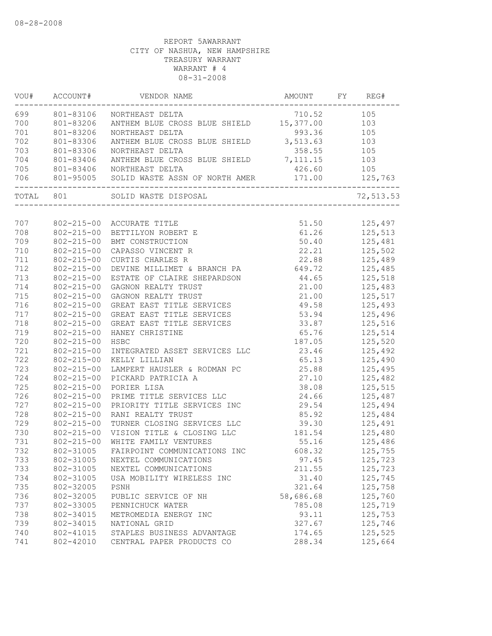|     |                  | VOU# ACCOUNT# VENDOR NAME                                                                      | AMOUNT FY REG#                                                                                   | ---------- |                               |
|-----|------------------|------------------------------------------------------------------------------------------------|--------------------------------------------------------------------------------------------------|------------|-------------------------------|
|     |                  | 699 801-83106 NORTHEAST DELTA                                                                  | 710.52                                                                                           |            | 105                           |
| 700 |                  | 801-83206 NORTHEM BLUE CROSS BLUE SHIELD 15,377.00 103<br>801-83206 NORTHEAST DELTA 993.36 105 |                                                                                                  |            |                               |
| 701 | 801-83206        |                                                                                                |                                                                                                  |            |                               |
| 702 | 801-83306        | ANTHEM BLUE CROSS BLUE SHIELD 3,513.63 103                                                     |                                                                                                  |            |                               |
| 703 |                  |                                                                                                | 358.55 105                                                                                       |            |                               |
| 704 |                  |                                                                                                |                                                                                                  |            |                               |
| 705 |                  | 801-83406 NORTHEAST DELTA                                                                      | 426.60 105                                                                                       |            |                               |
|     |                  |                                                                                                |                                                                                                  |            |                               |
|     |                  | TOTAL 801 SOLID WASTE DISPOSAL                                                                 |                                                                                                  |            | 72,513.53                     |
|     |                  |                                                                                                |                                                                                                  |            |                               |
| 707 |                  | 802-215-00 ACCURATE TITLE                                                                      | 51.50 125,497                                                                                    |            |                               |
| 708 | 802-215-00       | BETTILYON ROBERT E                                                                             | 61.26 125,513                                                                                    |            |                               |
| 709 | $802 - 215 - 00$ | BMT CONSTRUCTION                                                                               | 50.40 125,481                                                                                    |            |                               |
| 710 | $802 - 215 - 00$ | CAPASSO VINCENT R                                                                              |                                                                                                  |            | 22.21 125,502                 |
| 711 | $802 - 215 - 00$ | CURTIS CHARLES R                                                                               | 22.88                                                                                            |            | 125,489                       |
| 712 | $802 - 215 - 00$ | DEVINE MILLIMET & BRANCH PA                                                                    | 649.72                                                                                           |            | 125,485<br>125,518<br>125,483 |
| 713 | 802-215-00       | ESTATE OF CLAIRE SHEPARDSON                                                                    | 44.65                                                                                            |            |                               |
| 714 | 802-215-00       | GAGNON REALTY TRUST                                                                            | 21.00                                                                                            |            |                               |
| 715 | 802-215-00       | GAGNON REALTY TRUST                                                                            | 21.00                                                                                            |            | 125,517                       |
| 716 | 802-215-00       | GREAT EAST TITLE SERVICES                                                                      | 49.58 125,493                                                                                    |            |                               |
| 717 | $802 - 215 - 00$ | GREAT EAST TITLE SERVICES                                                                      | 53.94 125,496                                                                                    |            |                               |
| 718 | 802-215-00       | GREAT EAST TITLE SERVICES 33.87 125,516                                                        |                                                                                                  |            |                               |
| 719 | 802-215-00       | HANEY CHRISTINE                                                                                | 65.76 125,514                                                                                    |            |                               |
| 720 | $802 - 215 - 00$ | HSBC                                                                                           |                                                                                                  |            | 187.05 125,520                |
| 721 | $802 - 215 - 00$ | INTEGRATED ASSET SERVICES LLC                                                                  | 23.46                                                                                            |            |                               |
| 722 | $802 - 215 - 00$ | KELLY LILLIAN                                                                                  | 65.13                                                                                            |            | 125,492<br>125,490<br>125,495 |
| 723 | $802 - 215 - 00$ | LAMPERT HAUSLER & RODMAN PC                                                                    | 25.88                                                                                            |            |                               |
| 724 | 802-215-00       | PICKARD PATRICIA A                                                                             |                                                                                                  |            | $27.10$ $125,482$             |
| 725 | 802-215-00       | PORIER LISA                                                                                    | 38.08 125,515                                                                                    |            |                               |
| 726 | 802-215-00       | PRIME TITLE SERVICES LLC                                                                       | 24.66 125,487                                                                                    |            |                               |
| 727 | 802-215-00       | PRIORITY TITLE SERVICES INC 29.54 125,494                                                      |                                                                                                  |            |                               |
| 728 | $802 - 215 - 00$ | RANI REALTY TRUST                                                                              |                                                                                                  |            | 85.92 125,484                 |
| 729 | $802 - 215 - 00$ | TURNER CLOSING SERVICES LLC                                                                    |                                                                                                  |            |                               |
| 730 | $802 - 215 - 00$ | VISION TITLE & CLOSING LLC                                                                     | $\begin{array}{r} 39.30 \\ 181.54 \end{array}$ $\begin{array}{r} 125,491 \\ 125,480 \end{array}$ |            |                               |
| 731 | 802-215-00       | WHITE FAMILY VENTURES                                                                          | 55.16                                                                                            |            | 125,480<br>125,486            |
| 732 |                  | 802-31005 FAIRPOINT COMMUNICATIONS INC                                                         | 608.32                                                                                           |            | 125,755                       |
| 733 | 802-31005        | NEXTEL COMMUNICATIONS                                                                          | 97.45                                                                                            |            | 125,723                       |
| 733 | 802-31005        | NEXTEL COMMUNICATIONS                                                                          | 211.55                                                                                           |            | 125,723                       |
| 734 | 802-31005        | USA MOBILITY WIRELESS INC                                                                      | 31.40                                                                                            |            | 125,745                       |
| 735 | 802-32005        | PSNH                                                                                           | 321.64                                                                                           |            | 125,758                       |
| 736 | 802-32005        | PUBLIC SERVICE OF NH                                                                           | 58,686.68                                                                                        |            | 125,760                       |
| 737 | 802-33005        | PENNICHUCK WATER                                                                               | 785.08                                                                                           |            | 125,719                       |
| 738 | 802-34015        | METROMEDIA ENERGY INC                                                                          | 93.11                                                                                            |            | 125,753                       |
| 739 | 802-34015        | NATIONAL GRID                                                                                  | 327.67                                                                                           |            | 125,746                       |
| 740 | 802-41015        | STAPLES BUSINESS ADVANTAGE                                                                     | 174.65                                                                                           |            | 125,525                       |
| 741 | 802-42010        | CENTRAL PAPER PRODUCTS CO                                                                      | 288.34                                                                                           |            | 125,664                       |
|     |                  |                                                                                                |                                                                                                  |            |                               |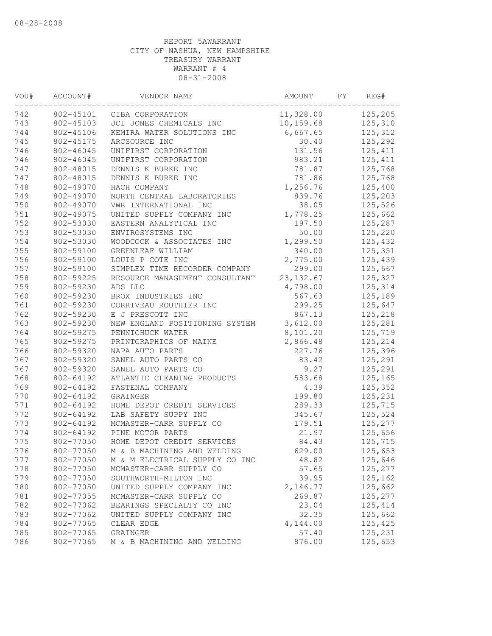| VOU# | ACCOUNT#  | VENDOR NAME                           | AMOUNT     | FY | REG#    |
|------|-----------|---------------------------------------|------------|----|---------|
| 742  | 802-45101 | CIBA CORPORATION                      | 11,328.00  |    | 125,205 |
| 743  | 802-45103 | JCI JONES CHEMICALS INC               | 10, 159.68 |    | 125,310 |
| 744  | 802-45106 | KEMIRA WATER SOLUTIONS INC            | 6,667.65   |    | 125,312 |
| 745  | 802-45175 | ARCSOURCE INC                         | 30.40      |    | 125,292 |
| 746  | 802-46045 | UNIFIRST CORPORATION                  | 131.56     |    | 125,411 |
| 746  | 802-46045 | UNIFIRST CORPORATION                  | 983.21     |    | 125,411 |
| 747  | 802-48015 | DENNIS K BURKE INC                    | 781.87     |    | 125,768 |
| 747  | 802-48015 | DENNIS K BURKE INC                    | 781.86     |    | 125,768 |
| 748  | 802-49070 | HACH COMPANY                          | 1,256.76   |    | 125,400 |
| 749  | 802-49070 | NORTH CENTRAL LABORATORIES            | 839.76     |    | 125,203 |
| 750  | 802-49070 | VWR INTERNATIONAL INC                 | 38.05      |    | 125,526 |
| 751  | 802-49075 | UNITED SUPPLY COMPANY INC             | 1,778.25   |    | 125,662 |
| 752  | 802-53030 | EASTERN ANALYTICAL INC                | 197.50     |    | 125,287 |
| 753  | 802-53030 | ENVIROSYSTEMS INC                     | 50.00      |    | 125,220 |
| 754  | 802-53030 | WOODCOCK & ASSOCIATES INC             | 1,299.50   |    | 125,432 |
| 755  | 802-59100 | GREENLEAF WILLIAM                     | 340.00     |    | 125,351 |
| 756  | 802-59100 | LOUIS P COTE INC                      | 2,775.00   |    | 125,439 |
| 757  | 802-59100 | SIMPLEX TIME RECORDER COMPANY         | 299.00     |    | 125,667 |
| 758  | 802-59225 | RESOURCE MANAGEMENT CONSULTANT        | 23, 132.67 |    | 125,327 |
| 759  | 802-59230 | ADS LLC                               | 4,798.00   |    | 125,314 |
| 760  | 802-59230 | BROX INDUSTRIES INC                   | 567.63     |    | 125,189 |
| 761  | 802-59230 | CORRIVEAU ROUTHIER INC                | 299.25     |    | 125,647 |
| 762  | 802-59230 | E J PRESCOTT INC                      | 867.13     |    | 125,218 |
| 763  | 802-59230 | NEW ENGLAND POSITIONING SYSTEM        | 3,612.00   |    | 125,281 |
| 764  | 802-59275 | PENNICHUCK WATER                      | 8,101.20   |    | 125,719 |
| 765  | 802-59275 | PRINTGRAPHICS OF MAINE                | 2,866.48   |    | 125,214 |
| 766  | 802-59320 | NAPA AUTO PARTS                       | 227.76     |    | 125,396 |
| 767  | 802-59320 | SANEL AUTO PARTS CO                   | 83.42      |    | 125,291 |
| 767  | 802-59320 | SANEL AUTO PARTS CO                   | 9.27       |    | 125,291 |
| 768  | 802-64192 | ATLANTIC CLEANING PRODUCTS            | 583.68     |    | 125,165 |
| 769  | 802-64192 | FASTENAL COMPANY                      | 4.39       |    | 125,352 |
| 770  | 802-64192 | GRAINGER                              | 199.80     |    | 125,231 |
| 771  | 802-64192 | HOME DEPOT CREDIT SERVICES            | 289.33     |    | 125,715 |
| 772  | 802-64192 | LAB SAFETY SUPPY INC                  | 345.67     |    | 125,524 |
| 773  | 802-64192 | MCMASTER-CARR SUPPLY CO               | 179.51     |    | 125,277 |
| 774  | 802-64192 | PINE MOTOR PARTS                      | 21.97      |    | 125,656 |
| 775  | 802-77050 | HOME DEPOT CREDIT SERVICES            | 84.43      |    | 125,715 |
| 776  |           | 802-77050 M & B MACHINING AND WELDING | 629.00     |    | 125,653 |
| 777  | 802-77050 | M & M ELECTRICAL SUPPLY CO INC        | 48.82      |    | 125,646 |
| 778  | 802-77050 | MCMASTER-CARR SUPPLY CO               | 57.65      |    | 125,277 |
| 779  | 802-77050 | SOUTHWORTH-MILTON INC                 | 39.95      |    | 125,162 |
| 780  | 802-77050 | UNITED SUPPLY COMPANY INC             | 2,146.77   |    | 125,662 |
| 781  | 802-77055 | MCMASTER-CARR SUPPLY CO               | 269.87     |    | 125,277 |
| 782  | 802-77062 | BEARINGS SPECIALTY CO INC             | 23.04      |    | 125,414 |
| 783  | 802-77062 | UNITED SUPPLY COMPANY INC             | 32.35      |    | 125,662 |
| 784  | 802-77065 | CLEAR EDGE                            | 4,144.00   |    | 125,425 |
| 785  | 802-77065 | GRAINGER                              | 57.40      |    | 125,231 |
| 786  | 802-77065 | M & B MACHINING AND WELDING           | 876.00     |    | 125,653 |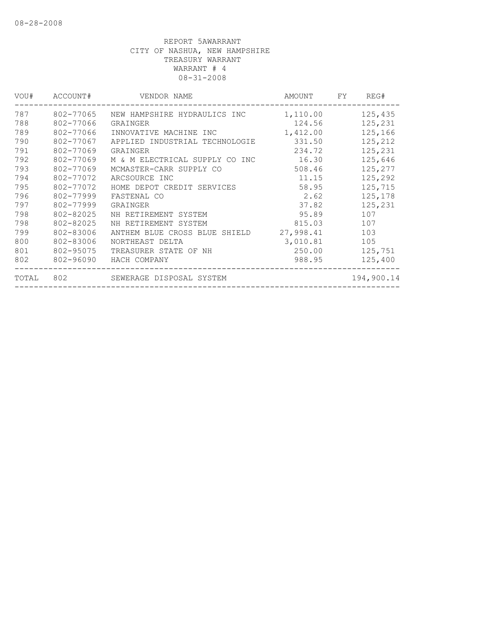| VOU#  | ACCOUNT#  | VENDOR NAME                    | AMOUNT    | FY. | REG#       |
|-------|-----------|--------------------------------|-----------|-----|------------|
| 787   | 802-77065 | NEW HAMPSHIRE HYDRAULICS INC   | 1,110.00  |     | 125,435    |
| 788   | 802-77066 | GRAINGER                       | 124.56    |     | 125,231    |
| 789   | 802-77066 | INNOVATIVE MACHINE INC         | 1,412.00  |     | 125,166    |
| 790   | 802-77067 | APPLIED INDUSTRIAL TECHNOLOGIE | 331.50    |     | 125,212    |
| 791   | 802-77069 | GRAINGER                       | 234.72    |     | 125,231    |
| 792   | 802-77069 | M & M ELECTRICAL SUPPLY CO INC | 16.30     |     | 125,646    |
| 793   | 802-77069 | MCMASTER-CARR SUPPLY CO        | 508.46    |     | 125,277    |
| 794   | 802-77072 | ARCSOURCE INC                  | 11.15     |     | 125,292    |
| 795   | 802-77072 | HOME DEPOT CREDIT SERVICES     | 58.95     |     | 125,715    |
| 796   | 802-77999 | FASTENAL CO                    | 2.62      |     | 125,178    |
| 797   | 802-77999 | GRAINGER                       | 37.82     |     | 125,231    |
| 798   | 802-82025 | NH RETIREMENT SYSTEM           | 95.89     |     | 107        |
| 798   | 802-82025 | NH RETIREMENT SYSTEM           | 815.03    |     | 107        |
| 799   | 802-83006 | ANTHEM BLUE CROSS BLUE SHIELD  | 27,998.41 |     | 103        |
| 800   | 802-83006 | NORTHEAST DELTA                | 3,010.81  |     | 105        |
| 801   | 802-95075 | TREASURER STATE OF NH          | 250.00    |     | 125,751    |
| 802   | 802-96090 | HACH COMPANY                   | 988.95    |     | 125,400    |
| TOTAL | 802       | SEWERAGE DISPOSAL SYSTEM       |           |     | 194,900.14 |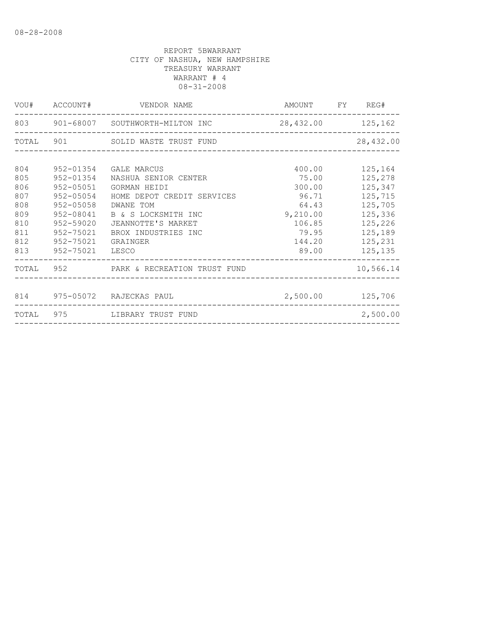|     |           | VOU# ACCOUNT# VENDOR NAME                             | AMOUNT FY REG#   |               |
|-----|-----------|-------------------------------------------------------|------------------|---------------|
|     |           | 803 901-68007 SOUTHWORTH-MILTON INC 28,432.00 125,162 |                  |               |
|     |           | TOTAL 901 SOLID WASTE TRUST FUND                      |                  | 28,432.00     |
| 804 | 952-01354 | GALE MARCUS                                           | 400.00           | 125,164       |
| 805 | 952-01354 | NASHUA SENIOR CENTER                                  | 75.00            | 125,278       |
| 806 | 952-05051 | GORMAN HEIDI                                          | 300.00           | 125,347       |
| 807 | 952-05054 | HOME DEPOT CREDIT SERVICES                            | 96.71            | 125,715       |
| 808 | 952-05058 | DWANE TOM                                             | 64.43            | 125,705       |
| 809 | 952-08041 | B & S LOCKSMITH INC                                   | 9,210.00         | 125,336       |
| 810 | 952-59020 | JEANNOTTE'S MARKET                                    | 106.85           | 125,226       |
| 811 | 952-75021 | BROX INDUSTRIES INC                                   | 79.95            | 125,189       |
| 812 | 952-75021 | GRAINGER                                              | 144.20           | 125,231       |
| 813 | 952-75021 | LESCO                                                 |                  | 89.00 125,135 |
|     |           | TOTAL 952 PARK & RECREATION TRUST FUND                |                  | 10,566.14     |
|     |           | 814 975-05072 RAJECKAS PAUL                           | 2,500.00 125,706 |               |
|     |           | TOTAL 975 LIBRARY TRUST FUND                          |                  | 2,500.00      |
|     |           |                                                       |                  |               |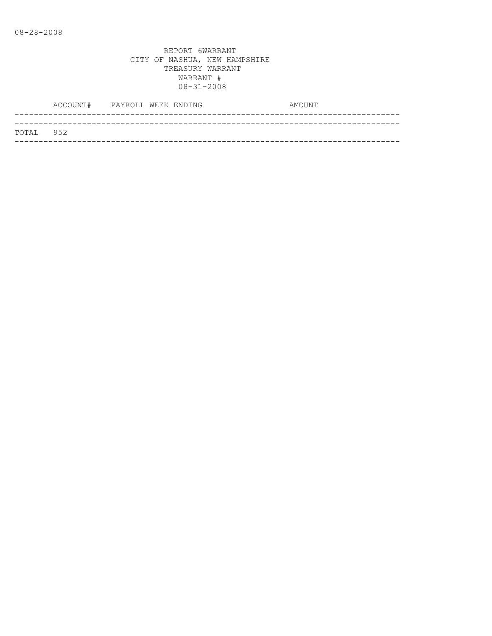|           | ACCOUNT# PAYROLL WEEK ENDING |  |  | AMOUNT |
|-----------|------------------------------|--|--|--------|
|           |                              |  |  |        |
| TOTAL 952 |                              |  |  |        |
|           |                              |  |  |        |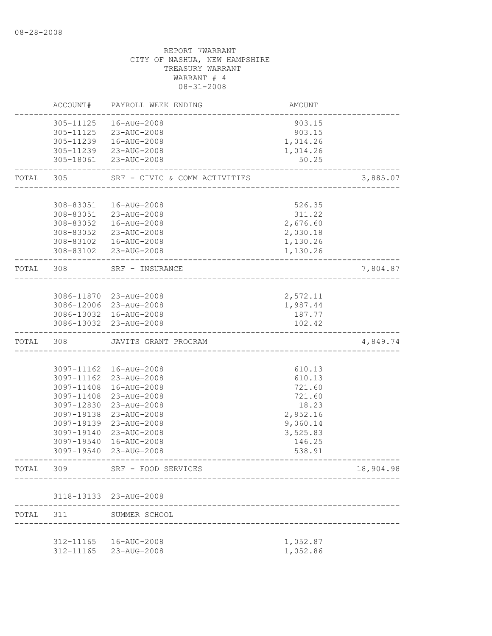|           | ACCOUNT#                 | PAYROLL WEEK ENDING           | <b>AMOUNT</b>        |           |
|-----------|--------------------------|-------------------------------|----------------------|-----------|
|           | 305-11125                | 16-AUG-2008                   | 903.15               |           |
|           | 305-11125                | 23-AUG-2008                   | 903.15               |           |
|           | 305-11239                | 16-AUG-2008                   | 1,014.26             |           |
|           |                          | 305-11239 23-AUG-2008         | 1,014.26             |           |
|           | 305-18061                | 23-AUG-2008                   | 50.25                |           |
| TOTAL     | 305                      | SRF - CIVIC & COMM ACTIVITIES |                      | 3,885.07  |
|           |                          |                               |                      |           |
|           | 308-83051                | 16-AUG-2008                   | 526.35               |           |
|           |                          | 308-83051 23-AUG-2008         | 311.22               |           |
|           | 308-83052                | 16-AUG-2008                   | 2,676.60             |           |
|           | 308-83052<br>308-83102   | 23-AUG-2008<br>16-AUG-2008    | 2,030.18<br>1,130.26 |           |
|           |                          | 308-83102 23-AUG-2008         | 1,130.26             |           |
| TOTAL 308 |                          | SRF - INSURANCE               |                      | 7,804.87  |
|           |                          |                               |                      |           |
|           |                          | 3086-11870 23-AUG-2008        | 2,572.11             |           |
|           |                          | 3086-12006 23-AUG-2008        | 1,987.44             |           |
|           |                          | 3086-13032 16-AUG-2008        | 187.77               |           |
|           |                          | 3086-13032 23-AUG-2008        | 102.42               |           |
| TOTAL     | 308                      | JAVITS GRANT PROGRAM          |                      | 4,849.74  |
|           |                          |                               |                      |           |
|           |                          | 3097-11162  16-AUG-2008       | 610.13               |           |
|           | 3097-11162               | 23-AUG-2008                   | 610.13               |           |
|           | 3097-11408               | 16-AUG-2008                   | 721.60               |           |
|           | 3097-11408               | 23-AUG-2008                   | 721.60               |           |
|           | 3097-12830               | 23-AUG-2008                   | 18.23                |           |
|           | 3097-19138               | 23-AUG-2008                   | 2,952.16             |           |
|           | 3097-19139               | 23-AUG-2008<br>23-AUG-2008    | 9,060.14             |           |
|           | 3097-19140<br>3097-19540 | 16-AUG-2008                   | 3,525.83<br>146.25   |           |
|           | 3097-19540               | 23-AUG-2008                   | 538.91               |           |
| TOTAL     | 309                      | SRF - FOOD SERVICES           |                      | 18,904.98 |
|           |                          |                               |                      |           |
|           |                          | 3118-13133 23-AUG-2008        |                      |           |
| TOTAL     | 311                      | SUMMER SCHOOL                 |                      |           |
|           |                          | 312-11165  16-AUG-2008        | 1,052.87             |           |
|           |                          | 312-11165 23-AUG-2008         | 1,052.86             |           |
|           |                          |                               |                      |           |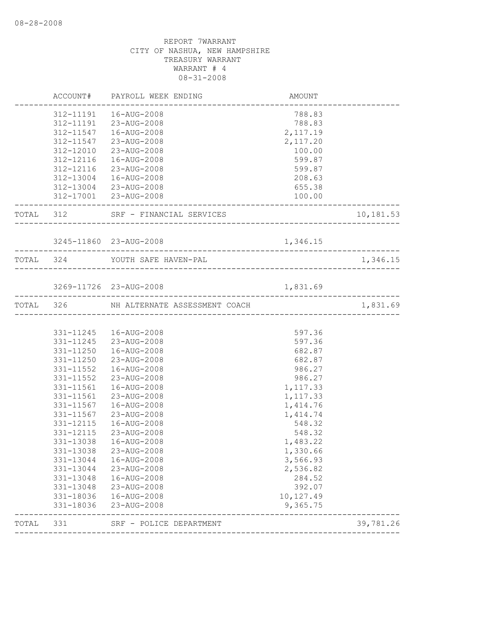|           |             | 788.83                                                                                                                                                                                                                                                                                                                                                                                                                                                                                                                                                               |                                                                                                  |
|-----------|-------------|----------------------------------------------------------------------------------------------------------------------------------------------------------------------------------------------------------------------------------------------------------------------------------------------------------------------------------------------------------------------------------------------------------------------------------------------------------------------------------------------------------------------------------------------------------------------|--------------------------------------------------------------------------------------------------|
|           |             | 788.83                                                                                                                                                                                                                                                                                                                                                                                                                                                                                                                                                               |                                                                                                  |
|           |             |                                                                                                                                                                                                                                                                                                                                                                                                                                                                                                                                                                      |                                                                                                  |
|           |             |                                                                                                                                                                                                                                                                                                                                                                                                                                                                                                                                                                      |                                                                                                  |
| 312-12010 | 23-AUG-2008 | 100.00                                                                                                                                                                                                                                                                                                                                                                                                                                                                                                                                                               |                                                                                                  |
| 312-12116 | 16-AUG-2008 | 599.87                                                                                                                                                                                                                                                                                                                                                                                                                                                                                                                                                               |                                                                                                  |
| 312-12116 | 23-AUG-2008 | 599.87                                                                                                                                                                                                                                                                                                                                                                                                                                                                                                                                                               |                                                                                                  |
|           |             | 208.63                                                                                                                                                                                                                                                                                                                                                                                                                                                                                                                                                               |                                                                                                  |
|           |             | 655.38                                                                                                                                                                                                                                                                                                                                                                                                                                                                                                                                                               |                                                                                                  |
|           |             | 100.00                                                                                                                                                                                                                                                                                                                                                                                                                                                                                                                                                               |                                                                                                  |
|           |             |                                                                                                                                                                                                                                                                                                                                                                                                                                                                                                                                                                      | 10,181.53                                                                                        |
|           |             |                                                                                                                                                                                                                                                                                                                                                                                                                                                                                                                                                                      |                                                                                                  |
|           |             |                                                                                                                                                                                                                                                                                                                                                                                                                                                                                                                                                                      |                                                                                                  |
|           |             |                                                                                                                                                                                                                                                                                                                                                                                                                                                                                                                                                                      | 1,346.15                                                                                         |
|           |             |                                                                                                                                                                                                                                                                                                                                                                                                                                                                                                                                                                      |                                                                                                  |
|           |             |                                                                                                                                                                                                                                                                                                                                                                                                                                                                                                                                                                      |                                                                                                  |
|           |             |                                                                                                                                                                                                                                                                                                                                                                                                                                                                                                                                                                      | 1,831.69                                                                                         |
|           |             |                                                                                                                                                                                                                                                                                                                                                                                                                                                                                                                                                                      |                                                                                                  |
|           |             | 597.36                                                                                                                                                                                                                                                                                                                                                                                                                                                                                                                                                               |                                                                                                  |
|           |             | 597.36                                                                                                                                                                                                                                                                                                                                                                                                                                                                                                                                                               |                                                                                                  |
|           |             | 682.87                                                                                                                                                                                                                                                                                                                                                                                                                                                                                                                                                               |                                                                                                  |
|           |             | 682.87                                                                                                                                                                                                                                                                                                                                                                                                                                                                                                                                                               |                                                                                                  |
| 331-11552 | 16-AUG-2008 | 986.27                                                                                                                                                                                                                                                                                                                                                                                                                                                                                                                                                               |                                                                                                  |
| 331-11552 | 23-AUG-2008 | 986.27                                                                                                                                                                                                                                                                                                                                                                                                                                                                                                                                                               |                                                                                                  |
| 331-11561 | 16-AUG-2008 | 1,117.33                                                                                                                                                                                                                                                                                                                                                                                                                                                                                                                                                             |                                                                                                  |
| 331-11561 | 23-AUG-2008 | 1,117.33                                                                                                                                                                                                                                                                                                                                                                                                                                                                                                                                                             |                                                                                                  |
| 331-11567 | 16-AUG-2008 | 1,414.76                                                                                                                                                                                                                                                                                                                                                                                                                                                                                                                                                             |                                                                                                  |
| 331-11567 | 23-AUG-2008 | 1,414.74                                                                                                                                                                                                                                                                                                                                                                                                                                                                                                                                                             |                                                                                                  |
| 331-12115 | 16-AUG-2008 | 548.32                                                                                                                                                                                                                                                                                                                                                                                                                                                                                                                                                               |                                                                                                  |
| 331-12115 |             | 548.32                                                                                                                                                                                                                                                                                                                                                                                                                                                                                                                                                               |                                                                                                  |
| 331-13038 |             | 1,483.22                                                                                                                                                                                                                                                                                                                                                                                                                                                                                                                                                             |                                                                                                  |
|           |             | 1,330.66                                                                                                                                                                                                                                                                                                                                                                                                                                                                                                                                                             |                                                                                                  |
| 331-13044 | 16-AUG-2008 | 3,566.93                                                                                                                                                                                                                                                                                                                                                                                                                                                                                                                                                             |                                                                                                  |
| 331-13044 | 23-AUG-2008 | 2,536.82                                                                                                                                                                                                                                                                                                                                                                                                                                                                                                                                                             |                                                                                                  |
| 331-13048 | 16-AUG-2008 | 284.52                                                                                                                                                                                                                                                                                                                                                                                                                                                                                                                                                               |                                                                                                  |
| 331-13048 | 23-AUG-2008 | 392.07                                                                                                                                                                                                                                                                                                                                                                                                                                                                                                                                                               |                                                                                                  |
|           |             | 10,127.49                                                                                                                                                                                                                                                                                                                                                                                                                                                                                                                                                            |                                                                                                  |
|           |             |                                                                                                                                                                                                                                                                                                                                                                                                                                                                                                                                                                      |                                                                                                  |
| 331-18036 | 23-AUG-2008 | 9,365.75                                                                                                                                                                                                                                                                                                                                                                                                                                                                                                                                                             |                                                                                                  |
|           | 312-11547   | ACCOUNT# PAYROLL WEEK ENDING<br>312-11191  16-AUG-2008<br>312-11191 23-AUG-2008<br>312-11547  16-AUG-2008<br>23-AUG-2008<br>312-13004  16-AUG-2008<br>312-13004 23-AUG-2008<br>312-17001 23-AUG-2008<br>TOTAL 312 SRF - FINANCIAL SERVICES<br>3245-11860 23-AUG-2008<br>TOTAL 324 YOUTH SAFE HAVEN-PAL<br>3269-11726 23-AUG-2008<br>TOTAL 326 NH ALTERNATE ASSESSMENT COACH<br>331-11245  16-AUG-2008<br>331-11245 23-AUG-2008<br>331-11250  16-AUG-2008<br>331-11250 23-AUG-2008<br>23-AUG-2008<br>16-AUG-2008<br>331-13038 23-AUG-2008<br>331-18036<br>16-AUG-2008 | <b>AMOUNT</b><br>2,117.19<br>2,117.20<br>1,346.15<br>1,831.69<br>------------------------------- |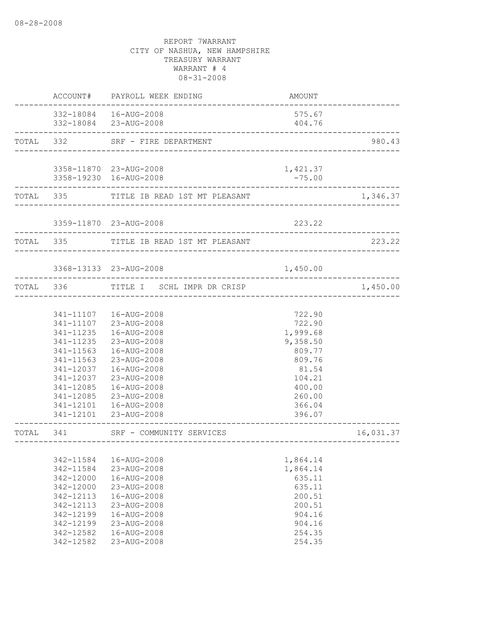|           |                                                                                                                                | ACCOUNT# PAYROLL WEEK ENDING                                                                                                                                                                                               | AMOUNT                                                                                                                  |           |
|-----------|--------------------------------------------------------------------------------------------------------------------------------|----------------------------------------------------------------------------------------------------------------------------------------------------------------------------------------------------------------------------|-------------------------------------------------------------------------------------------------------------------------|-----------|
|           | ----------------                                                                                                               | 332-18084  16-AUG-2008<br>332-18084 23-AUG-2008                                                                                                                                                                            | 575.67<br>404.76                                                                                                        |           |
| TOTAL 332 |                                                                                                                                | SRF - FIRE DEPARTMENT                                                                                                                                                                                                      | ____________________________________                                                                                    | 980.43    |
|           |                                                                                                                                | 3358-11870 23-AUG-2008<br>3358-19230 16-AUG-2008                                                                                                                                                                           | 1,421.37<br>$-75.00$                                                                                                    |           |
|           |                                                                                                                                | TOTAL 335 TITLE IB READ 1ST MT PLEASANT                                                                                                                                                                                    |                                                                                                                         | 1,346.37  |
|           |                                                                                                                                | 3359-11870 23-AUG-2008                                                                                                                                                                                                     | 223.22                                                                                                                  |           |
| TOTAL 335 |                                                                                                                                | TITLE IB READ 1ST MT PLEASANT                                                                                                                                                                                              |                                                                                                                         | 223.22    |
|           |                                                                                                                                | 3368-13133 23-AUG-2008                                                                                                                                                                                                     | 1,450.00                                                                                                                |           |
|           | TOTAL 336                                                                                                                      | TITLE I SCHL IMPR DR CRISP<br>-----------------------                                                                                                                                                                      |                                                                                                                         | 1,450.00  |
|           | 341-11235<br>341-11235<br>341-11563<br>341-11563<br>341-12037<br>341-12037<br>341-12085<br>341-12085                           | 341-11107  16-AUG-2008<br>341-11107 23-AUG-2008<br>16-AUG-2008<br>23-AUG-2008<br>16-AUG-2008<br>23-AUG-2008<br>16-AUG-2008<br>23-AUG-2008<br>16-AUG-2008<br>23-AUG-2008<br>341-12101  16-AUG-2008<br>341-12101 23-AUG-2008 | 722.90<br>722.90<br>1,999.68<br>9,358.50<br>809.77<br>809.76<br>81.54<br>104.21<br>400.00<br>260.00<br>366.04<br>396.07 |           |
| TOTAL     | 341                                                                                                                            | SRF - COMMUNITY SERVICES                                                                                                                                                                                                   | ------------------                                                                                                      | 16,031.37 |
|           | 342-11584<br>342-11584<br>342-12000<br>342-12000<br>342-12113<br>342-12113<br>342-12199<br>342-12199<br>342-12582<br>342-12582 | 16-AUG-2008<br>23-AUG-2008<br>16-AUG-2008<br>23-AUG-2008<br>16-AUG-2008<br>23-AUG-2008<br>16-AUG-2008<br>23-AUG-2008<br>16-AUG-2008<br>23-AUG-2008                                                                         | 1,864.14<br>1,864.14<br>635.11<br>635.11<br>200.51<br>200.51<br>904.16<br>904.16<br>254.35<br>254.35                    |           |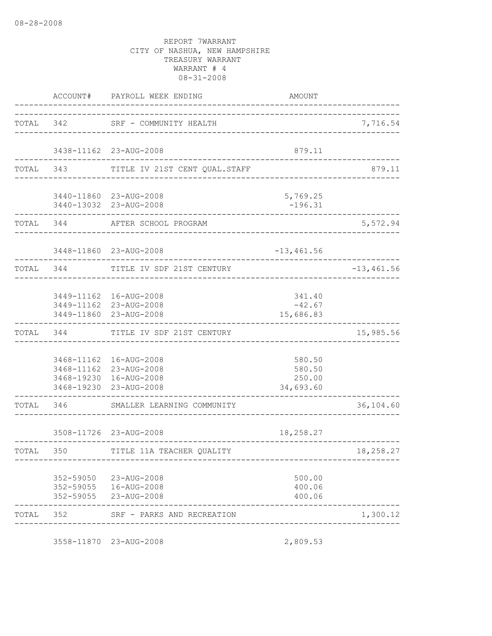|           | ACCOUNT#  | PAYROLL WEEK ENDING                                                                                   | AMOUNT                                  |              |
|-----------|-----------|-------------------------------------------------------------------------------------------------------|-----------------------------------------|--------------|
| TOTAL 342 |           | SRF - COMMUNITY HEALTH                                                                                |                                         | 7,716.54     |
|           |           | 3438-11162 23-AUG-2008                                                                                | 879.11                                  |              |
|           | TOTAL 343 | TITLE IV 21ST CENT QUAL.STAFF                                                                         |                                         | 879.11       |
|           |           | 3440-11860 23-AUG-2008<br>3440-13032 23-AUG-2008                                                      | 5,769.25<br>$-196.31$                   |              |
|           | TOTAL 344 | AFTER SCHOOL PROGRAM                                                                                  |                                         | 5,572.94     |
|           |           | 3448-11860 23-AUG-2008                                                                                | $-13, 461.56$                           |              |
| TOTAL 344 |           | TITLE IV SDF 21ST CENTURY                                                                             |                                         | $-13,461.56$ |
|           |           | 3449-11162 16-AUG-2008<br>3449-11162 23-AUG-2008<br>3449-11860 23-AUG-2008                            | 341.40<br>$-42.67$<br>15,686.83         |              |
| TOTAL     | 344       | TITLE IV SDF 21ST CENTURY                                                                             |                                         | 15,985.56    |
|           |           | 3468-11162  16-AUG-2008<br>3468-11162 23-AUG-2008<br>3468-19230 16-AUG-2008<br>3468-19230 23-AUG-2008 | 580.50<br>580.50<br>250.00<br>34,693.60 |              |
| TOTAL     | 346       | SMALLER LEARNING COMMUNITY                                                                            |                                         | 36,104.60    |
|           |           | 3508-11726 23-AUG-2008                                                                                | 18,258.27                               |              |
| TOTAL 350 |           | TITLE 11A TEACHER QUALITY                                                                             |                                         | 18,258.27    |
|           |           | 352-59050 23-AUG-2008<br>352-59055  16-AUG-2008<br>352-59055 23-AUG-2008                              | 500.00<br>400.06<br>400.06              |              |
| TOTAL 352 |           | SRF - PARKS AND RECREATION                                                                            |                                         | 1,300.12     |

3558-11870 23-AUG-2008 2,809.53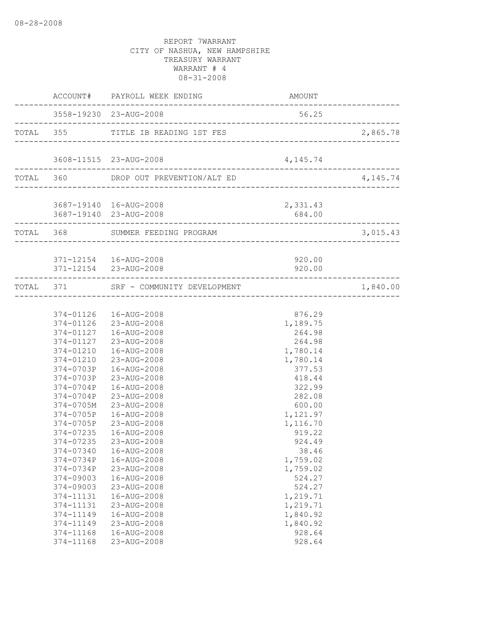|  |                     | ACCOUNT# PAYROLL WEEK ENDING          | AMOUNT                                 |          |
|--|---------------------|---------------------------------------|----------------------------------------|----------|
|  |                     | 3558-19230 23-AUG-2008                | 56.25                                  |          |
|  |                     | TOTAL 355 TITLE IB READING 1ST FES    |                                        | 2,865.78 |
|  |                     | 3608-11515 23-AUG-2008                | 4, 145. 74                             |          |
|  |                     | TOTAL 360 DROP OUT PREVENTION/ALT ED  | -------------------------------------- | 4,145.74 |
|  |                     | 3687-19140  16-AUG-2008               | 2,331.43                               |          |
|  | ------------------- | 3687-19140 23-AUG-2008                | 684.00                                 |          |
|  |                     | TOTAL 368 SUMMER FEEDING PROGRAM      |                                        | 3,015.43 |
|  |                     | 371-12154   16-AUG-2008               | 920.00                                 |          |
|  |                     | 371-12154 23-AUG-2008                 | 920.00                                 |          |
|  |                     | TOTAL 371 SRF - COMMUNITY DEVELOPMENT |                                        | 1,840.00 |
|  |                     |                                       |                                        |          |
|  |                     | 374-01126  16-AUG-2008                | 876.29                                 |          |
|  |                     | 374-01126 23-AUG-2008                 | 1,189.75                               |          |
|  |                     | 374-01127  16-AUG-2008                | 264.98                                 |          |
|  |                     | 374-01127 23-AUG-2008                 | 264.98                                 |          |
|  | 374-01210           | 374-01210  16-AUG-2008<br>23-AUG-2008 | 1,780.14<br>1,780.14                   |          |
|  | 374-0703P           | 16-AUG-2008                           | 377.53                                 |          |
|  |                     | 374-0703P 23-AUG-2008                 | 418.44                                 |          |
|  | 374-0704P           | 16-AUG-2008                           | 322.99                                 |          |
|  | 374-0704P           | 23-AUG-2008                           | 282.08                                 |          |
|  | 374-0705M           | 23-AUG-2008                           | 600.00                                 |          |
|  | 374-0705P           | 16-AUG-2008                           | 1,121.97                               |          |
|  |                     | 374-0705P 23-AUG-2008                 | 1,116.70                               |          |
|  | 374-07235           | 16-AUG-2008                           | 919.22                                 |          |
|  | 374-07235           | 23-AUG-2008                           | 924.49                                 |          |
|  |                     | 374-07340  16-AUG-2008                | 38.46                                  |          |
|  | 374-0734P           | 16-AUG-2008                           | 1,759.02                               |          |
|  | 374-0734P           | 23-AUG-2008                           | 1,759.02                               |          |
|  | 374-09003           | 16-AUG-2008                           | 524.27                                 |          |
|  | 374-09003           | 23-AUG-2008                           | 524.27                                 |          |
|  | 374-11131           | 16-AUG-2008                           | 1,219.71                               |          |
|  | 374-11131           | 23-AUG-2008                           | 1,219.71                               |          |
|  | 374-11149           | 16-AUG-2008                           | 1,840.92                               |          |
|  | 374-11149           | 23-AUG-2008                           | 1,840.92                               |          |
|  | 374-11168           | 16-AUG-2008                           | 928.64                                 |          |
|  | 374-11168           | 23-AUG-2008                           | 928.64                                 |          |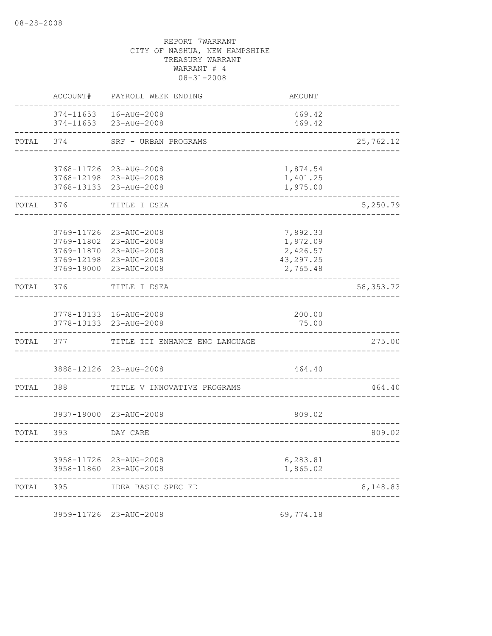| TOTAL | 395                                                  | IDEA BASIC SPEC ED                                                                 |                                                            | 8,148.83    |
|-------|------------------------------------------------------|------------------------------------------------------------------------------------|------------------------------------------------------------|-------------|
|       | 3958-11860                                           | 3958-11726 23-AUG-2008<br>23-AUG-2008                                              | 6,283.81<br>1,865.02                                       |             |
| TOTAL | 393                                                  | DAY CARE                                                                           |                                                            | 809.02      |
|       |                                                      | 3937-19000 23-AUG-2008                                                             | 809.02                                                     |             |
| TOTAL | 388                                                  | TITLE V INNOVATIVE PROGRAMS                                                        |                                                            | 464.40      |
|       |                                                      | 3888-12126 23-AUG-2008                                                             | 464.40                                                     |             |
| TOTAL | 377                                                  | TITLE III ENHANCE ENG LANGUAGE                                                     |                                                            | 275.00      |
|       | 3778-13133                                           | 3778-13133 16-AUG-2008<br>23-AUG-2008                                              | 200.00<br>75.00                                            |             |
| TOTAL | 376                                                  | TITLE I ESEA                                                                       |                                                            | 58, 353. 72 |
|       | 3769-11726<br>3769-11802<br>3769-12198<br>3769-19000 | 23-AUG-2008<br>23-AUG-2008<br>3769-11870 23-AUG-2008<br>23-AUG-2008<br>23-AUG-2008 | 7,892.33<br>1,972.09<br>2,426.57<br>43, 297.25<br>2,765.48 |             |
| TOTAL | 376                                                  | TITLE I ESEA                                                                       |                                                            | 5,250.79    |
|       |                                                      | 3768-11726 23-AUG-2008<br>3768-12198 23-AUG-2008<br>3768-13133 23-AUG-2008         | 1,874.54<br>1,401.25<br>1,975.00                           |             |
| TOTAL | 374                                                  | SRF - URBAN PROGRAMS                                                               |                                                            | 25,762.12   |
|       | 374-11653<br>374-11653                               | 16-AUG-2008<br>23-AUG-2008                                                         | 469.42<br>469.42                                           |             |
|       | ACCOUNT#                                             | PAYROLL WEEK ENDING                                                                | AMOUNT                                                     |             |

3959-11726 23-AUG-2008 69,774.18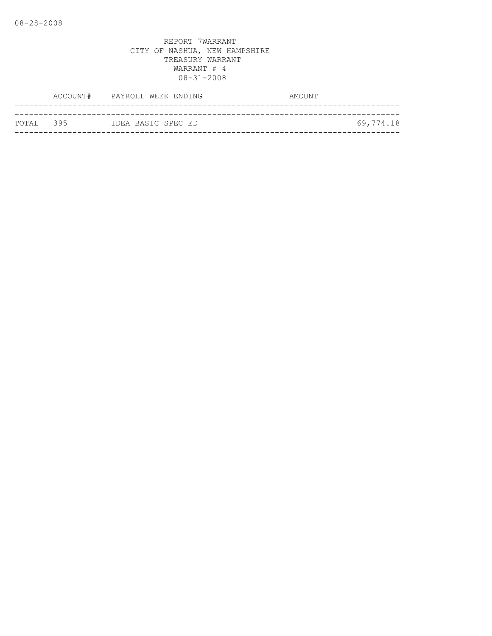|            | ACCOUNT# PAYROLL WEEK ENDING | AMOUNT    |
|------------|------------------------------|-----------|
|            |                              |           |
| ТОТАІ. 395 | IDEA BASIC SPEC ED           | 69,774.18 |
|            |                              |           |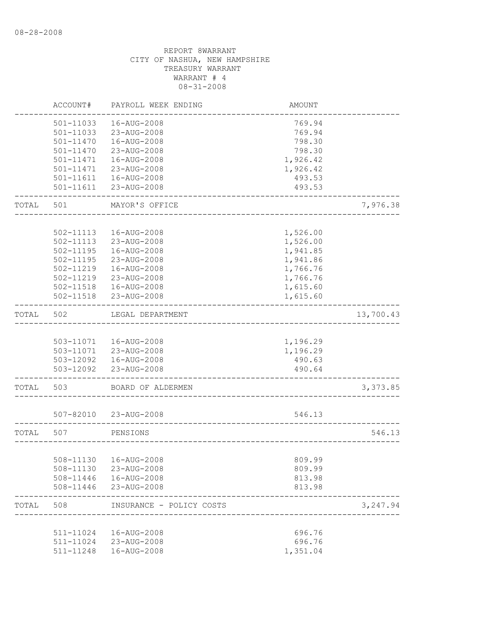|       | ACCOUNT#               | PAYROLL WEEK ENDING                             | <b>AMOUNT</b>    |           |
|-------|------------------------|-------------------------------------------------|------------------|-----------|
|       | 501-11033              | 16-AUG-2008                                     | 769.94           |           |
|       | 501-11033              | 23-AUG-2008                                     | 769.94           |           |
|       | $501 - 11470$          | 16-AUG-2008                                     | 798.30           |           |
|       | 501-11470              | 23-AUG-2008                                     | 798.30           |           |
|       | 501-11471              | 16-AUG-2008                                     | 1,926.42         |           |
|       | 501-11471              | 23-AUG-2008                                     | 1,926.42         |           |
|       | 501-11611<br>501-11611 | 16-AUG-2008<br>23-AUG-2008                      | 493.53<br>493.53 |           |
| TOTAL | 501                    | MAYOR'S OFFICE                                  |                  | 7,976.38  |
|       |                        |                                                 |                  |           |
|       | 502-11113              | 16-AUG-2008                                     | 1,526.00         |           |
|       | 502-11113              | 23-AUG-2008                                     | 1,526.00         |           |
|       | 502-11195              | 16-AUG-2008                                     | 1,941.85         |           |
|       | 502-11195              | 23-AUG-2008                                     | 1,941.86         |           |
|       | 502-11219              | 16-AUG-2008                                     | 1,766.76         |           |
|       | 502-11219              | 23-AUG-2008                                     | 1,766.76         |           |
|       | 502-11518              | 16-AUG-2008                                     | 1,615.60         |           |
|       | 502-11518              | 23-AUG-2008                                     | 1,615.60         |           |
| TOTAL | 502                    | LEGAL DEPARTMENT                                |                  | 13,700.43 |
|       |                        |                                                 |                  |           |
|       |                        | 503-11071  16-AUG-2008                          | 1,196.29         |           |
|       |                        | 503-11071 23-AUG-2008                           | 1,196.29         |           |
|       |                        | 503-12092  16-AUG-2008<br>503-12092 23-AUG-2008 | 490.63<br>490.64 |           |
|       |                        |                                                 |                  |           |
| TOTAL | 503                    | BOARD OF ALDERMEN                               |                  | 3,373.85  |
|       |                        | 507-82010 23-AUG-2008                           | 546.13           |           |
|       |                        |                                                 |                  |           |
| TOTAL | 507                    | PENSIONS<br>_________________________________   |                  | 546.13    |
|       |                        |                                                 |                  |           |
|       |                        | 508-11130  16-AUG-2008                          | 809.99           |           |
|       |                        | 508-11130 23-AUG-2008<br>508-11446  16-AUG-2008 | 809.99<br>813.98 |           |
|       |                        | 508-11446 23-AUG-2008                           | 813.98           |           |
| TOTAL | 508                    | INSURANCE - POLICY COSTS                        |                  | 3,247.94  |
|       |                        |                                                 |                  |           |
|       |                        | 511-11024  16-AUG-2008                          | 696.76           |           |
|       |                        | 511-11024 23-AUG-2008                           | 696.76           |           |
|       |                        | 511-11248  16-AUG-2008                          | 1,351.04         |           |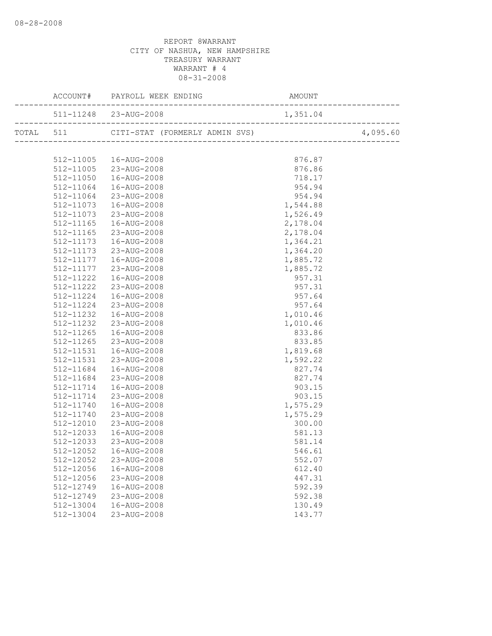|                        |                                                  |                    | .                          |
|------------------------|--------------------------------------------------|--------------------|----------------------------|
|                        |                                                  |                    | ) 4<br>------------------- |
|                        |                                                  |                    | 4,095.60                   |
|                        |                                                  |                    |                            |
|                        | 512-11005  16-AUG-2008<br>512-11005  23-AUG-2008 | 876.87             |                            |
|                        |                                                  | 876.86             |                            |
| 512-11050              | 16-AUG-2008                                      | 718.17             |                            |
| 512-11064              | 16-AUG-2008                                      | 954.94             |                            |
| 512-11064              | 23-AUG-2008                                      | 954.94             |                            |
| 512-11073              | 16-AUG-2008                                      | 1,544.88           |                            |
| 512-11073              | 23-AUG-2008                                      | 1,526.49           |                            |
| 512-11165              | 16-AUG-2008                                      | 2,178.04           |                            |
| 512-11165              | 23-AUG-2008                                      | 2,178.04           |                            |
| 512-11173              | 16-AUG-2008                                      | 1,364.21           |                            |
| 512-11173              | 23-AUG-2008                                      | 1,364.20           |                            |
| 512-11177              | 16-AUG-2008                                      | 1,885.72           |                            |
| 512-11177              | 23-AUG-2008                                      | 1,885.72           |                            |
| 512-11222              | 16-AUG-2008                                      | 957.31             |                            |
| 512-11222              | 23-AUG-2008                                      | 957.31             |                            |
| 512-11224              | 16-AUG-2008                                      | 957.64             |                            |
| 512-11224<br>512-11232 | 23-AUG-2008<br>16-AUG-2008                       | 957.64<br>1,010.46 |                            |
|                        | 512-11232 23-AUG-2008                            | 1,010.46           |                            |
| 512-11265              | 16-AUG-2008                                      | 833.86             |                            |
| 512-11265              | 23-AUG-2008                                      | 833.85             |                            |
| 512-11531              | 16-AUG-2008                                      | 1,819.68           |                            |
| 512-11531              | 23-AUG-2008                                      | 1,592.22           |                            |
| 512-11684              | 16-AUG-2008                                      | 827.74             |                            |
| 512-11684              | 23-AUG-2008                                      | 827.74             |                            |
| 512-11714              | 16-AUG-2008                                      | 903.15             |                            |
| 512-11714              | 23-AUG-2008                                      | 903.15             |                            |
| 512-11740              | 16-AUG-2008                                      | 1,575.29           |                            |
| 512-11740              | 23-AUG-2008                                      | 1,575.29           |                            |
| 512-12010              | 23-AUG-2008                                      | 300.00             |                            |
| 512-12033              | 16-AUG-2008                                      | 581.13             |                            |
| 512-12033              | 23-AUG-2008                                      | 581.14             |                            |
| 512-12052              | 16-AUG-2008                                      | 546.61             |                            |
| 512-12052              | 23-AUG-2008                                      | 552.07             |                            |
| 512-12056              | 16-AUG-2008                                      | 612.40             |                            |
| 512-12056              | 23-AUG-2008                                      | 447.31             |                            |
| 512-12749              | 16-AUG-2008                                      | 592.39             |                            |
| 512-12749              | 23-AUG-2008                                      | 592.38             |                            |
| 512-13004              | 16-AUG-2008                                      | 130.49             |                            |
| 512-13004              | 23-AUG-2008                                      | 143.77             |                            |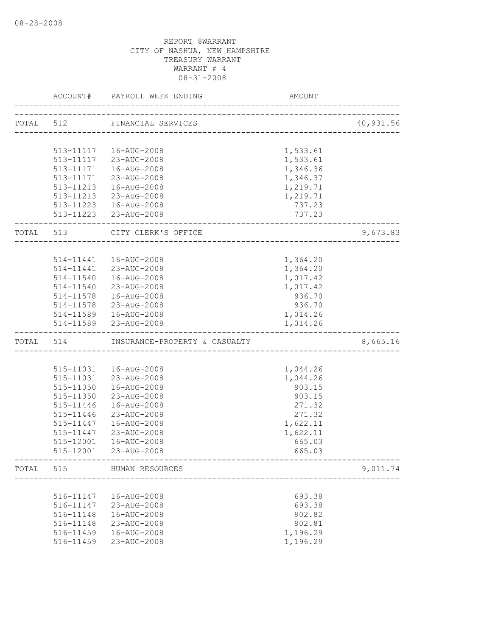|           | ACCOUNT#  | PAYROLL WEEK ENDING                 | AMOUNT   |           |
|-----------|-----------|-------------------------------------|----------|-----------|
|           | TOTAL 512 | FINANCIAL SERVICES                  |          | 40,931.56 |
|           |           | ___________________________________ |          |           |
|           |           |                                     |          |           |
|           |           | 513-11117  16-AUG-2008              | 1,533.61 |           |
|           |           | 513-11117 23-AUG-2008               | 1,533.61 |           |
|           | 513-11171 | 16-AUG-2008                         | 1,346.36 |           |
|           | 513-11171 | 23-AUG-2008                         | 1,346.37 |           |
|           |           | 513-11213  16-AUG-2008              | 1,219.71 |           |
|           |           | 513-11213 23-AUG-2008               | 1,219.71 |           |
|           |           | 513-11223  16-AUG-2008              | 737.23   |           |
|           |           | 513-11223 23-AUG-2008               | 737.23   |           |
| TOTAL 513 |           | CITY CLERK'S OFFICE                 |          | 9,673.83  |
|           |           |                                     |          |           |
|           |           | 514-11441  16-AUG-2008              | 1,364.20 |           |
|           |           | 514-11441 23-AUG-2008               | 1,364.20 |           |
|           |           | 514-11540  16-AUG-2008              | 1,017.42 |           |
|           |           | 514-11540 23-AUG-2008               | 1,017.42 |           |
|           |           | 514-11578  16-AUG-2008              | 936.70   |           |
|           |           | 514-11578 23-AUG-2008               | 936.70   |           |
|           |           | 514-11589  16-AUG-2008              | 1,014.26 |           |
|           |           | 514-11589 23-AUG-2008               | 1,014.26 |           |
| TOTAL 514 |           | INSURANCE-PROPERTY & CASUALTY       |          | 8,665.16  |
|           |           |                                     |          |           |
|           |           | 515-11031  16-AUG-2008              | 1,044.26 |           |
|           | 515-11031 | 23-AUG-2008                         | 1,044.26 |           |
|           | 515-11350 | 16-AUG-2008                         | 903.15   |           |
|           | 515-11350 | 23-AUG-2008                         | 903.15   |           |
|           | 515-11446 | 16-AUG-2008                         | 271.32   |           |
|           | 515-11446 | 23-AUG-2008                         | 271.32   |           |
|           | 515-11447 | 16-AUG-2008                         | 1,622.11 |           |
|           | 515-11447 | 23-AUG-2008                         | 1,622.11 |           |
|           | 515-12001 | 16-AUG-2008                         | 665.03   |           |
|           | 515-12001 | 23-AUG-2008                         | 665.03   |           |
| TOTAL     | 515       | HUMAN RESOURCES                     |          | 9,011.74  |
|           |           | ----------------------------------- |          |           |
|           | 516-11147 | 16-AUG-2008                         | 693.38   |           |
|           | 516-11147 | 23-AUG-2008                         | 693.38   |           |
|           | 516-11148 | 16-AUG-2008                         | 902.82   |           |
|           | 516-11148 | 23-AUG-2008                         | 902.81   |           |
|           | 516-11459 | 16-AUG-2008                         | 1,196.29 |           |
|           | 516-11459 | 23-AUG-2008                         | 1,196.29 |           |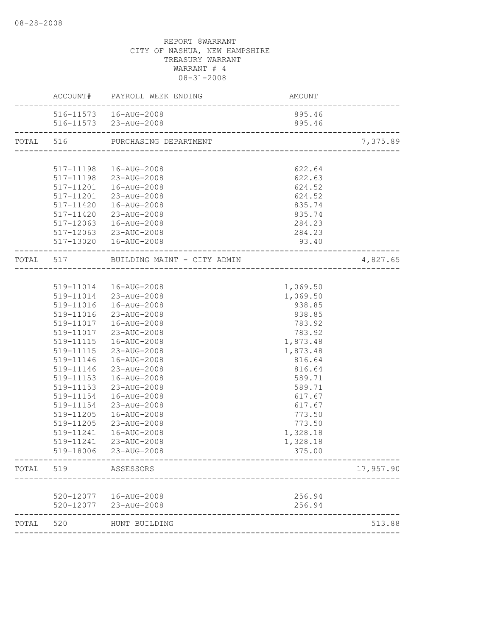|       |           | ACCOUNT# PAYROLL WEEK ENDING          | <b>AMOUNT</b> |           |
|-------|-----------|---------------------------------------|---------------|-----------|
|       |           | 516-11573  16-AUG-2008                | 895.46        |           |
|       |           | 516-11573 23-AUG-2008                 | 895.46        |           |
|       |           | TOTAL 516 PURCHASING DEPARTMENT       |               | 7,375.89  |
|       |           |                                       |               |           |
|       |           | 517-11198  16-AUG-2008                | 622.64        |           |
|       |           | 517-11198 23-AUG-2008                 | 622.63        |           |
|       | 517-11201 | 16-AUG-2008                           | 624.52        |           |
|       |           | 517-11201 23-AUG-2008                 | 624.52        |           |
|       |           | 517-11420  16-AUG-2008                | 835.74        |           |
|       |           | 517-11420 23-AUG-2008                 | 835.74        |           |
|       |           | 517-12063  16-AUG-2008                | 284.23        |           |
|       |           | 517-12063 23-AUG-2008                 | 284.23        |           |
|       |           | 517-13020  16-AUG-2008                | 93.40         |           |
|       |           | TOTAL 517 BUILDING MAINT - CITY ADMIN |               | 4,827.65  |
|       |           |                                       |               |           |
|       |           | 519-11014  16-AUG-2008                | 1,069.50      |           |
|       |           | 519-11014 23-AUG-2008                 | 1,069.50      |           |
|       |           | 519-11016  16-AUG-2008                | 938.85        |           |
|       | 519-11016 | 23-AUG-2008                           | 938.85        |           |
|       |           | 519-11017  16-AUG-2008                | 783.92        |           |
|       | 519-11017 | 23-AUG-2008                           | 783.92        |           |
|       | 519-11115 | 16-AUG-2008                           | 1,873.48      |           |
|       | 519-11115 | 23-AUG-2008                           | 1,873.48      |           |
|       | 519-11146 | 16-AUG-2008                           | 816.64        |           |
|       | 519-11146 | 23-AUG-2008                           | 816.64        |           |
|       | 519-11153 | 16-AUG-2008                           | 589.71        |           |
|       | 519-11153 | 23-AUG-2008                           | 589.71        |           |
|       | 519-11154 | 16-AUG-2008                           | 617.67        |           |
|       | 519-11154 | 23-AUG-2008                           | 617.67        |           |
|       | 519-11205 | 16-AUG-2008                           | 773.50        |           |
|       | 519-11205 | 23-AUG-2008                           | 773.50        |           |
|       | 519-11241 | 16-AUG-2008                           | 1,328.18      |           |
|       | 519-11241 | 23-AUG-2008                           | 1,328.18      |           |
|       |           | 519-18006 23-AUG-2008                 | 375.00        |           |
| TOTAL | 519       | ASSESSORS                             |               | 17,957.90 |
|       |           |                                       |               |           |
|       |           | 520-12077  16-AUG-2008                | 256.94        |           |
|       | 520-12077 | 23-AUG-2008                           | 256.94        |           |
| TOTAL | 520       | HUNT BUILDING                         |               | 513.88    |
|       |           |                                       |               |           |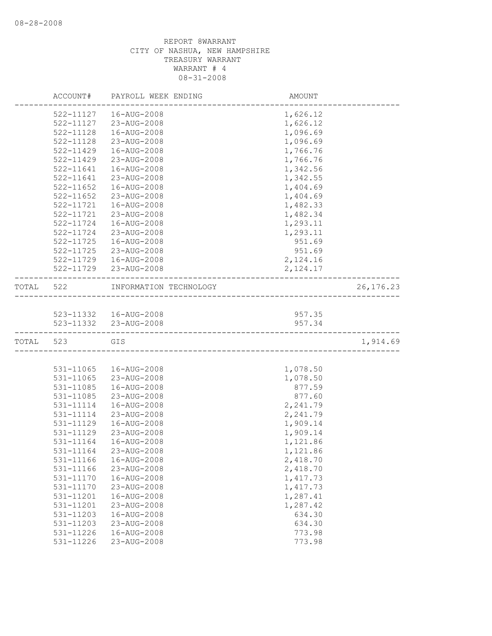|           | ACCOUNT#      | PAYROLL WEEK ENDING    | AMOUNT                           |            |
|-----------|---------------|------------------------|----------------------------------|------------|
|           | 522-11127     | 16-AUG-2008            | 1,626.12                         |            |
|           | 522-11127     | 23-AUG-2008            | 1,626.12                         |            |
|           | 522-11128     | 16-AUG-2008            | 1,096.69                         |            |
|           | 522-11128     | 23-AUG-2008            | 1,096.69                         |            |
|           | 522-11429     | 16-AUG-2008            | 1,766.76                         |            |
|           | 522-11429     | 23-AUG-2008            | 1,766.76                         |            |
|           | 522-11641     | 16-AUG-2008            | 1,342.56                         |            |
|           | 522-11641     | 23-AUG-2008            | 1,342.55                         |            |
|           | $522 - 11652$ | 16-AUG-2008            | 1,404.69                         |            |
|           | $522 - 11652$ | 23-AUG-2008            | 1,404.69                         |            |
|           | 522-11721     | 16-AUG-2008            | 1,482.33                         |            |
|           | 522-11721     | 23-AUG-2008            | 1,482.34                         |            |
|           | 522-11724     | 16-AUG-2008            | 1,293.11                         |            |
|           | 522-11724     | 23-AUG-2008            | 1,293.11                         |            |
|           | 522-11725     | 16-AUG-2008            | 951.69                           |            |
|           | 522-11725     | 23-AUG-2008            | 951.69                           |            |
|           | 522-11729     | 16-AUG-2008            | 2,124.16                         |            |
|           | 522-11729     | 23-AUG-2008            | 2, 124.17                        |            |
| TOTAL     | 522           | INFORMATION TECHNOLOGY | ________________________________ | 26, 176.23 |
|           |               |                        |                                  |            |
|           |               | 523-11332  16-AUG-2008 | 957.35                           |            |
|           |               | 523-11332 23-AUG-2008  | 957.34                           |            |
| TOTAL 523 |               | GIS                    |                                  | 1,914.69   |
|           |               |                        |                                  |            |
|           | 531-11065     | 16-AUG-2008            | 1,078.50                         |            |
|           | 531-11065     | 23-AUG-2008            | 1,078.50                         |            |
|           | 531-11085     | 16-AUG-2008            | 877.59                           |            |
|           | 531-11085     | 23-AUG-2008            | 877.60                           |            |
|           | 531-11114     | 16-AUG-2008            | 2,241.79                         |            |
|           | 531-11114     | 23-AUG-2008            | 2,241.79                         |            |
|           | 531-11129     | 16-AUG-2008            | 1,909.14                         |            |
|           | 531-11129     | 23-AUG-2008            | 1,909.14                         |            |
|           | 531-11164     | 16-AUG-2008            | 1,121.86                         |            |
|           | 531-11164     | 23-AUG-2008            | 1,121.86                         |            |
|           | 531-11166     | 16-AUG-2008            | 2,418.70                         |            |
|           | 531-11166     | 23-AUG-2008            | 2,418.70                         |            |
|           | 531-11170     | 16-AUG-2008            | 1,417.73                         |            |
|           | 531-11170     | 23-AUG-2008            | 1,417.73                         |            |
|           | 531-11201     | 16-AUG-2008            | 1,287.41                         |            |
|           | 531-11201     | 23-AUG-2008            | 1,287.42                         |            |
|           | 531-11203     | 16-AUG-2008            | 634.30                           |            |
|           | 531-11203     | 23-AUG-2008            | 634.30                           |            |
|           | 531-11226     | 16-AUG-2008            | 773.98                           |            |
|           | 531-11226     | 23-AUG-2008            | 773.98                           |            |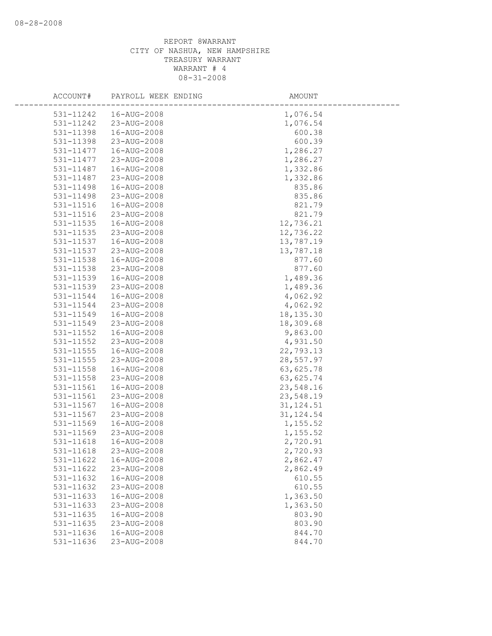| ACCOUNT#               | PAYROLL WEEK ENDING        | AMOUNT               |
|------------------------|----------------------------|----------------------|
| 531-11242              | 16-AUG-2008                | 1,076.54             |
| 531-11242              | 23-AUG-2008                | 1,076.54             |
| 531-11398              | 16-AUG-2008                | 600.38               |
| 531-11398              | 23-AUG-2008                | 600.39               |
| 531-11477              | 16-AUG-2008                | 1,286.27             |
| 531-11477              | 23-AUG-2008                | 1,286.27             |
| 531-11487              | 16-AUG-2008                | 1,332.86             |
| 531-11487              | 23-AUG-2008                | 1,332.86             |
| 531-11498              | 16-AUG-2008                | 835.86               |
| 531-11498              | 23-AUG-2008                | 835.86               |
| 531-11516              | 16-AUG-2008                | 821.79               |
| 531-11516              | 23-AUG-2008                | 821.79               |
| 531-11535              | 16-AUG-2008                | 12,736.21            |
| 531-11535              | 23-AUG-2008                | 12,736.22            |
| 531-11537              | 16-AUG-2008                | 13,787.19            |
| 531-11537              | 23-AUG-2008                | 13,787.18            |
| 531-11538              | 16-AUG-2008                | 877.60               |
| 531-11538              | 23-AUG-2008                | 877.60               |
| 531-11539              | 16-AUG-2008                | 1,489.36             |
| 531-11539              | 23-AUG-2008                | 1,489.36             |
| 531-11544              | 16-AUG-2008                | 4,062.92             |
| 531-11544              | 23-AUG-2008                | 4,062.92             |
| 531-11549              | 16-AUG-2008                | 18, 135.30           |
| 531-11549              | 23-AUG-2008                | 18,309.68            |
| 531-11552              | 16-AUG-2008                | 9,863.00             |
| 531-11552              | 23-AUG-2008                | 4,931.50             |
| $531 - 11555$          | 16-AUG-2008                | 22,793.13            |
| 531-11555              | 23-AUG-2008                | 28,557.97            |
| 531-11558              | 16-AUG-2008                | 63,625.78            |
| 531-11558              | 23-AUG-2008                | 63,625.74            |
| 531-11561              | 16-AUG-2008                | 23,548.16            |
| 531-11561              | 23-AUG-2008                | 23,548.19            |
| 531-11567              | 16-AUG-2008                | 31, 124.51           |
| 531-11567              | 23-AUG-2008                | 31, 124.54           |
| 531-11569              | 16-AUG-2008                | 1,155.52             |
| 531-11569              | 23-AUG-2008                | 1,155.52             |
| 531-11618              | 16-AUG-2008<br>23-AUG-2008 | 2,720.91<br>2,720.93 |
| 531-11618              |                            |                      |
| 531-11622              | 16-AUG-2008<br>23-AUG-2008 | 2,862.47             |
| 531-11622<br>531-11632 | 16-AUG-2008                | 2,862.49<br>610.55   |
| 531-11632              | 23-AUG-2008                | 610.55               |
| 531-11633              | 16-AUG-2008                | 1,363.50             |
| 531-11633              | 23-AUG-2008                | 1,363.50             |
| 531-11635              | 16-AUG-2008                | 803.90               |
| 531-11635              | 23-AUG-2008                | 803.90               |
| 531-11636              | 16-AUG-2008                | 844.70               |
| 531-11636              | 23-AUG-2008                | 844.70               |
|                        |                            |                      |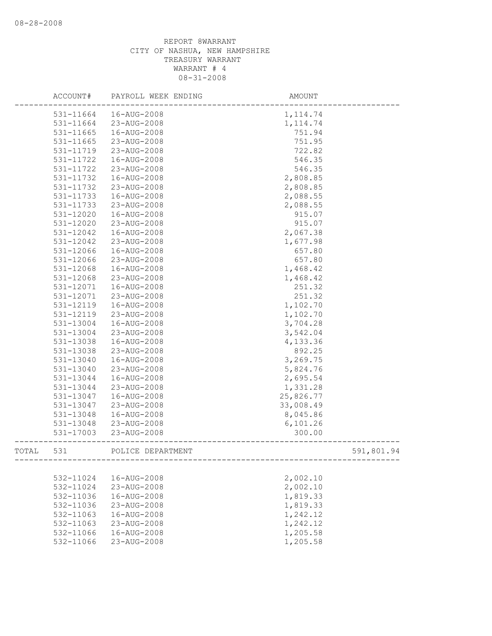|       | ACCOUNT#  | PAYROLL WEEK ENDING | AMOUNT     |  |
|-------|-----------|---------------------|------------|--|
|       | 531-11664 | 16-AUG-2008         | 1, 114.74  |  |
|       | 531-11664 | 23-AUG-2008         | 1, 114.74  |  |
|       | 531-11665 | 16-AUG-2008         | 751.94     |  |
|       | 531-11665 | 23-AUG-2008         | 751.95     |  |
|       | 531-11719 | 23-AUG-2008         | 722.82     |  |
|       | 531-11722 | 16-AUG-2008         | 546.35     |  |
|       | 531-11722 | 23-AUG-2008         | 546.35     |  |
|       | 531-11732 | 16-AUG-2008         | 2,808.85   |  |
|       | 531-11732 | 23-AUG-2008         | 2,808.85   |  |
|       | 531-11733 | 16-AUG-2008         | 2,088.55   |  |
|       | 531-11733 | 23-AUG-2008         | 2,088.55   |  |
|       | 531-12020 | 16-AUG-2008         | 915.07     |  |
|       | 531-12020 | 23-AUG-2008         | 915.07     |  |
|       | 531-12042 | 16-AUG-2008         | 2,067.38   |  |
|       | 531-12042 | 23-AUG-2008         | 1,677.98   |  |
|       | 531-12066 | 16-AUG-2008         | 657.80     |  |
|       | 531-12066 | 23-AUG-2008         | 657.80     |  |
|       | 531-12068 | 16-AUG-2008         | 1,468.42   |  |
|       | 531-12068 | 23-AUG-2008         | 1,468.42   |  |
|       | 531-12071 | 16-AUG-2008         | 251.32     |  |
|       | 531-12071 | 23-AUG-2008         | 251.32     |  |
|       | 531-12119 | 16-AUG-2008         | 1,102.70   |  |
|       | 531-12119 | 23-AUG-2008         | 1,102.70   |  |
|       | 531-13004 | 16-AUG-2008         | 3,704.28   |  |
|       | 531-13004 | 23-AUG-2008         | 3,542.04   |  |
|       | 531-13038 | 16-AUG-2008         | 4,133.36   |  |
|       | 531-13038 | 23-AUG-2008         | 892.25     |  |
|       | 531-13040 | 16-AUG-2008         | 3,269.75   |  |
|       | 531-13040 | 23-AUG-2008         | 5,824.76   |  |
|       | 531-13044 | 16-AUG-2008         | 2,695.54   |  |
|       | 531-13044 | 23-AUG-2008         | 1,331.28   |  |
|       | 531-13047 | 16-AUG-2008         | 25,826.77  |  |
|       | 531-13047 | 23-AUG-2008         | 33,008.49  |  |
|       | 531-13048 | 16-AUG-2008         | 8,045.86   |  |
|       | 531-13048 | 23-AUG-2008         | 6,101.26   |  |
|       | 531-17003 | 23-AUG-2008         | 300.00     |  |
| TOTAL | 531       | POLICE DEPARTMENT   | 591,801.94 |  |
|       |           |                     |            |  |
|       | 532-11024 | 16-AUG-2008         | 2,002.10   |  |
|       | 532-11024 | 23-AUG-2008         | 2,002.10   |  |
|       | 532-11036 | 16-AUG-2008         | 1,819.33   |  |
|       | 532-11036 | 23-AUG-2008         | 1,819.33   |  |
|       | 532-11063 | 16-AUG-2008         | 1,242.12   |  |
|       | 532-11063 | 23-AUG-2008         | 1,242.12   |  |
|       | 532-11066 | 16-AUG-2008         | 1,205.58   |  |
|       | 532-11066 | 23-AUG-2008         | 1,205.58   |  |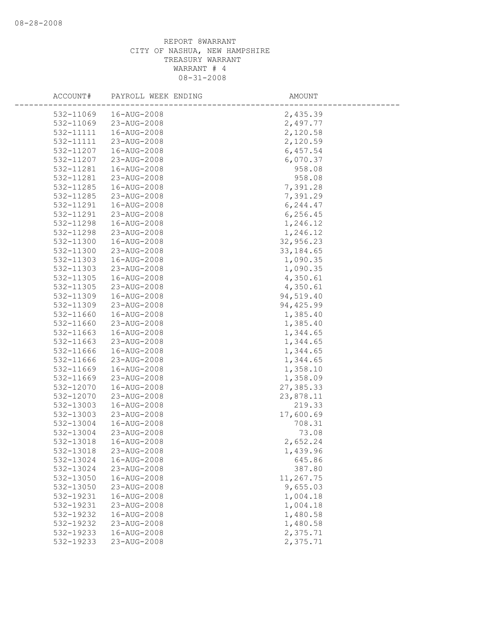| ACCOUNT#  | PAYROLL WEEK ENDING | AMOUNT     |  |
|-----------|---------------------|------------|--|
| 532-11069 | 16-AUG-2008         | 2,435.39   |  |
| 532-11069 | 23-AUG-2008         | 2,497.77   |  |
| 532-11111 | 16-AUG-2008         | 2,120.58   |  |
| 532-11111 | 23-AUG-2008         | 2,120.59   |  |
| 532-11207 | 16-AUG-2008         | 6,457.54   |  |
| 532-11207 | 23-AUG-2008         | 6,070.37   |  |
| 532-11281 | 16-AUG-2008         | 958.08     |  |
| 532-11281 | 23-AUG-2008         | 958.08     |  |
| 532-11285 | 16-AUG-2008         | 7,391.28   |  |
| 532-11285 | 23-AUG-2008         | 7,391.29   |  |
| 532-11291 | 16-AUG-2008         | 6,244.47   |  |
| 532-11291 | 23-AUG-2008         | 6, 256.45  |  |
| 532-11298 | 16-AUG-2008         | 1,246.12   |  |
| 532-11298 | 23-AUG-2008         | 1,246.12   |  |
| 532-11300 | 16-AUG-2008         | 32,956.23  |  |
| 532-11300 | 23-AUG-2008         | 33, 184.65 |  |
| 532-11303 | 16-AUG-2008         | 1,090.35   |  |
| 532-11303 | 23-AUG-2008         | 1,090.35   |  |
| 532-11305 | 16-AUG-2008         | 4,350.61   |  |
| 532-11305 | 23-AUG-2008         | 4,350.61   |  |
| 532-11309 | 16-AUG-2008         | 94,519.40  |  |
| 532-11309 | 23-AUG-2008         | 94, 425.99 |  |
| 532-11660 | 16-AUG-2008         | 1,385.40   |  |
| 532-11660 | 23-AUG-2008         | 1,385.40   |  |
| 532-11663 | 16-AUG-2008         | 1,344.65   |  |
| 532-11663 | 23-AUG-2008         | 1,344.65   |  |
| 532-11666 | 16-AUG-2008         | 1,344.65   |  |
| 532-11666 | 23-AUG-2008         | 1,344.65   |  |
| 532-11669 | 16-AUG-2008         | 1,358.10   |  |
| 532-11669 | 23-AUG-2008         | 1,358.09   |  |
| 532-12070 | 16-AUG-2008         | 27,385.33  |  |
| 532-12070 | 23-AUG-2008         | 23,878.11  |  |
| 532-13003 | 16-AUG-2008         | 219.33     |  |
| 532-13003 | 23-AUG-2008         | 17,600.69  |  |
| 532-13004 | 16-AUG-2008         | 708.31     |  |
| 532-13004 | 23-AUG-2008         | 73.08      |  |
| 532-13018 | 16-AUG-2008         | 2,652.24   |  |
| 532-13018 | 23-AUG-2008         | 1,439.96   |  |
| 532-13024 | 16-AUG-2008         | 645.86     |  |
| 532-13024 | 23-AUG-2008         | 387.80     |  |
| 532-13050 | 16-AUG-2008         | 11,267.75  |  |
| 532-13050 | 23-AUG-2008         | 9,655.03   |  |
| 532-19231 | 16-AUG-2008         | 1,004.18   |  |
| 532-19231 | 23-AUG-2008         | 1,004.18   |  |
| 532-19232 | 16-AUG-2008         | 1,480.58   |  |
| 532-19232 | 23-AUG-2008         | 1,480.58   |  |
| 532-19233 | 16-AUG-2008         | 2,375.71   |  |
| 532-19233 | 23-AUG-2008         | 2,375.71   |  |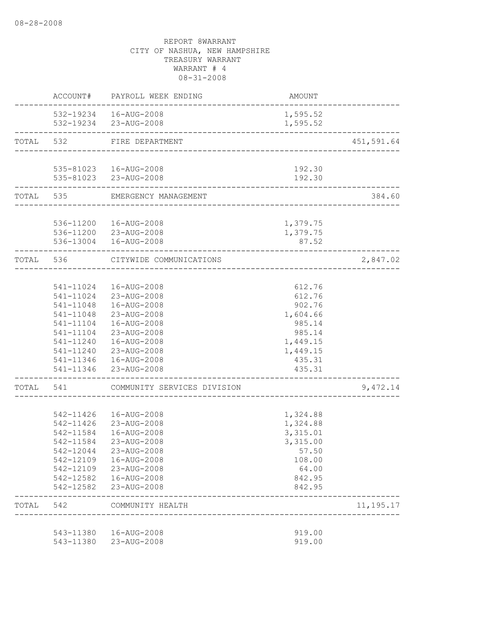|           | ACCOUNT#               | PAYROLL WEEK ENDING                             | AMOUNT           |                         |
|-----------|------------------------|-------------------------------------------------|------------------|-------------------------|
|           |                        | 532-19234  16-AUG-2008                          | 1,595.52         |                         |
|           | ----------------       | 532-19234 23-AUG-2008                           | 1,595.52         |                         |
| TOTAL     | 532                    | FIRE DEPARTMENT                                 |                  | 451,591.64              |
|           |                        |                                                 |                  |                         |
|           |                        | 535-81023  16-AUG-2008<br>535-81023 23-AUG-2008 | 192.30<br>192.30 |                         |
|           |                        |                                                 |                  |                         |
|           |                        | TOTAL 535 EMERGENCY MANAGEMENT                  |                  | 384.60<br>_____________ |
|           |                        | 536-11200  16-AUG-2008                          | 1,379.75         |                         |
|           |                        | 536-11200 23-AUG-2008                           | 1,379.75         |                         |
|           |                        | 536-13004  16-AUG-2008                          | 87.52            |                         |
| TOTAL 536 |                        | CITYWIDE COMMUNICATIONS                         |                  | 2,847.02                |
|           |                        |                                                 |                  |                         |
|           |                        | 541-11024  16-AUG-2008                          | 612.76           |                         |
|           |                        | 541-11024 23-AUG-2008                           | 612.76           |                         |
|           | 541-11048              | 16-AUG-2008                                     | 902.76           |                         |
|           | 541-11048              | 23-AUG-2008                                     | 1,604.66         |                         |
|           | 541-11104              | 16-AUG-2008                                     | 985.14           |                         |
|           | 541-11104              | 23-AUG-2008                                     | 985.14           |                         |
|           | 541-11240              | 16-AUG-2008                                     | 1,449.15         |                         |
|           |                        | 541-11240 23-AUG-2008                           | 1,449.15         |                         |
|           |                        | 541-11346  16-AUG-2008                          | 435.31           |                         |
|           |                        | 541-11346 23-AUG-2008                           | 435.31           |                         |
| TOTAL     | 541                    | COMMUNITY SERVICES DIVISION                     |                  | 9,472.14                |
|           |                        |                                                 |                  |                         |
|           | 542-11426              | 16-AUG-2008                                     | 1,324.88         |                         |
|           | 542-11426              | 23-AUG-2008                                     | 1,324.88         |                         |
|           | 542-11584              | 16-AUG-2008                                     | 3,315.01         |                         |
|           | 542-11584              | 23-AUG-2008                                     | 3,315.00         |                         |
|           | 542-12044              | 23-AUG-2008                                     | 57.50            |                         |
|           | 542-12109<br>542-12109 | 16-AUG-2008<br>23-AUG-2008                      | 108.00<br>64.00  |                         |
|           | 542-12582              | 16-AUG-2008                                     | 842.95           |                         |
|           | 542-12582              | 23-AUG-2008                                     | 842.95           |                         |
| TOTAL     | 542                    | COMMUNITY HEALTH                                |                  | 11, 195. 17             |
|           |                        |                                                 |                  |                         |
|           | 543-11380              | 16-AUG-2008                                     | 919.00           |                         |
|           | 543-11380              | 23-AUG-2008                                     | 919.00           |                         |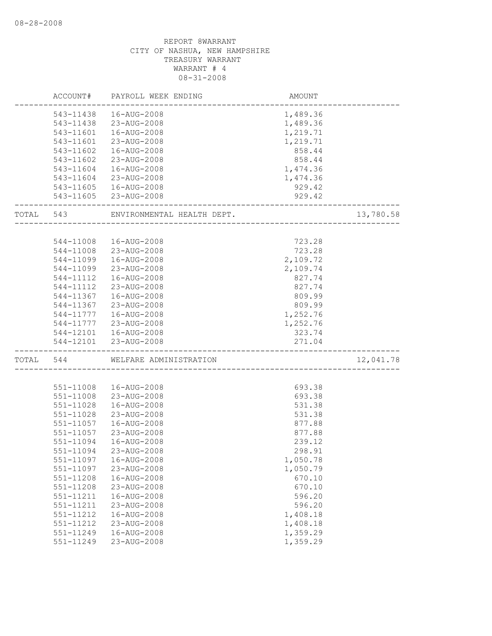| 543-11438<br>16-AUG-2008<br>1,489.36<br>23-AUG-2008<br>543-11438<br>1,489.36<br>16-AUG-2008<br>1,219.71<br>543-11601<br>1,219.71<br>543-11601<br>23-AUG-2008<br>543-11602<br>16-AUG-2008<br>858.44<br>543-11602<br>23-AUG-2008<br>858.44<br>16-AUG-2008<br>1,474.36<br>543-11604<br>1,474.36<br>543-11604<br>23-AUG-2008<br>929.42<br>543-11605<br>16-AUG-2008<br>929.42<br>543-11605 23-AUG-2008<br>13,780.58<br>543<br>ENVIRONMENTAL HEALTH DEPT.<br>723.28<br>544-11008<br>16-AUG-2008<br>723.28<br>544-11008<br>23-AUG-2008<br>544-11099<br>2,109.72<br>16-AUG-2008<br>2,109.74<br>544-11099<br>23-AUG-2008<br>827.74<br>544-11112<br>16-AUG-2008<br>544-11112<br>23-AUG-2008<br>827.74<br>16-AUG-2008<br>809.99<br>544-11367<br>809.99<br>544-11367<br>23-AUG-2008<br>1,252.76<br>544-11777<br>16-AUG-2008<br>23-AUG-2008<br>1,252.76<br>544-11777<br>16-AUG-2008<br>323.74<br>544-12101<br>271.04<br>544-12101<br>23-AUG-2008<br>12,041.78<br>WELFARE ADMINISTRATION<br>544<br>551-11008<br>16-AUG-2008<br>693.38<br>551-11008<br>23-AUG-2008<br>693.38<br>531.38<br>551-11028<br>16-AUG-2008<br>531.38<br>551-11028<br>23-AUG-2008<br>551-11057<br>877.88<br>16-AUG-2008<br>551-11057<br>23-AUG-2008<br>877.88<br>551-11094<br>16-AUG-2008<br>239.12<br>298.91<br>551-11094<br>23-AUG-2008<br>551-11097<br>16-AUG-2008<br>1,050.78<br>551-11097<br>1,050.79<br>23-AUG-2008<br>670.10<br>551-11208<br>16-AUG-2008<br>551-11208<br>23-AUG-2008<br>670.10<br>551-11211<br>16-AUG-2008<br>596.20<br>23-AUG-2008<br>596.20<br>551-11211<br>551-11212<br>16-AUG-2008<br>1,408.18<br>551-11212<br>23-AUG-2008<br>1,408.18<br>1,359.29<br>551-11249<br>16-AUG-2008 |       | ACCOUNT# | PAYROLL WEEK ENDING | AMOUNT |  |
|-------------------------------------------------------------------------------------------------------------------------------------------------------------------------------------------------------------------------------------------------------------------------------------------------------------------------------------------------------------------------------------------------------------------------------------------------------------------------------------------------------------------------------------------------------------------------------------------------------------------------------------------------------------------------------------------------------------------------------------------------------------------------------------------------------------------------------------------------------------------------------------------------------------------------------------------------------------------------------------------------------------------------------------------------------------------------------------------------------------------------------------------------------------------------------------------------------------------------------------------------------------------------------------------------------------------------------------------------------------------------------------------------------------------------------------------------------------------------------------------------------------------------------------------------------------------------------------------------------------------------------------------------------------------|-------|----------|---------------------|--------|--|
|                                                                                                                                                                                                                                                                                                                                                                                                                                                                                                                                                                                                                                                                                                                                                                                                                                                                                                                                                                                                                                                                                                                                                                                                                                                                                                                                                                                                                                                                                                                                                                                                                                                                   |       |          |                     |        |  |
|                                                                                                                                                                                                                                                                                                                                                                                                                                                                                                                                                                                                                                                                                                                                                                                                                                                                                                                                                                                                                                                                                                                                                                                                                                                                                                                                                                                                                                                                                                                                                                                                                                                                   |       |          |                     |        |  |
|                                                                                                                                                                                                                                                                                                                                                                                                                                                                                                                                                                                                                                                                                                                                                                                                                                                                                                                                                                                                                                                                                                                                                                                                                                                                                                                                                                                                                                                                                                                                                                                                                                                                   |       |          |                     |        |  |
|                                                                                                                                                                                                                                                                                                                                                                                                                                                                                                                                                                                                                                                                                                                                                                                                                                                                                                                                                                                                                                                                                                                                                                                                                                                                                                                                                                                                                                                                                                                                                                                                                                                                   |       |          |                     |        |  |
|                                                                                                                                                                                                                                                                                                                                                                                                                                                                                                                                                                                                                                                                                                                                                                                                                                                                                                                                                                                                                                                                                                                                                                                                                                                                                                                                                                                                                                                                                                                                                                                                                                                                   |       |          |                     |        |  |
|                                                                                                                                                                                                                                                                                                                                                                                                                                                                                                                                                                                                                                                                                                                                                                                                                                                                                                                                                                                                                                                                                                                                                                                                                                                                                                                                                                                                                                                                                                                                                                                                                                                                   |       |          |                     |        |  |
|                                                                                                                                                                                                                                                                                                                                                                                                                                                                                                                                                                                                                                                                                                                                                                                                                                                                                                                                                                                                                                                                                                                                                                                                                                                                                                                                                                                                                                                                                                                                                                                                                                                                   |       |          |                     |        |  |
|                                                                                                                                                                                                                                                                                                                                                                                                                                                                                                                                                                                                                                                                                                                                                                                                                                                                                                                                                                                                                                                                                                                                                                                                                                                                                                                                                                                                                                                                                                                                                                                                                                                                   |       |          |                     |        |  |
|                                                                                                                                                                                                                                                                                                                                                                                                                                                                                                                                                                                                                                                                                                                                                                                                                                                                                                                                                                                                                                                                                                                                                                                                                                                                                                                                                                                                                                                                                                                                                                                                                                                                   |       |          |                     |        |  |
|                                                                                                                                                                                                                                                                                                                                                                                                                                                                                                                                                                                                                                                                                                                                                                                                                                                                                                                                                                                                                                                                                                                                                                                                                                                                                                                                                                                                                                                                                                                                                                                                                                                                   |       |          |                     |        |  |
|                                                                                                                                                                                                                                                                                                                                                                                                                                                                                                                                                                                                                                                                                                                                                                                                                                                                                                                                                                                                                                                                                                                                                                                                                                                                                                                                                                                                                                                                                                                                                                                                                                                                   | TOTAL |          |                     |        |  |
|                                                                                                                                                                                                                                                                                                                                                                                                                                                                                                                                                                                                                                                                                                                                                                                                                                                                                                                                                                                                                                                                                                                                                                                                                                                                                                                                                                                                                                                                                                                                                                                                                                                                   |       |          |                     |        |  |
|                                                                                                                                                                                                                                                                                                                                                                                                                                                                                                                                                                                                                                                                                                                                                                                                                                                                                                                                                                                                                                                                                                                                                                                                                                                                                                                                                                                                                                                                                                                                                                                                                                                                   |       |          |                     |        |  |
|                                                                                                                                                                                                                                                                                                                                                                                                                                                                                                                                                                                                                                                                                                                                                                                                                                                                                                                                                                                                                                                                                                                                                                                                                                                                                                                                                                                                                                                                                                                                                                                                                                                                   |       |          |                     |        |  |
|                                                                                                                                                                                                                                                                                                                                                                                                                                                                                                                                                                                                                                                                                                                                                                                                                                                                                                                                                                                                                                                                                                                                                                                                                                                                                                                                                                                                                                                                                                                                                                                                                                                                   |       |          |                     |        |  |
|                                                                                                                                                                                                                                                                                                                                                                                                                                                                                                                                                                                                                                                                                                                                                                                                                                                                                                                                                                                                                                                                                                                                                                                                                                                                                                                                                                                                                                                                                                                                                                                                                                                                   |       |          |                     |        |  |
|                                                                                                                                                                                                                                                                                                                                                                                                                                                                                                                                                                                                                                                                                                                                                                                                                                                                                                                                                                                                                                                                                                                                                                                                                                                                                                                                                                                                                                                                                                                                                                                                                                                                   |       |          |                     |        |  |
|                                                                                                                                                                                                                                                                                                                                                                                                                                                                                                                                                                                                                                                                                                                                                                                                                                                                                                                                                                                                                                                                                                                                                                                                                                                                                                                                                                                                                                                                                                                                                                                                                                                                   |       |          |                     |        |  |
|                                                                                                                                                                                                                                                                                                                                                                                                                                                                                                                                                                                                                                                                                                                                                                                                                                                                                                                                                                                                                                                                                                                                                                                                                                                                                                                                                                                                                                                                                                                                                                                                                                                                   |       |          |                     |        |  |
|                                                                                                                                                                                                                                                                                                                                                                                                                                                                                                                                                                                                                                                                                                                                                                                                                                                                                                                                                                                                                                                                                                                                                                                                                                                                                                                                                                                                                                                                                                                                                                                                                                                                   |       |          |                     |        |  |
|                                                                                                                                                                                                                                                                                                                                                                                                                                                                                                                                                                                                                                                                                                                                                                                                                                                                                                                                                                                                                                                                                                                                                                                                                                                                                                                                                                                                                                                                                                                                                                                                                                                                   |       |          |                     |        |  |
|                                                                                                                                                                                                                                                                                                                                                                                                                                                                                                                                                                                                                                                                                                                                                                                                                                                                                                                                                                                                                                                                                                                                                                                                                                                                                                                                                                                                                                                                                                                                                                                                                                                                   |       |          |                     |        |  |
|                                                                                                                                                                                                                                                                                                                                                                                                                                                                                                                                                                                                                                                                                                                                                                                                                                                                                                                                                                                                                                                                                                                                                                                                                                                                                                                                                                                                                                                                                                                                                                                                                                                                   |       |          |                     |        |  |
|                                                                                                                                                                                                                                                                                                                                                                                                                                                                                                                                                                                                                                                                                                                                                                                                                                                                                                                                                                                                                                                                                                                                                                                                                                                                                                                                                                                                                                                                                                                                                                                                                                                                   |       |          |                     |        |  |
|                                                                                                                                                                                                                                                                                                                                                                                                                                                                                                                                                                                                                                                                                                                                                                                                                                                                                                                                                                                                                                                                                                                                                                                                                                                                                                                                                                                                                                                                                                                                                                                                                                                                   | TOTAL |          |                     |        |  |
|                                                                                                                                                                                                                                                                                                                                                                                                                                                                                                                                                                                                                                                                                                                                                                                                                                                                                                                                                                                                                                                                                                                                                                                                                                                                                                                                                                                                                                                                                                                                                                                                                                                                   |       |          |                     |        |  |
|                                                                                                                                                                                                                                                                                                                                                                                                                                                                                                                                                                                                                                                                                                                                                                                                                                                                                                                                                                                                                                                                                                                                                                                                                                                                                                                                                                                                                                                                                                                                                                                                                                                                   |       |          |                     |        |  |
|                                                                                                                                                                                                                                                                                                                                                                                                                                                                                                                                                                                                                                                                                                                                                                                                                                                                                                                                                                                                                                                                                                                                                                                                                                                                                                                                                                                                                                                                                                                                                                                                                                                                   |       |          |                     |        |  |
|                                                                                                                                                                                                                                                                                                                                                                                                                                                                                                                                                                                                                                                                                                                                                                                                                                                                                                                                                                                                                                                                                                                                                                                                                                                                                                                                                                                                                                                                                                                                                                                                                                                                   |       |          |                     |        |  |
|                                                                                                                                                                                                                                                                                                                                                                                                                                                                                                                                                                                                                                                                                                                                                                                                                                                                                                                                                                                                                                                                                                                                                                                                                                                                                                                                                                                                                                                                                                                                                                                                                                                                   |       |          |                     |        |  |
|                                                                                                                                                                                                                                                                                                                                                                                                                                                                                                                                                                                                                                                                                                                                                                                                                                                                                                                                                                                                                                                                                                                                                                                                                                                                                                                                                                                                                                                                                                                                                                                                                                                                   |       |          |                     |        |  |
|                                                                                                                                                                                                                                                                                                                                                                                                                                                                                                                                                                                                                                                                                                                                                                                                                                                                                                                                                                                                                                                                                                                                                                                                                                                                                                                                                                                                                                                                                                                                                                                                                                                                   |       |          |                     |        |  |
|                                                                                                                                                                                                                                                                                                                                                                                                                                                                                                                                                                                                                                                                                                                                                                                                                                                                                                                                                                                                                                                                                                                                                                                                                                                                                                                                                                                                                                                                                                                                                                                                                                                                   |       |          |                     |        |  |
|                                                                                                                                                                                                                                                                                                                                                                                                                                                                                                                                                                                                                                                                                                                                                                                                                                                                                                                                                                                                                                                                                                                                                                                                                                                                                                                                                                                                                                                                                                                                                                                                                                                                   |       |          |                     |        |  |
|                                                                                                                                                                                                                                                                                                                                                                                                                                                                                                                                                                                                                                                                                                                                                                                                                                                                                                                                                                                                                                                                                                                                                                                                                                                                                                                                                                                                                                                                                                                                                                                                                                                                   |       |          |                     |        |  |
|                                                                                                                                                                                                                                                                                                                                                                                                                                                                                                                                                                                                                                                                                                                                                                                                                                                                                                                                                                                                                                                                                                                                                                                                                                                                                                                                                                                                                                                                                                                                                                                                                                                                   |       |          |                     |        |  |
|                                                                                                                                                                                                                                                                                                                                                                                                                                                                                                                                                                                                                                                                                                                                                                                                                                                                                                                                                                                                                                                                                                                                                                                                                                                                                                                                                                                                                                                                                                                                                                                                                                                                   |       |          |                     |        |  |
|                                                                                                                                                                                                                                                                                                                                                                                                                                                                                                                                                                                                                                                                                                                                                                                                                                                                                                                                                                                                                                                                                                                                                                                                                                                                                                                                                                                                                                                                                                                                                                                                                                                                   |       |          |                     |        |  |
|                                                                                                                                                                                                                                                                                                                                                                                                                                                                                                                                                                                                                                                                                                                                                                                                                                                                                                                                                                                                                                                                                                                                                                                                                                                                                                                                                                                                                                                                                                                                                                                                                                                                   |       |          |                     |        |  |
|                                                                                                                                                                                                                                                                                                                                                                                                                                                                                                                                                                                                                                                                                                                                                                                                                                                                                                                                                                                                                                                                                                                                                                                                                                                                                                                                                                                                                                                                                                                                                                                                                                                                   |       |          |                     |        |  |
|                                                                                                                                                                                                                                                                                                                                                                                                                                                                                                                                                                                                                                                                                                                                                                                                                                                                                                                                                                                                                                                                                                                                                                                                                                                                                                                                                                                                                                                                                                                                                                                                                                                                   |       |          |                     |        |  |
|                                                                                                                                                                                                                                                                                                                                                                                                                                                                                                                                                                                                                                                                                                                                                                                                                                                                                                                                                                                                                                                                                                                                                                                                                                                                                                                                                                                                                                                                                                                                                                                                                                                                   |       |          |                     |        |  |
|                                                                                                                                                                                                                                                                                                                                                                                                                                                                                                                                                                                                                                                                                                                                                                                                                                                                                                                                                                                                                                                                                                                                                                                                                                                                                                                                                                                                                                                                                                                                                                                                                                                                   |       |          |                     |        |  |
| 551-11249<br>23-AUG-2008<br>1,359.29                                                                                                                                                                                                                                                                                                                                                                                                                                                                                                                                                                                                                                                                                                                                                                                                                                                                                                                                                                                                                                                                                                                                                                                                                                                                                                                                                                                                                                                                                                                                                                                                                              |       |          |                     |        |  |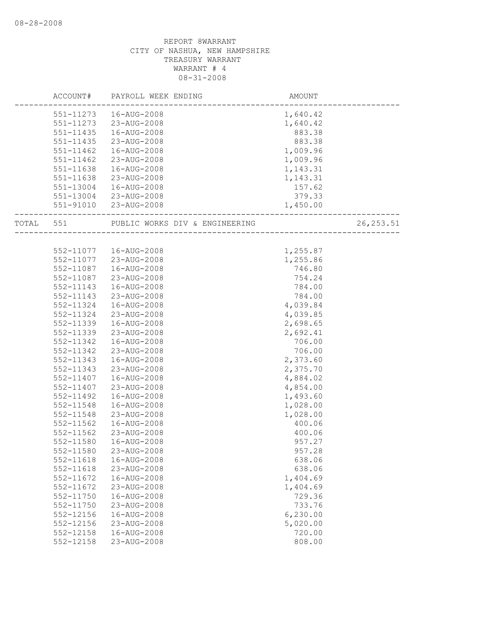|           | ACCOUNT#      | PAYROLL WEEK ENDING            | AMOUNT   |            |
|-----------|---------------|--------------------------------|----------|------------|
|           | 551-11273     | 16-AUG-2008                    | 1,640.42 |            |
|           | 551-11273     | 23-AUG-2008                    | 1,640.42 |            |
|           | 551-11435     | 16-AUG-2008                    | 883.38   |            |
|           | 551-11435     | 23-AUG-2008                    | 883.38   |            |
|           | 551-11462     | 16-AUG-2008                    | 1,009.96 |            |
|           | 551-11462     | 23-AUG-2008                    | 1,009.96 |            |
|           | 551-11638     | 16-AUG-2008                    | 1,143.31 |            |
|           | 551-11638     | 23-AUG-2008                    | 1,143.31 |            |
|           | 551-13004     | 16-AUG-2008                    | 157.62   |            |
|           |               | 551-13004 23-AUG-2008          | 379.33   |            |
|           |               | 551-91010 23-AUG-2008          | 1,450.00 |            |
| TOTAL 551 |               | PUBLIC WORKS DIV & ENGINEERING |          | 26, 253.51 |
|           |               |                                |          |            |
|           |               | 552-11077  16-AUG-2008         | 1,255.87 |            |
|           | 552-11077     | 23-AUG-2008                    | 1,255.86 |            |
|           | 552-11087     | 16-AUG-2008                    | 746.80   |            |
|           | 552-11087     | 23-AUG-2008                    | 754.24   |            |
|           | 552-11143     | 16-AUG-2008                    | 784.00   |            |
|           | 552-11143     | 23-AUG-2008                    | 784.00   |            |
|           | 552-11324     | 16-AUG-2008                    | 4,039.84 |            |
|           | 552-11324     | 23-AUG-2008                    | 4,039.85 |            |
|           | 552-11339     | 16-AUG-2008                    | 2,698.65 |            |
|           | 552-11339     | 23-AUG-2008                    | 2,692.41 |            |
|           | 552-11342     | 16-AUG-2008                    | 706.00   |            |
|           | 552-11342     | 23-AUG-2008                    | 706.00   |            |
|           | 552-11343     | 16-AUG-2008                    | 2,373.60 |            |
|           | 552-11343     | 23-AUG-2008                    | 2,375.70 |            |
|           | 552-11407     | 16-AUG-2008                    | 4,884.02 |            |
|           | 552-11407     | 23-AUG-2008                    | 4,854.00 |            |
|           | 552-11492     | 16-AUG-2008                    | 1,493.60 |            |
|           | 552-11548     | 16-AUG-2008                    | 1,028.00 |            |
|           | 552-11548     | 23-AUG-2008                    | 1,028.00 |            |
|           | 552-11562     | 16-AUG-2008                    | 400.06   |            |
|           | $552 - 11562$ | 23-AUG-2008                    | 400.06   |            |
|           | 552-11580     | 16-AUG-2008                    | 957.27   |            |
|           | 552-11580     | 23-AUG-2008                    | 957.28   |            |
|           | 552-11618     | 16-AUG-2008                    | 638.06   |            |
|           | 552-11618     | 23-AUG-2008                    | 638.06   |            |
|           | 552-11672     | 16-AUG-2008                    | 1,404.69 |            |
|           | 552-11672     | 23-AUG-2008                    | 1,404.69 |            |
|           | 552-11750     | 16-AUG-2008                    | 729.36   |            |
|           | 552-11750     | 23-AUG-2008                    | 733.76   |            |
|           | 552-12156     | 16-AUG-2008                    | 6,230.00 |            |
|           | 552-12156     | 23-AUG-2008                    | 5,020.00 |            |
|           | 552-12158     | 16-AUG-2008                    | 720.00   |            |
|           | 552-12158     | 23-AUG-2008                    | 808.00   |            |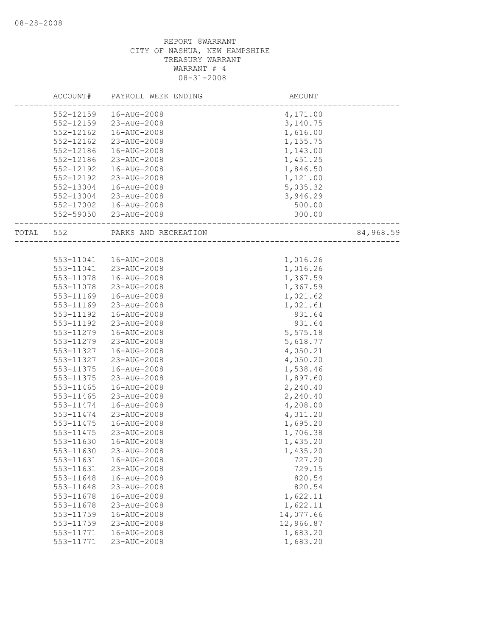|       | ACCOUNT#  | PAYROLL WEEK ENDING  | AMOUNT    |           |
|-------|-----------|----------------------|-----------|-----------|
|       | 552-12159 | 16-AUG-2008          | 4,171.00  |           |
|       | 552-12159 | 23-AUG-2008          | 3,140.75  |           |
|       | 552-12162 | 16-AUG-2008          | 1,616.00  |           |
|       | 552-12162 | 23-AUG-2008          | 1,155.75  |           |
|       | 552-12186 | 16-AUG-2008          | 1,143.00  |           |
|       | 552-12186 | 23-AUG-2008          | 1,451.25  |           |
|       | 552-12192 | 16-AUG-2008          | 1,846.50  |           |
|       | 552-12192 | 23-AUG-2008          | 1,121.00  |           |
|       | 552-13004 | 16-AUG-2008          | 5,035.32  |           |
|       | 552-13004 | 23-AUG-2008          | 3,946.29  |           |
|       | 552-17002 | 16-AUG-2008          | 500.00    |           |
|       | 552-59050 | 23-AUG-2008          | 300.00    |           |
| TOTAL | 552       | PARKS AND RECREATION |           | 84,968.59 |
|       |           |                      |           |           |
|       | 553-11041 | 16-AUG-2008          | 1,016.26  |           |
|       | 553-11041 | 23-AUG-2008          | 1,016.26  |           |
|       | 553-11078 | 16-AUG-2008          | 1,367.59  |           |
|       | 553-11078 | 23-AUG-2008          | 1,367.59  |           |
|       | 553-11169 | 16-AUG-2008          | 1,021.62  |           |
|       | 553-11169 | 23-AUG-2008          | 1,021.61  |           |
|       | 553-11192 | 16-AUG-2008          | 931.64    |           |
|       | 553-11192 | 23-AUG-2008          | 931.64    |           |
|       | 553-11279 | 16-AUG-2008          | 5,575.18  |           |
|       | 553-11279 | 23-AUG-2008          | 5,618.77  |           |
|       | 553-11327 | 16-AUG-2008          | 4,050.21  |           |
|       | 553-11327 | 23-AUG-2008          | 4,050.20  |           |
|       | 553-11375 | 16-AUG-2008          | 1,538.46  |           |
|       | 553-11375 | 23-AUG-2008          | 1,897.60  |           |
|       | 553-11465 | 16-AUG-2008          | 2,240.40  |           |
|       | 553-11465 | 23-AUG-2008          | 2,240.40  |           |
|       | 553-11474 | 16-AUG-2008          | 4,208.00  |           |
|       | 553-11474 | 23-AUG-2008          | 4,311.20  |           |
|       | 553-11475 | 16-AUG-2008          | 1,695.20  |           |
|       | 553-11475 | 23-AUG-2008          | 1,706.38  |           |
|       | 553-11630 | 16-AUG-2008          | 1,435.20  |           |
|       | 553-11630 | 23-AUG-2008          | 1,435.20  |           |
|       | 553-11631 | 16-AUG-2008          | 727.20    |           |
|       | 553-11631 | 23-AUG-2008          | 729.15    |           |
|       | 553-11648 | 16-AUG-2008          | 820.54    |           |
|       | 553-11648 | 23-AUG-2008          | 820.54    |           |
|       | 553-11678 | 16-AUG-2008          | 1,622.11  |           |
|       | 553-11678 | 23-AUG-2008          | 1,622.11  |           |
|       | 553-11759 | 16-AUG-2008          | 14,077.66 |           |
|       | 553-11759 | 23-AUG-2008          | 12,966.87 |           |
|       | 553-11771 | 16-AUG-2008          | 1,683.20  |           |
|       | 553-11771 | 23-AUG-2008          | 1,683.20  |           |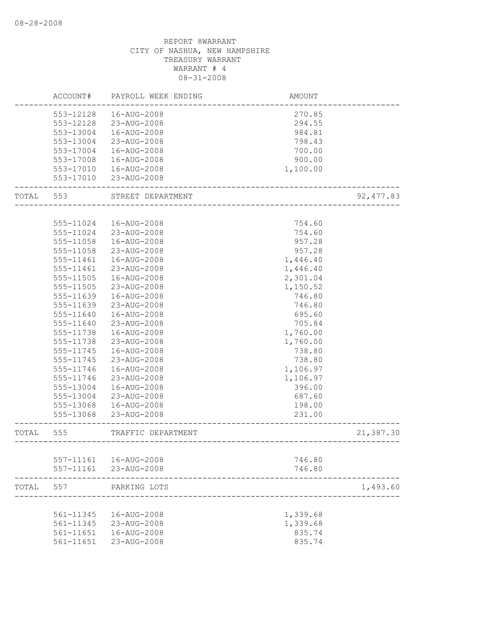|       | ACCOUNT#  | PAYROLL WEEK ENDING | <b>AMOUNT</b>                    |            |
|-------|-----------|---------------------|----------------------------------|------------|
|       | 553-12128 | 16-AUG-2008         | 270.85                           |            |
|       | 553-12128 | 23-AUG-2008         | 294.55                           |            |
|       | 553-13004 | 16-AUG-2008         | 984.81                           |            |
|       | 553-13004 | 23-AUG-2008         | 798.43                           |            |
|       | 553-17004 | 16-AUG-2008         | 700.00                           |            |
|       | 553-17008 | 16-AUG-2008         | 900.00                           |            |
|       | 553-17010 | 16-AUG-2008         | 1,100.00                         |            |
|       | 553-17010 | 23-AUG-2008         |                                  |            |
| TOTAL | 553       | STREET DEPARTMENT   |                                  | 92, 477.83 |
|       |           |                     |                                  |            |
|       | 555-11024 | 16-AUG-2008         | 754.60                           |            |
|       | 555-11024 | 23-AUG-2008         | 754.60                           |            |
|       | 555-11058 | 16-AUG-2008         | 957.28                           |            |
|       | 555-11058 | 23-AUG-2008         | 957.28                           |            |
|       | 555-11461 | 16-AUG-2008         | 1,446.40                         |            |
|       | 555-11461 | 23-AUG-2008         | 1,446.40                         |            |
|       | 555-11505 | 16-AUG-2008         | 2,301.04                         |            |
|       | 555-11505 | 23-AUG-2008         | 1,150.52                         |            |
|       | 555-11639 | 16-AUG-2008         | 746.80                           |            |
|       | 555-11639 | 23-AUG-2008         | 746.80                           |            |
|       | 555-11640 | 16-AUG-2008         | 695.60                           |            |
|       | 555-11640 | 23-AUG-2008         | 705.84                           |            |
|       | 555-11738 | 16-AUG-2008         | 1,760.00                         |            |
|       | 555-11738 | 23-AUG-2008         | 1,760.00                         |            |
|       | 555-11745 | 16-AUG-2008         | 738.80                           |            |
|       | 555-11745 | 23-AUG-2008         | 738.80                           |            |
|       | 555-11746 | 16-AUG-2008         | 1,106.97                         |            |
|       | 555-11746 | 23-AUG-2008         | 1,106.97                         |            |
|       | 555-13004 | 16-AUG-2008         | 396.00                           |            |
|       | 555-13004 | 23-AUG-2008         | 687.60                           |            |
|       | 555-13068 | 16-AUG-2008         | 198.00                           |            |
|       | 555-13068 | 23-AUG-2008         | 231.00                           |            |
| TOTAL | 555       | TRAFFIC DEPARTMENT  |                                  | 21,387.30  |
|       |           |                     | -------------------------------- |            |
|       | 557-11161 | 16-AUG-2008         | 746.80                           |            |
|       | 557-11161 | 23-AUG-2008         | 746.80                           |            |
| TOTAL | 557       | PARKING LOTS        |                                  | 1,493.60   |
|       |           |                     |                                  |            |
|       | 561-11345 | 16-AUG-2008         | 1,339.68                         |            |
|       | 561-11345 | 23-AUG-2008         | 1,339.68                         |            |
|       | 561-11651 | 16-AUG-2008         | 835.74                           |            |
|       | 561-11651 | 23-AUG-2008         | 835.74                           |            |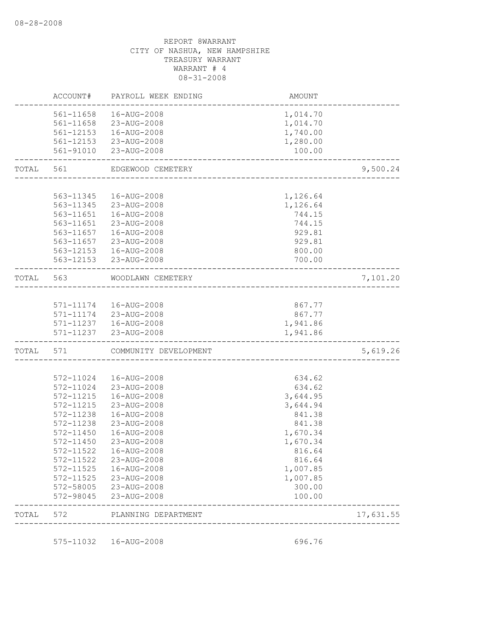| TOTAL | 572                    | PLANNING DEPARTMENT                              |                                    | 17,631.55 |
|-------|------------------------|--------------------------------------------------|------------------------------------|-----------|
|       | 572-98045              | 23-AUG-2008                                      | 100.00                             |           |
|       | 572-58005              | 23-AUG-2008                                      | 300.00                             |           |
|       | 572-11525              | 23-AUG-2008                                      | 1,007.85                           |           |
|       | 572-11525              | 16-AUG-2008                                      | 1,007.85                           |           |
|       | 572-11522              | 23-AUG-2008                                      | 816.64                             |           |
|       | 572-11522              | 16-AUG-2008                                      | 816.64                             |           |
|       | 572-11450              | 23-AUG-2008                                      | 1,670.34                           |           |
|       | 572-11450              | 16-AUG-2008                                      | 1,670.34                           |           |
|       | 572-11238              | 23-AUG-2008                                      | 841.38                             |           |
|       | 572-11238              | 16-AUG-2008                                      | 841.38                             |           |
|       | 572-11215<br>572-11215 | 16-AUG-2008<br>23-AUG-2008                       | 3,644.95<br>3,644.94               |           |
|       | 572-11024              | 23-AUG-2008                                      | 634.62                             |           |
|       | 572-11024              | 16-AUG-2008                                      | 634.62                             |           |
|       |                        |                                                  |                                    |           |
| TOTAL | 571                    | COMMUNITY DEVELOPMENT                            |                                    | 5,619.26  |
|       | 571-11237              | 23-AUG-2008                                      | 1,941.86                           |           |
|       |                        | 571-11237  16-AUG-2008                           | 1,941.86                           |           |
|       |                        | 571-11174   16-AUG-2008<br>571-11174 23-AUG-2008 | 867.77<br>867.77                   |           |
|       |                        |                                                  |                                    |           |
| TOTAL | 563                    | WOODLAWN CEMETERY                                | ---------------------------------- | 7,101.20  |
|       |                        | 563-12153 23-AUG-2008                            | 700.00                             |           |
|       | 563-12153              | 16-AUG-2008                                      | 800.00                             |           |
|       | 563-11657              | 23-AUG-2008                                      | 929.81                             |           |
|       | 563-11657              | 16-AUG-2008                                      | 929.81                             |           |
|       | 563-11651              | 23-AUG-2008                                      | 744.15                             |           |
|       |                        | 563-11651  16-AUG-2008                           | 744.15                             |           |
|       |                        | 563-11345 23-AUG-2008                            | 1,126.64                           |           |
|       | 563-11345              | 16-AUG-2008                                      | 1,126.64                           |           |
| TOTAL | 561                    | EDGEWOOD CEMETERY                                |                                    | 9,500.24  |
|       |                        | 561-91010 23-AUG-2008                            | 100.00                             |           |
|       |                        | 561-12153 23-AUG-2008                            | 1,280.00                           |           |
|       |                        | 561-12153  16-AUG-2008                           | 1,740.00                           |           |
|       |                        | 561-11658 23-AUG-2008                            | 1,014.70                           |           |
|       | 561-11658              | 16-AUG-2008                                      | 1,014.70                           |           |
|       | ACCOUNT#               | PAYROLL WEEK ENDING                              | AMOUNT                             |           |

575-11032 16-AUG-2008 696.76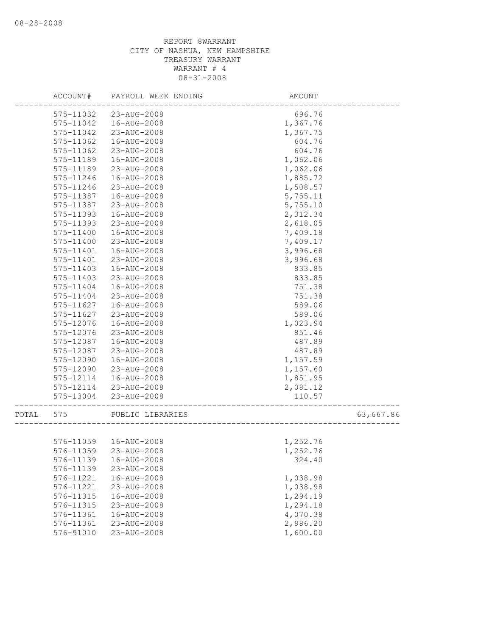|       | ACCOUNT#      | PAYROLL WEEK ENDING | AMOUNT   |           |
|-------|---------------|---------------------|----------|-----------|
|       | 575-11032     | 23-AUG-2008         | 696.76   |           |
|       | 575-11042     | 16-AUG-2008         | 1,367.76 |           |
|       | 575-11042     | 23-AUG-2008         | 1,367.75 |           |
|       | 575-11062     | 16-AUG-2008         | 604.76   |           |
|       | 575-11062     | 23-AUG-2008         | 604.76   |           |
|       | 575-11189     | 16-AUG-2008         | 1,062.06 |           |
|       | 575-11189     | 23-AUG-2008         | 1,062.06 |           |
|       | 575-11246     | 16-AUG-2008         | 1,885.72 |           |
|       | 575-11246     | 23-AUG-2008         | 1,508.57 |           |
|       | 575-11387     | 16-AUG-2008         | 5,755.11 |           |
|       | 575-11387     | 23-AUG-2008         | 5,755.10 |           |
|       | 575-11393     | 16-AUG-2008         | 2,312.34 |           |
|       | 575-11393     | 23-AUG-2008         | 2,618.05 |           |
|       | 575-11400     | 16-AUG-2008         | 7,409.18 |           |
|       | 575-11400     | 23-AUG-2008         | 7,409.17 |           |
|       | 575-11401     | 16-AUG-2008         | 3,996.68 |           |
|       | 575-11401     | 23-AUG-2008         | 3,996.68 |           |
|       | 575-11403     | 16-AUG-2008         | 833.85   |           |
|       | $575 - 11403$ | 23-AUG-2008         | 833.85   |           |
|       | 575-11404     | 16-AUG-2008         | 751.38   |           |
|       | 575-11404     | 23-AUG-2008         | 751.38   |           |
|       | 575-11627     | 16-AUG-2008         | 589.06   |           |
|       | 575-11627     | 23-AUG-2008         | 589.06   |           |
|       | 575-12076     | 16-AUG-2008         | 1,023.94 |           |
|       | 575-12076     | 23-AUG-2008         | 851.46   |           |
|       | 575-12087     | 16-AUG-2008         | 487.89   |           |
|       | 575-12087     | 23-AUG-2008         | 487.89   |           |
|       | 575-12090     | 16-AUG-2008         | 1,157.59 |           |
|       | 575-12090     | 23-AUG-2008         | 1,157.60 |           |
|       | 575-12114     | 16-AUG-2008         | 1,851.95 |           |
|       | 575-12114     | 23-AUG-2008         | 2,081.12 |           |
|       | 575-13004     | 23-AUG-2008         | 110.57   |           |
| TOTAL | 575           | PUBLIC LIBRARIES    |          | 63,667.86 |
|       |               |                     |          |           |
|       | 576-11059     | 16-AUG-2008         | 1,252.76 |           |
|       | 576-11059     | 23-AUG-2008         | 1,252.76 |           |
|       | 576-11139     | 16-AUG-2008         | 324.40   |           |
|       | 576-11139     | 23-AUG-2008         |          |           |
|       | 576-11221     | 16-AUG-2008         | 1,038.98 |           |
|       | 576-11221     | 23-AUG-2008         | 1,038.98 |           |
|       | 576-11315     | 16-AUG-2008         | 1,294.19 |           |
|       | 576-11315     | 23-AUG-2008         | 1,294.18 |           |
|       | 576-11361     | 16-AUG-2008         | 4,070.38 |           |
|       | 576-11361     | 23-AUG-2008         | 2,986.20 |           |
|       | 576-91010     | 23-AUG-2008         | 1,600.00 |           |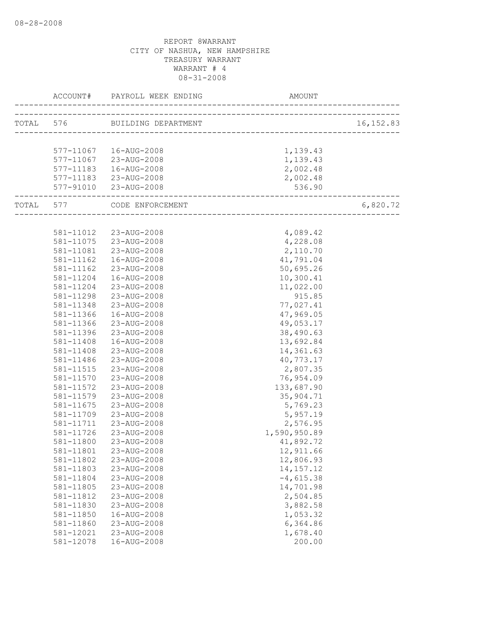|                    | ACCOUNT# PAYROLL WEEK ENDING  | AMOUNT                                     |            |
|--------------------|-------------------------------|--------------------------------------------|------------|
|                    | TOTAL 576 BUILDING DEPARTMENT | __________________________________         | 16, 152.83 |
|                    |                               |                                            |            |
|                    | 577-11067  16-AUG-2008        | 1,139.43                                   |            |
|                    | 577-11067 23-AUG-2008         | 1,139.43                                   |            |
|                    | 577-11183  16-AUG-2008        | 2,002.48                                   |            |
|                    | 577-11183 23-AUG-2008         | 2,002.48                                   |            |
| ------------------ | 577-91010 23-AUG-2008         | 536.90<br>-------------------------------- |            |
|                    | TOTAL 577 CODE ENFORCEMENT    | -------------------------------------      | 6,820.72   |
|                    |                               |                                            |            |
|                    | 581-11012 23-AUG-2008         | 4,089.42                                   |            |
|                    | 581-11075 23-AUG-2008         | 4,228.08                                   |            |
| 581-11081          | 23-AUG-2008                   | 2,110.70                                   |            |
| 581-11162          | 16-AUG-2008                   | 41,791.04                                  |            |
| 581-11162          | 23-AUG-2008                   | 50,695.26                                  |            |
| 581-11204          | 16-AUG-2008                   | 10,300.41                                  |            |
| 581-11204          | 23-AUG-2008                   | 11,022.00                                  |            |
| 581-11298          | 23-AUG-2008                   | 915.85                                     |            |
| 581-11348          | 23-AUG-2008                   | 77,027.41                                  |            |
| 581-11366          | 16-AUG-2008                   | 47,969.05                                  |            |
| 581-11366          | 23-AUG-2008                   | 49,053.17                                  |            |
| 581-11396          | 23-AUG-2008                   | 38,490.63                                  |            |
| 581-11408          | 16-AUG-2008                   | 13,692.84                                  |            |
| 581-11408          | 23-AUG-2008                   | 14,361.63                                  |            |
| 581-11486          | 23-AUG-2008                   | 40,773.17                                  |            |
| 581-11515          | 23-AUG-2008                   | 2,807.35                                   |            |
| 581-11570          | 23-AUG-2008                   | 76,954.09                                  |            |
| 581-11572          | 23-AUG-2008                   | 133,687.90                                 |            |
| 581-11579          | 23-AUG-2008                   | 35,904.71                                  |            |
| 581-11675          | 23-AUG-2008                   | 5,769.23                                   |            |
| 581-11709          | 23-AUG-2008                   | 5,957.19                                   |            |
| 581-11711          | 23-AUG-2008                   | 2,576.95                                   |            |
| 581-11726          | 23-AUG-2008                   | 1,590,950.89                               |            |
| 581-11800          | 23-AUG-2008                   | 41,892.72                                  |            |
| 581-11801          | 23-AUG-2008                   | 12,911.66                                  |            |
| 581-11802          | 23-AUG-2008                   | 12,806.93                                  |            |
| 581-11803          | 23-AUG-2008                   | 14, 157. 12                                |            |
| 581-11804          | 23-AUG-2008                   | $-4,615.38$                                |            |
| 581-11805          | 23-AUG-2008                   | 14,701.98                                  |            |
| 581-11812          | 23-AUG-2008                   | 2,504.85                                   |            |
| 581-11830          | 23-AUG-2008                   | 3,882.58                                   |            |
| 581-11850          | 16-AUG-2008                   | 1,053.32                                   |            |
| 581-11860          | 23-AUG-2008                   | 6,364.86                                   |            |
| 581-12021          | 23-AUG-2008                   | 1,678.40                                   |            |
| 581-12078          | 16-AUG-2008                   | 200.00                                     |            |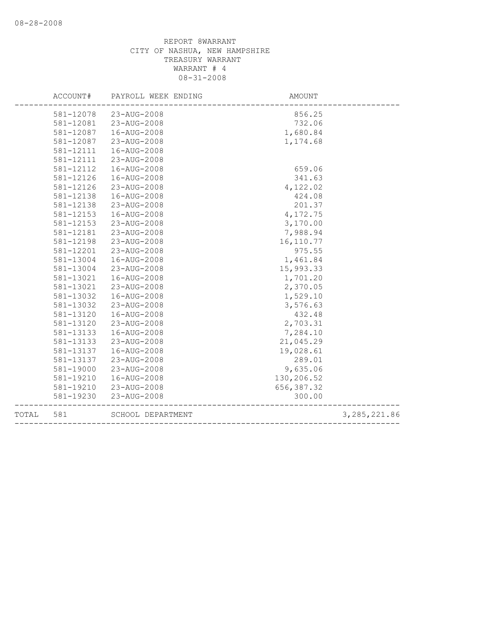|       | ACCOUNT#  | PAYROLL WEEK ENDING | AMOUNT      |                |
|-------|-----------|---------------------|-------------|----------------|
|       | 581-12078 | 23-AUG-2008         | 856.25      |                |
|       | 581-12081 | 23-AUG-2008         | 732.06      |                |
|       | 581-12087 | 16-AUG-2008         | 1,680.84    |                |
|       | 581-12087 | 23-AUG-2008         | 1,174.68    |                |
|       | 581-12111 | 16-AUG-2008         |             |                |
|       | 581-12111 | 23-AUG-2008         |             |                |
|       | 581-12112 | 16-AUG-2008         | 659.06      |                |
|       | 581-12126 | 16-AUG-2008         | 341.63      |                |
|       | 581-12126 | 23-AUG-2008         | 4,122.02    |                |
|       | 581-12138 | 16-AUG-2008         | 424.08      |                |
|       | 581-12138 | 23-AUG-2008         | 201.37      |                |
|       | 581-12153 | 16-AUG-2008         | 4,172.75    |                |
|       | 581-12153 | 23-AUG-2008         | 3,170.00    |                |
|       | 581-12181 | 23-AUG-2008         | 7,988.94    |                |
|       | 581-12198 | 23-AUG-2008         | 16, 110.77  |                |
|       | 581-12201 | 23-AUG-2008         | 975.55      |                |
|       | 581-13004 | 16-AUG-2008         | 1,461.84    |                |
|       | 581-13004 | 23-AUG-2008         | 15,993.33   |                |
|       | 581-13021 | 16-AUG-2008         | 1,701.20    |                |
|       | 581-13021 | 23-AUG-2008         | 2,370.05    |                |
|       | 581-13032 | 16-AUG-2008         | 1,529.10    |                |
|       | 581-13032 | 23-AUG-2008         | 3,576.63    |                |
|       | 581-13120 | 16-AUG-2008         | 432.48      |                |
|       | 581-13120 | 23-AUG-2008         | 2,703.31    |                |
|       | 581-13133 | 16-AUG-2008         | 7,284.10    |                |
|       | 581-13133 | 23-AUG-2008         | 21,045.29   |                |
|       | 581-13137 | 16-AUG-2008         | 19,028.61   |                |
|       | 581-13137 | 23-AUG-2008         | 289.01      |                |
|       | 581-19000 | 23-AUG-2008         | 9,635.06    |                |
|       | 581-19210 | 16-AUG-2008         | 130,206.52  |                |
|       | 581-19210 | 23-AUG-2008         | 656, 387.32 |                |
|       | 581-19230 | 23-AUG-2008         | 300.00      |                |
| TOTAL | 581       | SCHOOL DEPARTMENT   |             | 3, 285, 221.86 |
|       |           |                     |             |                |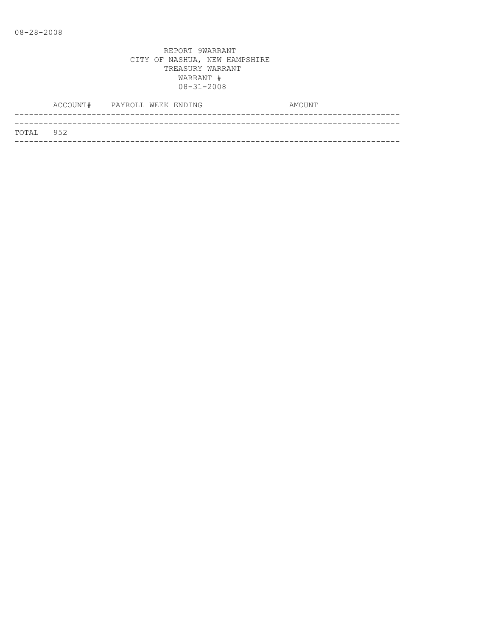|           | ACCOUNT# PAYROLL WEEK ENDING |  |  | AMOUNT |
|-----------|------------------------------|--|--|--------|
|           |                              |  |  |        |
| TOTAL 952 |                              |  |  |        |
|           |                              |  |  |        |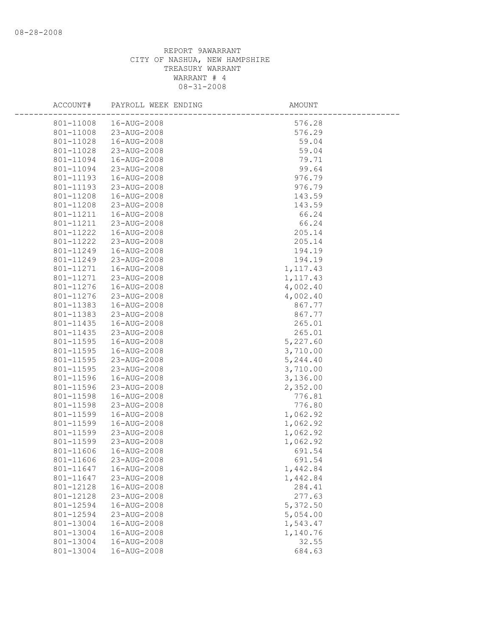| ACCOUNT#  | PAYROLL WEEK ENDING | AMOUNT    |  |
|-----------|---------------------|-----------|--|
| 801-11008 | 16-AUG-2008         | 576.28    |  |
| 801-11008 | 23-AUG-2008         | 576.29    |  |
| 801-11028 | 16-AUG-2008         | 59.04     |  |
| 801-11028 | 23-AUG-2008         | 59.04     |  |
| 801-11094 | 16-AUG-2008         | 79.71     |  |
| 801-11094 | 23-AUG-2008         | 99.64     |  |
| 801-11193 | 16-AUG-2008         | 976.79    |  |
| 801-11193 | 23-AUG-2008         | 976.79    |  |
| 801-11208 | 16-AUG-2008         | 143.59    |  |
| 801-11208 | 23-AUG-2008         | 143.59    |  |
| 801-11211 | 16-AUG-2008         | 66.24     |  |
| 801-11211 | 23-AUG-2008         | 66.24     |  |
| 801-11222 | 16-AUG-2008         | 205.14    |  |
| 801-11222 | 23-AUG-2008         | 205.14    |  |
| 801-11249 | 16-AUG-2008         | 194.19    |  |
| 801-11249 | 23-AUG-2008         | 194.19    |  |
| 801-11271 | 16-AUG-2008         | 1, 117.43 |  |
| 801-11271 | 23-AUG-2008         | 1, 117.43 |  |
| 801-11276 | 16-AUG-2008         | 4,002.40  |  |
| 801-11276 | 23-AUG-2008         | 4,002.40  |  |
| 801-11383 | 16-AUG-2008         | 867.77    |  |
| 801-11383 | 23-AUG-2008         | 867.77    |  |
| 801-11435 | 16-AUG-2008         | 265.01    |  |
| 801-11435 | 23-AUG-2008         | 265.01    |  |
| 801-11595 | 16-AUG-2008         | 5,227.60  |  |
| 801-11595 | 16-AUG-2008         | 3,710.00  |  |
| 801-11595 | 23-AUG-2008         | 5,244.40  |  |
| 801-11595 | 23-AUG-2008         | 3,710.00  |  |
| 801-11596 | 16-AUG-2008         | 3,136.00  |  |
| 801-11596 | 23-AUG-2008         | 2,352.00  |  |
| 801-11598 | 16-AUG-2008         | 776.81    |  |
| 801-11598 | 23-AUG-2008         | 776.80    |  |
| 801-11599 | 16-AUG-2008         | 1,062.92  |  |
| 801-11599 | 16-AUG-2008         | 1,062.92  |  |
| 801-11599 | 23-AUG-2008         | 1,062.92  |  |
| 801-11599 | 23-AUG-2008         | 1,062.92  |  |
| 801-11606 | 16-AUG-2008         | 691.54    |  |
| 801-11606 | 23-AUG-2008         | 691.54    |  |
| 801-11647 | 16-AUG-2008         | 1,442.84  |  |
| 801-11647 | 23-AUG-2008         | 1,442.84  |  |
| 801-12128 | 16-AUG-2008         | 284.41    |  |
| 801-12128 | 23-AUG-2008         | 277.63    |  |
| 801-12594 | 16-AUG-2008         | 5,372.50  |  |
| 801-12594 | 23-AUG-2008         | 5,054.00  |  |
| 801-13004 | 16-AUG-2008         | 1,543.47  |  |
| 801-13004 | 16-AUG-2008         | 1,140.76  |  |
| 801-13004 | 16-AUG-2008         | 32.55     |  |
| 801-13004 | 16-AUG-2008         | 684.63    |  |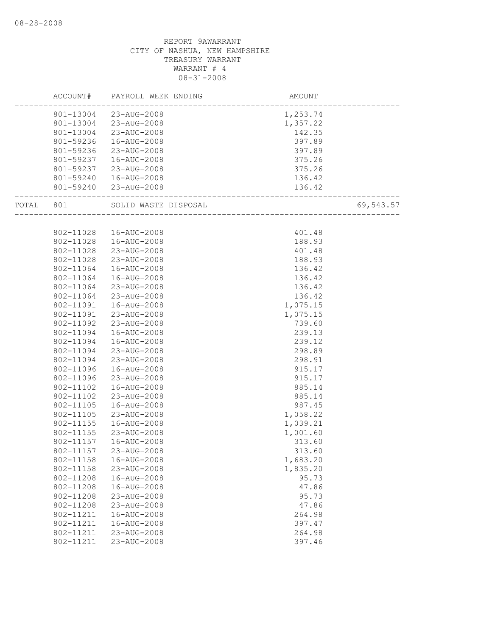|       | ACCOUNT#  | PAYROLL WEEK ENDING    | AMOUNT                             |           |
|-------|-----------|------------------------|------------------------------------|-----------|
|       |           | 801-13004 23-AUG-2008  | 1,253.74                           |           |
|       |           | 801-13004 23-AUG-2008  | 1,357.22                           |           |
|       | 801-13004 | 23-AUG-2008            | 142.35                             |           |
|       | 801-59236 | 16-AUG-2008            | 397.89                             |           |
|       | 801-59236 | 23-AUG-2008            | 397.89                             |           |
|       | 801-59237 | 16-AUG-2008            | 375.26                             |           |
|       | 801-59237 | 23-AUG-2008            | 375.26                             |           |
|       |           | 801-59240  16-AUG-2008 | 136.42                             |           |
|       |           | 801-59240 23-AUG-2008  | 136.42<br>------------------------ |           |
| TOTAL | 801       | SOLID WASTE DISPOSAL   | .<br>—————————————————             | 69,543.57 |
|       |           |                        |                                    |           |
|       | 802-11028 | 16-AUG-2008            | 401.48                             |           |
|       | 802-11028 | 16-AUG-2008            | 188.93                             |           |
|       | 802-11028 | 23-AUG-2008            | 401.48                             |           |
|       | 802-11028 | 23-AUG-2008            | 188.93                             |           |
|       | 802-11064 | 16-AUG-2008            | 136.42                             |           |
|       | 802-11064 | 16-AUG-2008            | 136.42                             |           |
|       | 802-11064 | 23-AUG-2008            | 136.42                             |           |
|       | 802-11064 | 23-AUG-2008            | 136.42                             |           |
|       | 802-11091 | 16-AUG-2008            | 1,075.15                           |           |
|       | 802-11091 | 23-AUG-2008            | 1,075.15                           |           |
|       | 802-11092 | 23-AUG-2008            | 739.60                             |           |
|       | 802-11094 | 16-AUG-2008            | 239.13                             |           |
|       | 802-11094 | 16-AUG-2008            | 239.12                             |           |
|       | 802-11094 | 23-AUG-2008            | 298.89                             |           |
|       | 802-11094 | 23-AUG-2008            | 298.91                             |           |
|       | 802-11096 | 16-AUG-2008            | 915.17                             |           |
|       | 802-11096 | 23-AUG-2008            | 915.17                             |           |
|       | 802-11102 | 16-AUG-2008            | 885.14                             |           |
|       | 802-11102 | 23-AUG-2008            | 885.14                             |           |
|       | 802-11105 | 16-AUG-2008            | 987.45                             |           |
|       | 802-11105 | 23-AUG-2008            | 1,058.22                           |           |
|       | 802-11155 | 16-AUG-2008            | 1,039.21                           |           |
|       | 802-11155 | 23-AUG-2008            | 1,001.60                           |           |
|       | 802-11157 | 16-AUG-2008            | 313.60                             |           |
|       | 802-11157 | 23-AUG-2008            | 313.60                             |           |
|       | 802-11158 | 16-AUG-2008            | 1,683.20                           |           |
|       | 802-11158 | 23-AUG-2008            | 1,835.20                           |           |
|       | 802-11208 | 16-AUG-2008            | 95.73                              |           |
|       | 802-11208 | 16-AUG-2008            | 47.86                              |           |
|       | 802-11208 | 23-AUG-2008            | 95.73                              |           |
|       | 802-11208 | 23-AUG-2008            | 47.86                              |           |
|       | 802-11211 | 16-AUG-2008            | 264.98                             |           |
|       | 802-11211 | 16-AUG-2008            | 397.47                             |           |
|       | 802-11211 | 23-AUG-2008            | 264.98                             |           |
|       | 802-11211 | 23-AUG-2008            | 397.46                             |           |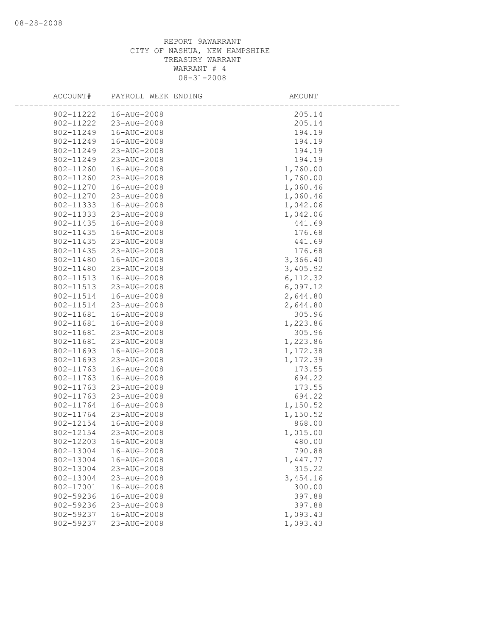| ACCOUNT#  | PAYROLL WEEK ENDING | AMOUNT    |
|-----------|---------------------|-----------|
| 802-11222 | 16-AUG-2008         | 205.14    |
| 802-11222 | 23-AUG-2008         | 205.14    |
| 802-11249 | 16-AUG-2008         | 194.19    |
| 802-11249 | 16-AUG-2008         | 194.19    |
| 802-11249 | 23-AUG-2008         | 194.19    |
| 802-11249 | 23-AUG-2008         | 194.19    |
| 802-11260 | 16-AUG-2008         | 1,760.00  |
| 802-11260 | 23-AUG-2008         | 1,760.00  |
| 802-11270 | 16-AUG-2008         | 1,060.46  |
| 802-11270 | 23-AUG-2008         | 1,060.46  |
| 802-11333 | 16-AUG-2008         | 1,042.06  |
| 802-11333 | 23-AUG-2008         | 1,042.06  |
| 802-11435 | 16-AUG-2008         | 441.69    |
| 802-11435 | 16-AUG-2008         | 176.68    |
| 802-11435 | 23-AUG-2008         | 441.69    |
| 802-11435 | 23-AUG-2008         | 176.68    |
| 802-11480 | 16-AUG-2008         | 3,366.40  |
| 802-11480 | 23-AUG-2008         | 3,405.92  |
| 802-11513 | 16-AUG-2008         | 6, 112.32 |
| 802-11513 | 23-AUG-2008         | 6,097.12  |
| 802-11514 | 16-AUG-2008         | 2,644.80  |
| 802-11514 | 23-AUG-2008         | 2,644.80  |
| 802-11681 | 16-AUG-2008         | 305.96    |
| 802-11681 | 16-AUG-2008         | 1,223.86  |
| 802-11681 | 23-AUG-2008         | 305.96    |
| 802-11681 | 23-AUG-2008         | 1,223.86  |
| 802-11693 | 16-AUG-2008         | 1,172.38  |
| 802-11693 | 23-AUG-2008         | 1,172.39  |
| 802-11763 | 16-AUG-2008         | 173.55    |
| 802-11763 | 16-AUG-2008         | 694.22    |
| 802-11763 | 23-AUG-2008         | 173.55    |
| 802-11763 | 23-AUG-2008         | 694.22    |
| 802-11764 | 16-AUG-2008         | 1,150.52  |
| 802-11764 | 23-AUG-2008         | 1,150.52  |
| 802-12154 | 16-AUG-2008         | 868.00    |
| 802-12154 | 23-AUG-2008         | 1,015.00  |
| 802-12203 | 16-AUG-2008         | 480.00    |
| 802-13004 | 16-AUG-2008         | 790.88    |
| 802-13004 | 16-AUG-2008         | 1,447.77  |
| 802-13004 | 23-AUG-2008         | 315.22    |
| 802-13004 | 23-AUG-2008         | 3,454.16  |
| 802-17001 | 16-AUG-2008         | 300.00    |
| 802-59236 | 16-AUG-2008         | 397.88    |
| 802-59236 | 23-AUG-2008         | 397.88    |
| 802-59237 | 16-AUG-2008         | 1,093.43  |
| 802-59237 | 23-AUG-2008         | 1,093.43  |